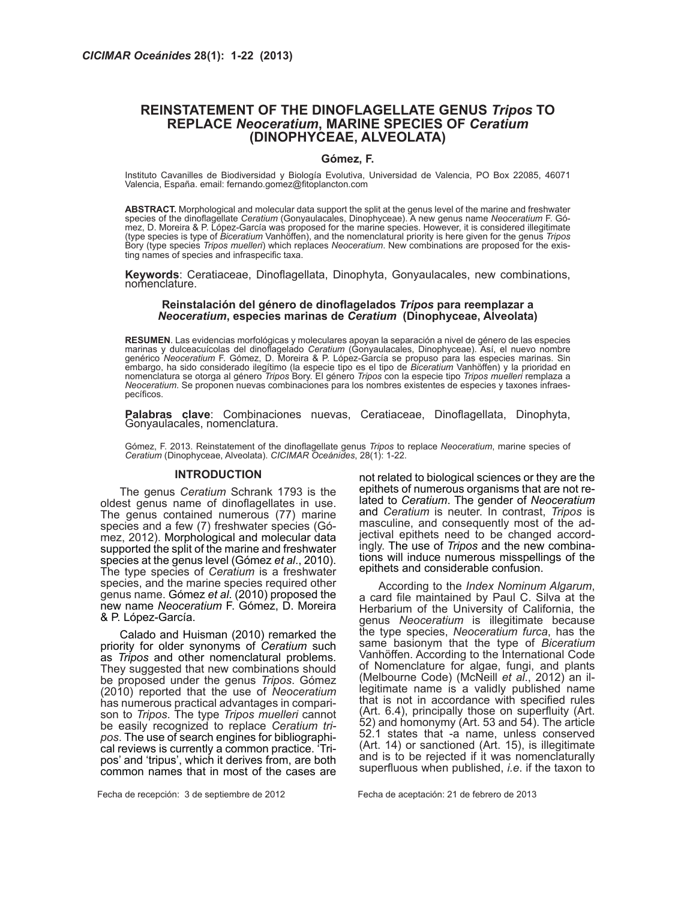### **REINSTATEMENT OF THE DINOFLAGELLATE GENUS** *Tripos* **TO REPLACE** *Neoceratium***, MARINE SPECIES OF** *Ceratium*  **(DINOPHYCEAE, ALVEOLATA)**

### **Gómez, F.**

Instituto Cavanilles de Biodiversidad y Biología Evolutiva, Universidad de Valencia, PO Box 22085, 46071 Valencia, España. email: fernando.gomez@fitoplancton.com

**ABSTRACT.** Morphological and molecular data support the split at the genus level of the marine and freshwater species of the dinoflagellate *Ceratium* (Gonyaulacales, Dinophyceae). A new genus name *Neoceratium* F. Gómez, D. Moreira & P. López-García was proposed for the marine species. However, it is considered illegitimate (type species is type of *Biceratium* Vanhöffen), and the nomenclatural priority is here given for the genus *Tripos*  Bory (type species *Tripos muelleri*) which replaces *Neoceratium*. New combinations are proposed for the existing names of species and infraspecific taxa.

Keywords: Ceratiaceae, Dinoflagellata, Dinophyta, Gonyaulacales, new combinations,<br>nomenclature.

### **Reinstalación del género de dinoflagelados** *Tripos* **para reemplazar a**  *Neoceratium***, especies marinas de** *Ceratium* **(Dinophyceae, Alveolata)**

**RESUMEN**. Las evidencias morfológicas y moleculares apoyan la separación a nivel de género de las especies marinas y dulceacuícolas del dinoflagelado *Ceratium* (Gonyaulacales, Dinophyceae). Así, el nuevo nombre genérico *Neoceratium* F. Gómez, D. Moreira & P. López-García se propuso para las especies marinas. Sin embargo, ha sido considerado ilegítimo (la especie tipo es el tipo de *Biceratium* Vanhöffen) y la prioridad en nomenclatura se otorga al género *Tripos* Bory. El género *Tripos* con la especie tipo *Tripos muelleri* remplaza a *Neoceratium*. Se proponen nuevas combinaciones para los nombres existentes de especies y taxones infraespecíficos.

**Palabras clave**: Combinaciones nuevas, Ceratiaceae, Dinoflagellata, Dinophyta,<br>Gonyaulacales, nomenclatura.

Gómez, F. 2013. Reinstatement of the dinoflagellate genus *Tripos* to replace *Neoceratium*, marine species of *Ceratium* (Dinophyceae, Alveolata). *CICIMAR Oceánides*, 28(1): 1-22.

### **INTRODUCTION**

The genus *Ceratium* Schrank 1793 is the oldest genus name of dinoflagellates in use. The genus contained numerous (77) marine species and a few (7) freshwater species (Gómez, 2012). Morphological and molecular data supported the split of the marine and freshwater species at the genus level (Gómez *et al*., 2010). The type species of *Ceratium* is a freshwater species, and the marine species required other genus name. Gómez *et al*. (2010) proposed the new name *Neoceratium* F. Gómez, D. Moreira & P. López-García.

Calado and Huisman (2010) remarked the priority for older synonyms of *Ceratium* such as *Tripos* and other nomenclatural problems. They suggested that new combinations should be proposed under the genus *Tripos*. Gómez (2010) reported that the use of *Neoceratium*  has numerous practical advantages in comparison to *Tripos*. The type *Tripos muelleri* cannot be easily recognized to replace *Ceratium tripos*. The use of search engines for bibliographical reviews is currently a common practice. 'Tripos' and 'tripus', which it derives from, are both common names that in most of the cases are not related to biological sciences or they are the epithets of numerous organisms that are not related to *Ceratium*. The gender of *Neoceratium*  and *Ceratium* is neuter. In contrast, *Tripos* is masculine, and consequently most of the adjectival epithets need to be changed accordingly. The use of *Tripos* and the new combinations will induce numerous misspellings of the epithets and considerable confusion.

According to the *Index Nominum Algarum*, a card file maintained by Paul C. Silva at the Herbarium of the University of California, the genus *Neoceratium* is illegitimate because the type species, *Neoceratium furca*, has the same basionym that the type of *Biceratium* Vanhöffen. According to the International Code of Nomenclature for algae, fungi, and plants (Melbourne Code) (McNeill *et al*., 2012) an illegitimate name is a validly published name that is not in accordance with specified rules (Art. 6.4), principally those on superfluity (Art. 52) and homonymy (Art. 53 and 54). The article 52.1 states that -a name, unless conserved (Art. 14) or sanctioned (Art. 15), is illegitimate and is to be rejected if it was nomenclaturally superfluous when published, *i.e*. if the taxon to

Fecha de recepción: 3 de septiembre de 2012 Fecha de aceptación: 21 de febrero de 2013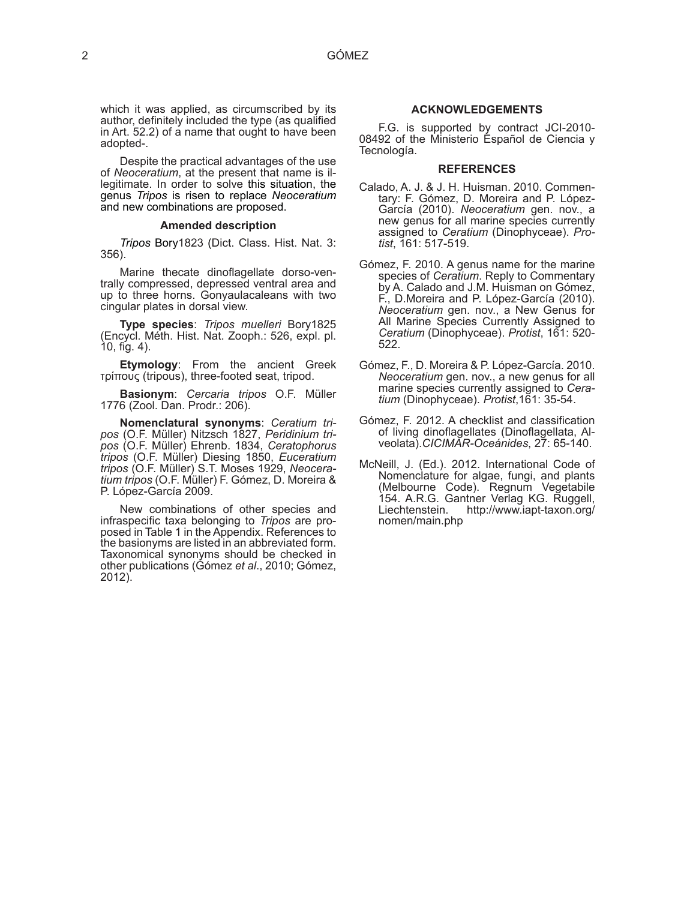which it was applied, as circumscribed by its author, definitely included the type (as qualified in Art. 52.2) of a name that ought to have been adopted-.

Despite the practical advantages of the use<br>of Neoceratium, at the present that name is illegitimate. In order to solve this situation, the genus *Tripos* is risen to replace *Neoceratium* and new combinations are proposed.

### **Amended description**

*Tripos* Bory1823 (Dict. Class. Hist. Nat. 3: 356).

Marine thecate dinoflagellate dorso-ventrally compressed, depressed ventral area and up to three horns. Gonyaulacaleans with two cingular plates in dorsal view.

**Type species**: *Tripos muelleri* Bory1825 (Encycl. Méth. Hist. Nat. Zooph.: 526, expl. pl. 10, fig. 4).

**Etymology**: From the ancient Greek τρίπους (tripous), three-footed seat, tripod.

**Basionym**: *Cercaria tripos* O.F. Müller 1776 (Zool. Dan. Prodr.: 206).

**Nomenclatural synonyms**: *Ceratium tri- pos* (O.F. Müller) Nitzsch 1827, *Peridinium tripos* (O.F. Müller) Ehrenb. 1834, *Ceratophorus tripos* (O.F. Müller) Diesing 1850, *Euceratium tripos* (O.F. Müller) S.T. Moses 1929, *Neoceratium tripos* (O.F. Müller) F. Gómez, D. Moreira & P. López-García 2009.

New combinations of other species and infraspecific taxa belonging to *Tripos* are proposed in Table 1 in the Appendix. References to the basionyms are listed in an abbreviated form. Taxonomical synonyms should be checked in other publications (Gómez *et al*., 2010; Gómez, 2012).

### **ACKNOWLEDGEMENTS**

F.G. is supported by contract JCI-2010- 08492 of the Ministerio Español de Ciencia y Tecnología.

#### **REFERENCES**

- Calado, A. J. & J. H. Huisman. 2010. Commentary: F. Gómez, D. Moreira and P. López-García (2010). *Neoceratium* gen. nov., a new genus for all marine species currently assigned to *Ceratium* (Dinophyceae). *Protist*, 161: 517-519.
- Gómez, F. 2010. A genus name for the marine species of *Ceratium*. Reply to Commentary by A. Calado and J.M. Huisman on Gómez, F., D.Moreira and P. López-García (2010). *Neoceratium* gen. nov., a New Genus for All Marine Species Currently Assigned to *Ceratium* (Dinophyceae). *Protist*, 161: 520- 522.
- Gómez, F., D. Moreira & P. López-García. 2010. *Neoceratium* gen. nov., a new genus for all marine species currently assigned to *Ceratium* (Dinophyceae). *Protist*,161: 35-54.
- Gómez, F. 2012. A checklist and classification of living dinoflagellates (Dinoflagellata, Alveolata).*CICIMAR-Oceánides*, 27: 65-140.
- McNeill, J. (Ed.). 2012. International Code of Nomenclature for algae, fungi, and plants (Melbourne Code). Regnum Vegetabile 154. A.R.G. Gantner Verlag KG. Ruggell, Liechtenstein. http://www.iapt-taxon.org/ nomen/main.php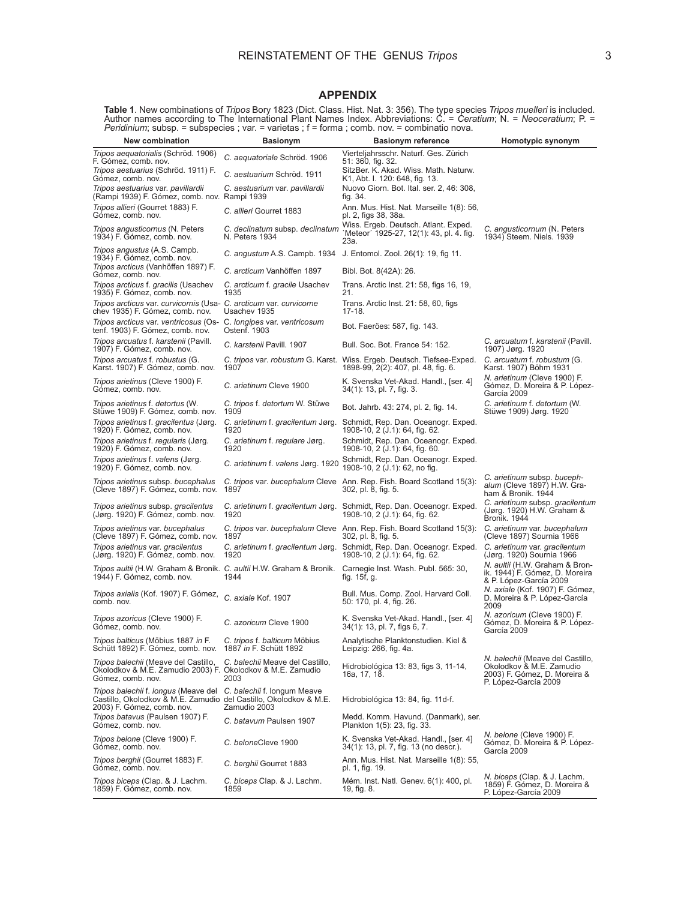## **APPENDIX**

**Table 1**. New combinations of *Tripos* Bory 1823 (Dict. Class. Hist. Nat. 3: 356). The type species *Tripos muelleri* is included.<br>Author names according to The International Plant Names Index. Abbreviations: C. = *Cerati Peridinium*; subsp. = subspecies ; var. = varietas ; f = forma ; comb. nov. = combinatio nova.

| New combination                                                                                                                                                     | <b>Basionym</b>                                   | <b>Basionym reference</b>                                                                                     | Homotypic synonym                                                                                                    |
|---------------------------------------------------------------------------------------------------------------------------------------------------------------------|---------------------------------------------------|---------------------------------------------------------------------------------------------------------------|----------------------------------------------------------------------------------------------------------------------|
| <i>Tripos aequatorialis</i> (Schröd. 1906)<br>F. Gómez, comb. nov.                                                                                                  | C. aequatoriale Schröd. 1906                      | Vierteljahrsschr. Naturf. Ges. Zürich<br>51: 360, fig. 32.                                                    |                                                                                                                      |
| Tripos aestuarius (Schröd. 1911) F.<br>Gómez, comb. nov.                                                                                                            | C. aestuarium Schröd. 1911                        | SitzBer. K. Akad. Wiss. Math. Naturw.<br>K1, Abt. I. 120: 648, fig. 13.                                       |                                                                                                                      |
| Tripos aestuarius var. pavillardii<br>(Rampi 1939) F. Gómez, comb. nov. Rampi 1939                                                                                  | C. aestuarium var. pavillardii                    | Nuovo Giorn. Bot. Ital. ser. 2, 46: 308,<br>fig. 34.                                                          |                                                                                                                      |
| Tripos allieri (Gourret 1883) F.<br>Gómez, comb. nov.                                                                                                               | C. allieri Gourret 1883                           | Ann. Mus. Hist. Nat. Marseille 1(8): 56,<br>pl. 2, figs 38, 38a.                                              |                                                                                                                      |
| Tripos angusticornus (N. Peters<br>1934) F. Gómez, comb. nov.                                                                                                       | C. declinatum subsp. declinatum<br>N. Peters 1934 | Wiss. Ergeb. Deutsch. Atlant. Exped.<br>`Meteor´ 1925-27, 12(1): 43, pl. 4. fig.<br>23a.                      | C. angusticornum (N. Peters<br>1934) Steem. Niels. 1939                                                              |
| Tripos angustus (A.S. Campb.<br>1934) F. Gómez, comb. nov.                                                                                                          | C. angustum A.S. Campb. 1934                      | J. Entomol. Zool. 26(1): 19, fig 11.                                                                          |                                                                                                                      |
| Tripos arcticus (Vanhöffen 1897) F.<br>Gómez, comb. nov.                                                                                                            | C. arcticum Vanhöffen 1897                        | Bibl. Bot. 8(42A): 26.                                                                                        |                                                                                                                      |
| Tripos arcticus f. gracilis (Usachev<br>1935) F. Gómez, comb. nov.                                                                                                  | C. arcticum f. gracile Usachev<br>1935            | Trans. Arctic Inst. 21: 58, figs 16, 19,<br>21.                                                               |                                                                                                                      |
| Tripos arcticus var. curvicornis (Usa- C. arcticum var. curvicorne<br>chev 1935) F. Gómez, comb. nov.                                                               | Usachev 1935                                      | Trans. Arctic Inst. 21: 58, 60, figs<br>$17-18.$                                                              |                                                                                                                      |
| Tripos arcticus var. ventricosus (Os- C. longipes var. ventricosum<br>tenf. 1903) F. Gómez, comb. nov.                                                              | Ostenf. 1903                                      | Bot. Faeröes: 587, fig. 143.                                                                                  |                                                                                                                      |
| Tripos arcuatus f. karstenii (Pavill.<br>1907) F. Gómez, comb. nov.                                                                                                 | C. karstenii Pavill. 1907                         | Bull. Soc. Bot. France 54: 152.                                                                               | C. arcuatum f. karstenii (Pavill.<br>1907) Jørg. 1920                                                                |
| Tripos arcuatus f. robustus (G.<br>Karst. 1907) F. Gómez, comb. nov.                                                                                                | 1907                                              | C. tripos var. robustum G. Karst. Wiss. Ergeb. Deutsch. Tiefsee-Exped.<br>1898-99, 2(2): 407, pl. 48, fig. 6. | C. arcuatum f. robustum (G.<br>Karst. 1907) Böhm 1931                                                                |
| Tripos arietinus (Cleve 1900) F.<br>Gómez, comb. nov.                                                                                                               | C. arietinum Cleve 1900                           | K. Svenska Vet-Akad. Handl., [ser. 4]<br>34(1): 13, pl. 7, fig. 3.                                            | <i>N. arietinum</i> (Cleve 1900) F.<br>Gómez, D. Moreira & P. López-<br>García 2009                                  |
| Tripos arietinus f. detortus (W.<br>Stüwe 1909) F. Gómez, comb. nov.                                                                                                | C. tripos f. detortum W. Stüwe<br>1909            | Bot. Jahrb. 43: 274, pl. 2, fig. 14.                                                                          | C. arietinum f. detortum (W.<br>Stüwe 1909) Jørg. 1920                                                               |
| Tripos arietinus f. gracilentus (Jørg.<br>1920) F. Gómez, comb. nov.                                                                                                | C. arietinum f. gracilentum Jørg.<br>1920         | Schmidt, Rep. Dan. Oceanogr. Exped.<br>1908-10, 2 (J.1): 64, fig. 62.                                         |                                                                                                                      |
| Tripos arietinus f. regularis (Jørg.<br>1920) F. Gómez, comb. nov.                                                                                                  | C. arietinum f. regulare Jørg.<br>1920            | Schmidt, Rep. Dan. Oceanogr. Exped.<br>1908-10, 2 (J.1): 64, fig. 60.                                         |                                                                                                                      |
| Tripos arietinus f. valens (Jørg.<br>1920) F. Gómez, comb. nov.                                                                                                     | C. arietinum f. valens Jørg. 1920                 | Schmidt, Rep. Dan. Oceanogr. Exped.<br>1908-10, 2 (J.1): 62, no fig.                                          |                                                                                                                      |
| Tripos arietinus subsp. bucephalus<br>(Cleve 1897) F. Gómez, comb. nov.                                                                                             | C. tripos var. bucephalum Cleve<br>1897           | Ann. Rep. Fish. Board Scotland 15(3):<br>302, pl. 8, fig. 5.                                                  | C. arietinum subsp. buceph-<br>alum (Cleve 1897) H.W. Gra-<br>ham & Bronik. 1944                                     |
| Tripos arietinus subsp. gracilentus<br>(Jørg. 1920) F. Gómez, comb. nov.                                                                                            | C. arietinum f. gracilentum Jørg.<br>1920         | Schmidt, Rep. Dan. Oceanogr. Exped.<br>1908-10, 2 (J.1): 64, fig. 62.                                         | C. arietinum subsp. gracilentum<br>(Jørg. 1920) H.W. Graham &<br>Bronik. 1944                                        |
| Tripos arietinus var. bucephalus<br>(Cleve 1897) F. Gómez, comb. nov.                                                                                               | 1897                                              | C. tripos var. bucephalum Cleve Ann. Rep. Fish. Board Scotland 15(3):<br>302, pl. 8, fig. 5.                  | C. arietinum var. bucephalum<br>(Cleve 1897) Sournia 1966                                                            |
| Tripos arietinus var. gracilentus<br>(Jørg. 1920) F. Gómez, comb. nov.                                                                                              | C. arietinum f. gracilentum Jørg.<br>1920         | Schmidt, Rep. Dan. Oceanogr. Exped.<br>1908-10, 2 (J.1): 64, fig. 62.                                         | C. arietinum var. gracilentum<br>(Jørg. 1920) Sournia 1966                                                           |
| Tripos aultii (H.W. Graham & Bronik. C. aultii H.W. Graham & Bronik.<br>1944) F. Gómez, comb. nov.                                                                  | 1944                                              | Carnegie Inst. Wash. Publ. 565: 30,<br>fig. 15f, g.                                                           | N. aultii (H.W. Graham & Bron-<br>ik. 1944) F. Gómez, D. Moreira<br>& P. López-García 2009                           |
| Tripos axialis (Kof. 1907) F. Gómez,<br>comb. nov.                                                                                                                  | C. axiale Kof. 1907                               | Bull. Mus. Comp. Zool. Harvard Coll.<br>50: 170, pl. 4, fig. 26.                                              | N. axiale (Kof. 1907) F. Gómez,<br>D. Moreira & P. López-García<br>2009                                              |
| Tripos azoricus (Cleve 1900) F.<br>Gómez, comb. nov.                                                                                                                | C. azoricum Cleve 1900                            | K. Svenska Vet-Akad. Handl., [ser. 4]<br>34(1): 13, pl. 7, figs 6, 7.                                         | <i>N. azoricum</i> (Cleve 1900) F.<br>Gómez, D. Moreira & P. López-<br>García 2009                                   |
| <i>Tripos balticus</i> (Möbius 1887 <i>in</i> F.<br>Schütt 1892) F. Gómez, comb. nov. 1887 in F. Schütt 1892                                                        | C. tripos f. balticum Möbius                      | Analytische Planktonstudien. Kiel &<br>Leipzig: 266, fig. 4a.                                                 |                                                                                                                      |
| Tripos balechii (Meave del Castillo,<br>Okolodkov & M.E. Zamudio 2003) F. Okolodkov & M.E. Zamudio<br>Gómez, comb. nov.                                             | C. balechii Meave del Castillo,<br>2003           | Hidrobiológica 13: 83, figs 3, 11-14,<br>16a, 17, 18.                                                         | N. balechii (Meave del Castillo,<br>Okolodkov & M.E. Zamudio<br>2003) F. Gómez, D. Moreira &<br>P. López-García 2009 |
| Tripos balechii f. longus (Meave del C. balechii f. longum Meave<br>Castillo, Okolodkov & M.E. Zamudio del Castillo, Okolodkov & M.E.<br>2003) F. Gómez, comb. nov. | Zamudio 2003                                      | Hidrobiológica 13: 84, fig. 11d-f.                                                                            |                                                                                                                      |
| Tripos batavus (Paulsen 1907) F.<br>Gómez, comb. nov.                                                                                                               | C. batavum Paulsen 1907                           | Medd. Komm. Havund. (Danmark), ser.<br>Plankton 1(5): 23, fig. 33.                                            |                                                                                                                      |
| Tripos belone (Cleve 1900) F.<br>Gómez, comb. nov.                                                                                                                  | C. beloneCleve 1900                               | K. Svenska Vet-Akad. Handl., [ser. 4]<br>34(1): 13, pl. 7, fig. 13 (no descr.).                               | <i>N. belone</i> (Cleve 1900) F.<br>Gómez, D. Moreira & P. López-<br>García 2009                                     |
| Tripos berghii (Gourret 1883) F.<br>Gómez, comb. nov.                                                                                                               | C. berghii Gourret 1883                           | Ann. Mus. Hist. Nat. Marseille 1(8): 55,<br>pl. 1, fig. 19.                                                   |                                                                                                                      |
| Tripos biceps (Clap. & J. Lachm.<br>1859) F. Gómez, comb. nov.                                                                                                      | C. biceps Clap. & J. Lachm.<br>1859               | Mém. Inst. Natl. Genev. 6(1): 400, pl.<br>19, fig. 8.                                                         | N. biceps (Clap. & J. Lachm.<br>1859) F. Gómez, D. Moreira &<br>P. López-García 2009                                 |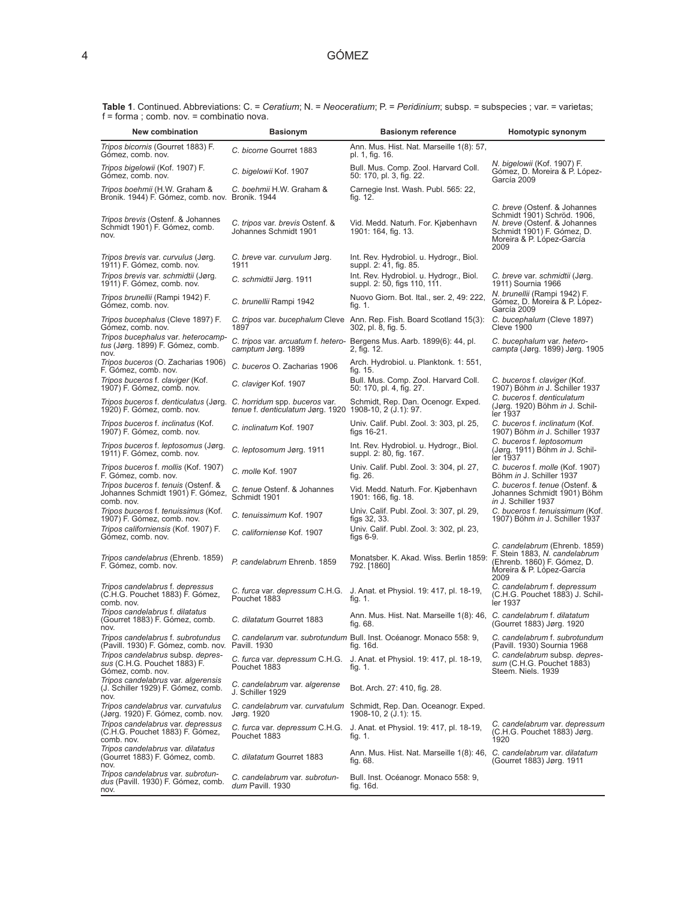| New combination                                                                        | <b>Basionym</b>                                                                         | <b>Basionym reference</b>                                                                                               | Homotypic synonym                                                                                                                                              |
|----------------------------------------------------------------------------------------|-----------------------------------------------------------------------------------------|-------------------------------------------------------------------------------------------------------------------------|----------------------------------------------------------------------------------------------------------------------------------------------------------------|
| Tripos bicornis (Gourret 1883) F.<br>Gómez, comb. nov.                                 | C. bicorne Gourret 1883                                                                 | Ann. Mus. Hist. Nat. Marseille 1(8): 57,<br>pl. 1, fig. 16.                                                             |                                                                                                                                                                |
| Tripos bigelowii (Kof. 1907) F.<br>Gómez, comb. nov.                                   | C. bigelowii Kof. 1907                                                                  | Bull. Mus. Comp. Zool. Harvard Coll.<br>50: 170, pl. 3, fig. 22.                                                        | <i>N. bigelowii</i> (Kof. 1907) F.<br>Gómez, D. Moreira & P. López-<br>García 2009                                                                             |
| Tripos boehmii (H.W. Graham &<br>Bronik. 1944) F. Gómez, comb. nov. Bronik. 1944       | C. boehmii H.W. Graham &                                                                | Carnegie Inst. Wash. Publ. 565: 22,<br>fig. 12.                                                                         |                                                                                                                                                                |
| Tripos brevis (Ostenf. & Johannes<br>Schmidt 1901) F. Gómez, comb.<br>nov.             | C. tripos var. brevis Ostenf. &<br>Johannes Schmidt 1901                                | Vid. Medd. Naturh. For. Kjøbenhavn<br>1901: 164, fig. 13.                                                               | C. breve (Ostenf. & Johannes<br>Schmidt 1901) Schröd. 1906,<br>N. breve (Ostenf. & Johannes<br>Schmidt 1901) F. Gómez, D.<br>Moreira & P. López-García<br>2009 |
| Tripos brevis var. curvulus (Jørg.<br>1911) F. Gómez, comb. nov.                       | C. breve var. curvulum Jørg.<br>1911                                                    | Int. Rev. Hydrobiol. u. Hydrogr., Biol.<br>suppl. 2: 41, fig. 85.                                                       |                                                                                                                                                                |
| Tripos brevis var. schmidtii (Jørg.<br>1911) F. Gómez, comb. nov.                      | C. schmidtii Jørg. 1911                                                                 | Int. Rev. Hydrobiol. u. Hydrogr., Biol.<br>suppl. 2: 50, figs 110, 111.                                                 | C. breve var. schmidtii (Jørg.<br>1911) Sournia 1966                                                                                                           |
| Tripos brunellii (Rampi 1942) F.<br>Gómez, comb. nov.                                  | C. brunellii Rampi 1942                                                                 | Nuovo Giorn. Bot. Ital., ser. 2, 49: 222,<br>fig. 1.                                                                    | N. brunellii (Rampi 1942) F.<br>Gómez, D. Moreira & P. López-<br>García 2009                                                                                   |
| Tripos bucephalus (Cleve 1897) F.<br>Gómez, comb. nov.                                 | 1897                                                                                    | C. tripos var. bucephalum Cleve Ann. Rep. Fish. Board Scotland 15(3): C. bucephalum (Cleve 1897)<br>302, pl. 8, fig. 5. | <b>Cleve 1900</b>                                                                                                                                              |
| Tripos bucephalus var. heterocamp-<br>tus (Jørg. 1899) F. Gómez, comb.<br>nov.         | camptum Jørg. 1899                                                                      | C. tripos var. arcuatum f. hetero- Bergens Mus. Aarb. 1899(6): 44, pl.<br>2, fig. 12.                                   | C. bucephalum var. hetero-<br>campta (Jørg. 1899) Jørg. 1905                                                                                                   |
| Tripos buceros (O. Zacharias 1906)<br>F. Gómez, comb. nov.                             | C. buceros O. Zacharias 1906                                                            | Arch. Hydrobiol. u. Planktonk. 1: 551,<br>tig. 15.                                                                      |                                                                                                                                                                |
| Tripos buceros f. claviger (Kof.<br>1907) F. Gómez, comb. nov.                         | C. claviger Kof. 1907                                                                   | Bull. Mus. Comp. Zool. Harvard Coll.<br>50: 170, pl. 4, fig. 27.                                                        | C. buceros f. claviger (Kof.<br>1907) Böhm in J. Schiller 1937                                                                                                 |
| Tripos buceros f. denticulatus (Jørg.<br>1920) F. Gómez, comb. nov.                    | C. horridum spp. buceros var.<br>tenue f. denticulatum Jørg. 1920 1908-10, 2 (J.1): 97. | Schmidt, Rep. Dan. Ocenogr. Exped.                                                                                      | C. buceros f. denticulatum<br>(Jørg. 1920) Böhm in J. Schil-<br>ler 1937                                                                                       |
| Tripos buceros f. inclinatus (Kof.<br>1907) F. Gómez, comb. nov.                       | C. inclinatum Kof. 1907                                                                 | Univ. Calif. Publ. Zool. 3: 303, pl. 25,<br>figs 16-21.                                                                 | C. buceros f. inclinatum (Kof.<br>1907) Böhm in J. Schiller 1937                                                                                               |
| Tripos buceros f. leptosomus (Jørg.<br>1911) F. Gómez, comb. nov.                      | C. leptosomum Jørg. 1911                                                                | Int. Rev. Hydrobiol. u. Hydrogr., Biol.<br>suppl. 2: 80, fig. 167.                                                      | C. buceros f. leptosomum<br>(Jørg. 1911) Böhm in J. Schil-<br>ler 1937                                                                                         |
| Tripos buceros f. mollis (Kof. 1907)<br>F. Gómez, comb. nov.                           | C. molle Kof. 1907                                                                      | Univ. Calif. Publ. Zool. 3: 304, pl. 27,<br>fig. 26.                                                                    | C. buceros f. molle (Kof. 1907)<br>Böhm in J. Schiller 1937                                                                                                    |
| Tripos buceros f. tenuis (Ostenf. &<br>Johannes Schmidt 1901) F. Gómez,<br>comb. nov.  | C. tenue Ostenf. & Johannes<br>Schmidt 1901                                             | Vid. Medd. Naturh. For. Kjøbenhavn<br>1901: 166, fig. 18.                                                               | C. buceros f. tenue (Ostenf. &<br>Johannes Schmidt 1901) Böhm<br>in J. Schiller 1937                                                                           |
| Tripos buceros f. tenuissimus (Kof.<br>1907) F. Gómez, comb. nov.                      | C. tenuissimum Kof. 1907                                                                | Univ. Calif. Publ. Zool. 3: 307, pl. 29,<br>figs 32, 33.                                                                | C. buceros f. tenuissimum (Kof.<br>1907) Böhm in J. Schiller 1937                                                                                              |
| Tripos californiensis (Kof. 1907) F.<br>Gómez, comb. nov.                              | C. californiense Kof. 1907                                                              | Univ. Calif. Publ. Zool. 3: 302, pl. 23,<br>figs 6-9.                                                                   |                                                                                                                                                                |
| Tripos candelabrus (Ehrenb. 1859)<br>F. Gómez, comb. nov.                              | P. candelabrum Ehrenb. 1859                                                             | Monatsber. K. Akad. Wiss. Berlin 1859:<br>792. [1860]                                                                   | C. candelabrum (Ehrenb. 1859)<br>F. Stein 1883, N. candelabrum<br>(Ehrenb. 1860) F. Gómez, D.<br>Moreira & P. López-García<br>2009                             |
| Tripos candelabrus f. depressus<br>(C.H.G. Pouchet 1883) F. Gómez,<br>comb, nov.       | Pouchet 1883                                                                            | C. furca var. depressum C.H.G. J. Anat. et Physiol. 19: 417, pl. 18-19,<br>fig. 1.                                      | C. candelabrum f. depressum<br>(C.H.G. Pouchet 1883) J. Schil-<br>ler 1937                                                                                     |
| Tripos candelabrus f. dilatatus<br>(Gourret 1883) F. Gómez, comb.<br>nov.              | C. dilatatum Gourret 1883                                                               | Ann. Mus. Hist. Nat. Marseille 1(8): 46, C. candelabrum f. dilatatum<br>fig. 68.                                        | (Gourret 1883) Jørg. 1920                                                                                                                                      |
| Tripos candelabrus f. subrotundus<br>(Pavill. 1930) F. Gómez, comb. nov. Pavill. 1930  |                                                                                         | C. candelarum var. subrotundum Bull. Inst. Océanogr. Monaco 558: 9,<br>fig. 16d.                                        | C. candelabrum f. subrotundum<br>(Pavill. 1930) Sournia 1968                                                                                                   |
| Tripos candelabrus subsp. depres-<br>sus (C.H.G. Pouchet 1883) F.<br>Gómez, comb. nov. | Pouchet 1883                                                                            | C. furca var. depressum C.H.G. J. Anat. et Physiol. 19: 417, pl. 18-19,<br>fig. 1.                                      | C. candelabrum subsp. depres-<br>sum (C.H.G. Pouchet 1883)<br>Steem. Niels. 1939                                                                               |
| Tripos candelabrus var. algerensis<br>(J. Schiller 1929) F. Gómez, comb.<br>nov.       | C. candelabrum var. algerense<br>J. Schiller 1929                                       | Bot. Arch. 27: 410, fig. 28.                                                                                            |                                                                                                                                                                |
| Tripos candelabrus var. curvatulus<br>(Jørg. 1920) F. Gómez, comb. nov.                | C. candelabrum var. curvatulum<br>Jørg. 1920                                            | Schmidt, Rep. Dan. Oceanogr. Exped.<br>1908-10, 2 (J.1): 15.                                                            |                                                                                                                                                                |
| Tripos candelabrus var. depressus<br>(C.H.G. Pouchet 1883) F. Gómez,<br>comb. nov.     | C. furca var. depressum C.H.G.<br>Pouchet 1883                                          | J. Anat. et Physiol. 19: 417, pl. 18-19,<br>fig. 1.                                                                     | C. candelabrum var. depressum<br>(C.H.G. Pouchet 1883) Jørg.<br>1920                                                                                           |
| Tripos candelabrus var. dilatatus<br>(Gourret 1883) F. Gómez, comb.<br>nov.            | C. dilatatum Gourret 1883                                                               | Ann. Mus. Hist. Nat. Marseille 1(8): 46, C. candelabrum var. dilatatum<br>fig. 68.                                      | (Gourret 1883) Jørg. 1911                                                                                                                                      |
| Tripos candelabrus var. subrotun-<br>dus (Pavill. 1930) F. Gómez, comb.<br>nov.        | C. candelabrum var. subrotun-<br>dum Pavill. 1930                                       | Bull. Inst. Océanogr. Monaco 558: 9,<br>fig. 16d.                                                                       |                                                                                                                                                                |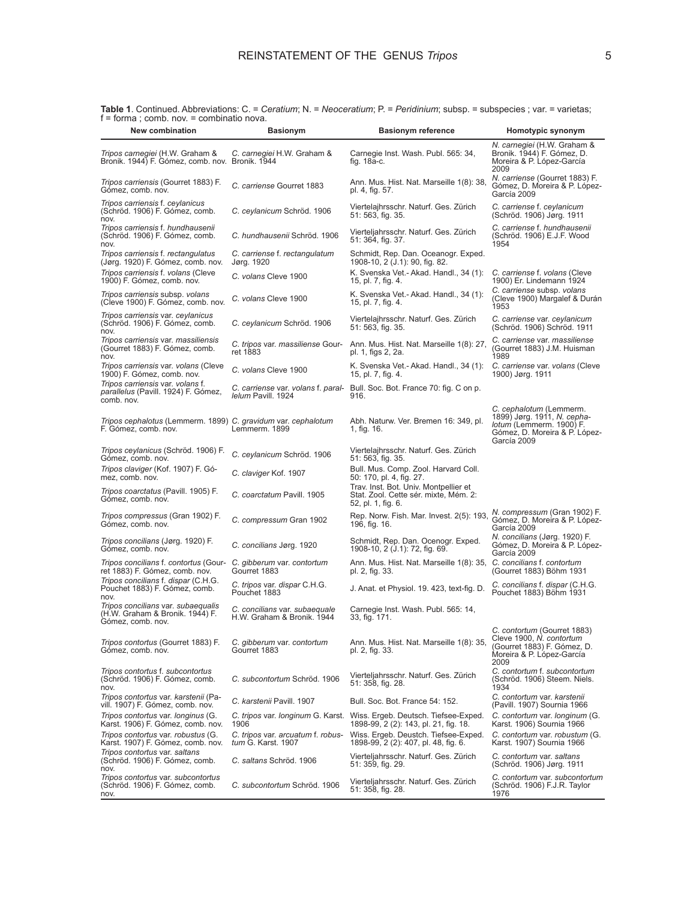| 00p.<br>"<br><b>New combination</b>                                                        | <b>Basionym</b>                                             | <b>Basionym reference</b>                                                                                       | Homotypic synonym                                                                                                                  |
|--------------------------------------------------------------------------------------------|-------------------------------------------------------------|-----------------------------------------------------------------------------------------------------------------|------------------------------------------------------------------------------------------------------------------------------------|
| Tripos carnegiei (H.W. Graham &<br>Bronik. 1944) F. Gómez, comb. nov. Bronik. 1944         | C. carnegiei H.W. Graham &                                  | Carnegie Inst. Wash. Publ. 565: 34,<br>fig. 18a-c.                                                              | N. carnegiei (H.W. Graham &<br>Bronik. 1944) F. Gómez, D.<br>Moreira & P. López-García<br>2009                                     |
| Tripos carriensis (Gourret 1883) F.<br>Gómez, comb. nov.                                   | C. carriense Gourret 1883                                   | Ann. Mus. Hist. Nat. Marseille 1(8): 38,<br>pl. 4, fig. 57.                                                     | N. carriense (Gourret 1883) F.<br>Gómez, D. Moreira & P. López-<br>García 2009                                                     |
| Tripos carriensis f. ceylanicus<br>(Schröd. 1906) F. Gómez, comb.<br>nov.                  | C. ceylanicum Schröd. 1906                                  | Viertelajhrsschr. Naturf. Ges. Zürich<br>51: 563, fig. 35.                                                      | C. carriense f. ceylanicum<br>(Schröd. 1906) Jørg. 1911                                                                            |
| Tripos carriensis f. hundhausenii<br>(Schröd. 1906) F. Gómez, comb.<br>nov.                | C. hundhausenii Schröd. 1906                                | Vierteljahrsschr. Naturf. Ges. Zürich<br>51: 364, fig. 37.                                                      | C. carriense f. hundhausenii<br>(Schröd. 1906) E.J.F. Wood<br>1954                                                                 |
| Tripos carriensis f. rectangulatus<br>(Jørg. 1920) F. Gómez, comb. nov.                    | C. carriense f. rectangulatum<br>Jørg. 1920                 | Schmidt, Rep. Dan. Oceanogr. Exped.<br>1908-10, 2 (J.1): 90, fig. 82.                                           |                                                                                                                                    |
| Tripos carriensis f. volans (Cleve<br>1900) F. Gómez, comb. nov.                           | C. volans Cleve 1900                                        | K. Svenska Vet.- Akad. Handl., 34 (1):<br>15, pl. 7, fig. 4.                                                    | C. carriense f. volans (Cleve<br>1900) Er. Lindemann 1924                                                                          |
| Tripos carriensis subsp. volans<br>(Cleve 1900) F. Gómez, comb. nov.                       | C. volans Cleve 1900                                        | K. Svenska Vet.- Akad. Handl., 34 (1):<br>15, pl. 7, fig. 4.                                                    | C. carriense subsp. volans<br>(Cleve 1900) Margalef & Durán<br>1953                                                                |
| Tripos carriensis var. ceylanicus<br>(Schröd. 1906) F. Gómez, comb.<br>nov.                | C. ceylanicum Schröd. 1906                                  | Viertelajhrsschr. Naturf. Ges. Zürich<br>51: 563, fig. 35.                                                      | C. carriense var. ceylanicum<br>(Schröd. 1906) Schröd. 1911                                                                        |
| Tripos carriensis var. massiliensis<br>(Gourret 1883) F. Gómez, comb.<br>nov.              | C. tripos var. massiliense Gour-<br>ret 1883                | Ann. Mus. Hist. Nat. Marseille 1(8): 27,<br>pl. 1, figs 2, 2a.                                                  | C. carriense var. massiliense<br>(Gourret 1883) J.M. Huisman<br>1989                                                               |
| Tripos carriensis var. volans (Cleve<br>1900) F. Gómez, comb. nov.                         | C. volans Cleve 1900                                        | K. Svenska Vet.- Akad. Handl., 34 (1):<br>15, pl. 7, fig. 4.                                                    | C. carriense var. volans (Cleve<br>1900) Jørg. 1911                                                                                |
| Tripos carriensis var. volans f.<br>parallelus (Pavill. 1924) F. Gómez,<br>comb, nov.      | <i>lelum</i> Pavill, 1924                                   | C. carriense var. volans f. paral- Bull. Soc. Bot. France 70: fig. C on p.<br>916.                              |                                                                                                                                    |
| Tripos cephalotus (Lemmerm. 1899) C. gravidum var. cephalotum<br>F. Gómez, comb. nov.      | Lemmerm. 1899                                               | Abh. Naturw. Ver. Bremen 16: 349, pl.<br>1, fig. 16.                                                            | C. cephalotum (Lemmerm.<br>1899) Jørg. 1911, N. cepha-<br>lotum (Lemmerm. 1900) F.<br>Gómez, D. Moreira & P. López-<br>García 2009 |
| Tripos ceylanicus (Schröd. 1906) F.<br>Gómez, comb. nov.                                   | C. ceylanicum Schröd. 1906                                  | Viertelajhrsschr. Naturf. Ges. Zürich<br>51: 563, fig. 35.                                                      |                                                                                                                                    |
| Tripos claviger (Kof. 1907) F. Gó-<br>mez, comb. nov.                                      | C. claviger Kof. 1907                                       | Bull. Mus. Comp. Zool. Harvard Coll.<br>50: 170, pl. 4, fig. 27.                                                |                                                                                                                                    |
| Tripos coarctatus (Pavill. 1905) F.<br>Gómez, comb. nov.                                   | C. coarctatum Pavill. 1905                                  | Trav. Inst. Bot. Univ. Montpellier et<br>Stat. Zool. Cette sér. mixte, Mém. 2:<br>52, pl. 1, fig. 6.            |                                                                                                                                    |
| Tripos compressus (Gran 1902) F.<br>Gómez, comb. nov.                                      | C. compressum Gran 1902                                     | Rep. Norw. Fish. Mar. Invest. 2(5): 193,<br>196, fig. 16.                                                       | N. compressum (Gran 1902) F.<br>Gómez, D. Moreira & P. López-<br>García 2009                                                       |
| Tripos concilians (Jørg. 1920) F.<br>Gómez, comb. nov.                                     | C. concilians Jørg. 1920                                    | Schmidt, Rep. Dan. Ocenogr. Exped.<br>1908-10, 2 (J.1): 72, fig. 69.                                            | N. concilians (Jørg. 1920) F.<br>Gómez, D. Moreira & P. López-<br>García 2009                                                      |
| Tripos concilians f. contortus (Gour-<br>ret 1883) F. Gómez, comb. nov.                    | C. gibberum var. contortum<br>Gourret 1883                  | Ann. Mus. Hist. Nat. Marseille 1(8): 35, C. concilians f. contortum<br>pl. 2, fig. 33.                          | (Gourret 1883) Böhm 1931                                                                                                           |
| Tripos concilians f. dispar (C.H.G.<br>Pouchet 1883) F. Gómez, comb.<br>nov.               | C. tripos var. dispar C.H.G.<br>Pouchet 1883                | J. Anat. et Physiol. 19. 423, text-fig. D.                                                                      | C. concilians f. dispar (C.H.G.<br>Pouchet 1883) Böhm 1931                                                                         |
| Tripos concilians var. subaequalis<br>(H.W. Graham & Bronik. 1944) F.<br>Gómez, comb. nov. | C. concilians var. subaequale<br>H.W. Graham & Bronik. 1944 | Carnegie Inst. Wash. Publ. 565: 14,<br>33, fig. 171.                                                            |                                                                                                                                    |
| Tripos contortus (Gourret 1883) F.<br>Gómez, comb. nov.                                    | C. gibberum var. contortum<br>Gourret 1883                  | Ann. Mus. Hist. Nat. Marseille 1(8): 35,<br>pl. 2, fig. 33.                                                     | C. contortum (Gourret 1883)<br>Cleve 1900, N. contortum<br>(Gourret 1883) F. Gómez, D.<br>Moreira & P. López-García<br>2009        |
| Tripos contortus f. subcontortus<br>(Schröd. 1906) F. Gómez, comb.<br>nov.                 | C. subcontortum Schröd. 1906                                | Vierteljahrsschr. Naturf. Ges. Zürich<br>51: 358, fig. 28.                                                      | C. contortum f. subcontortum<br>(Schröd. 1906) Steem. Niels.<br>1934                                                               |
| Tripos contortus var. karstenii (Pa-<br>vill. 1907) F. Gómez, comb. nov.                   | C. karstenii Pavill. 1907                                   | Bull. Soc. Bot. France 54: 152.                                                                                 | C. contortum var. karstenii<br>(Pavill. 1907) Sournia 1966                                                                         |
| Tripos contortus var. Ionginus (G.<br>Karst. 1906) F. Gómez, comb. nov.                    | 1906                                                        | C. tripos var. longinum G. Karst. Wiss. Ergeb. Deutsch. Tiefsee-Exped.<br>1898-99, 2 (2): 143, pl. 21, fig. 18. | C. contortum var. longinum (G.<br>Karst. 1906) Sournia 1966                                                                        |
| Tripos contortus var. robustus (G.<br>Karst. 1907) F. Gómez, comb. nov.                    | C. tripos var. arcuatum f. robus-<br>tum G. Karst. 1907     | Wiss. Ergeb. Deustch. Tiefsee-Exped.<br>1898-99, 2 (2): 407, pl. 48, fig. 6.                                    | C. contortum var. robustum (G.<br>Karst. 1907) Sournia 1966                                                                        |
| Tripos contortus var. saltans<br>(Schröd. 1906) F. Gómez, comb.<br>nov.                    | C. saltans Schröd. 1906                                     | Vierteljahrsschr. Naturf. Ges. Zürich<br>51: 359, fig. 29.                                                      | C. contortum var. saltans<br>(Schröd. 1906) Jørg. 1911                                                                             |
| Tripos contortus var. subcontortus<br>(Schröd. 1906) F. Gómez, comb.<br>nov.               | C. subcontortum Schröd. 1906                                | Vierteljahrsschr. Naturf. Ges. Zürich<br>51: 358, fig. 28.                                                      | C. contortum var. subcontortum<br>(Schröd. 1906) F.J.R. Taylor<br>1976                                                             |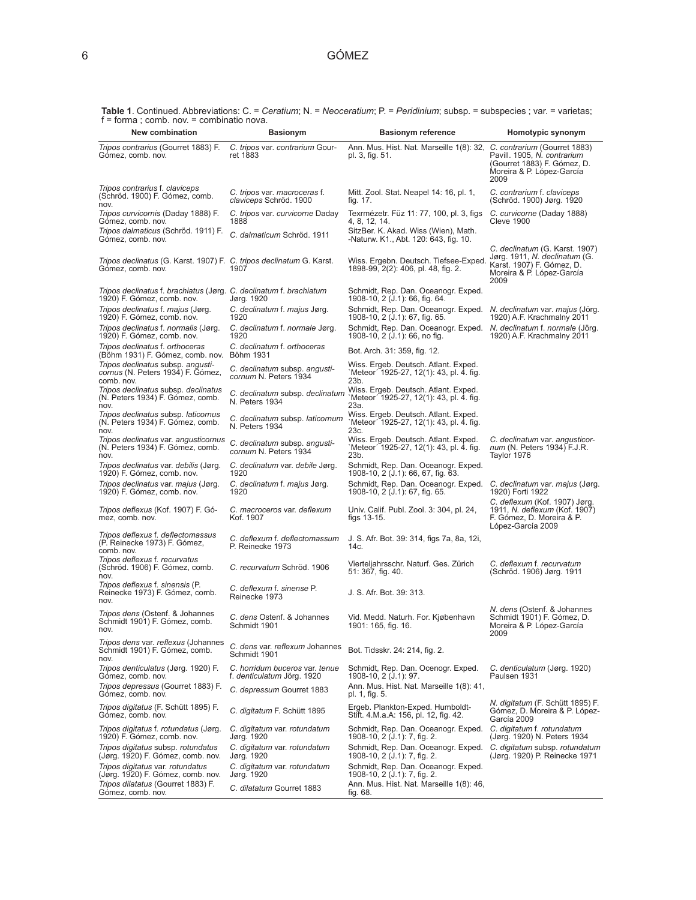| t = forma ; comb. nov. = combinatio nova.<br>New combination                                     | <b>Basionym</b>                                              | <b>Basionym reference</b>                                                                            | Homotypic synonym                                                                                                                 |
|--------------------------------------------------------------------------------------------------|--------------------------------------------------------------|------------------------------------------------------------------------------------------------------|-----------------------------------------------------------------------------------------------------------------------------------|
| Tripos contrarius (Gourret 1883) F.<br>Gómez, comb. nov.                                         | C. tripos var. contrarium Gour-<br>ret 1883                  | Ann. Mus. Hist. Nat. Marseille 1(8): 32, C. contrarium (Gourret 1883)<br>pl. 3, fig. 51.             | Pavill. 1905, N. contrarium<br>(Gourret 1883) F. Gómez, D.<br>Moreira & P. López-García<br>2009                                   |
| Tripos contrarius f. claviceps<br>(Schröd. 1900) F. Gómez, comb.<br>nov.                         | C. tripos var. macroceras f.<br>claviceps Schröd. 1900       | Mitt. Zool. Stat. Neapel 14: 16, pl. 1,<br>fig. 17.                                                  | C. contrarium f. claviceps<br>(Schröd. 1900) Jørg. 1920                                                                           |
| Tripos curvicornis (Daday 1888) F.<br>Gómez, comb. nov.                                          | C. tripos var. curvicorne Daday<br>1888                      | Texrmézetr. Füz 11: 77, 100, pl. 3, figs<br>4, 8, 12, 14.                                            | C. curvicorne (Daday 1888)<br><b>Cleve 1900</b>                                                                                   |
| Tripos dalmaticus (Schröd. 1911) F.<br>Gómez, comb. nov.                                         | C. dalmaticum Schröd. 1911                                   | SitzBer. K. Akad. Wiss (Wien), Math.<br>-Naturw. K1., Abt. 120: 643, fig. 10.                        |                                                                                                                                   |
| Tripos declinatus (G. Karst. 1907) F. C. tripos declinatum G. Karst.<br>Gómez, comb. nov.        | 1907                                                         | Wiss. Ergebn. Deutsch. Tiefsee-Exped.<br>1898-99, 2(2): 406, pl. 48, fig. 2.                         | C. declinatum (G. Karst. 1907)<br>Jørg. 1911, N. declinatum (G.<br>Karst. 1907) F. Gómez, D.<br>Moreira & P. López-García<br>2009 |
| Tripos declinatus f. brachiatus (Jørg. C. declinatum f. brachiatum<br>1920) F. Gómez, comb. nov. | Jørg. 1920                                                   | Schmidt, Rep. Dan. Oceanogr. Exped.<br>1908-10, 2 (J.1): 66, fig. 64.                                |                                                                                                                                   |
| Tripos declinatus f. majus (Jørg.<br>1920) F. Gómez, comb. nov.                                  | C. declinatum f. majus Jørg.<br>1920                         | Schmidt, Rep. Dan. Oceanogr. Exped.<br>1908-10, 2 (J.1): 67, fig. 65.                                | N. declinatum var. majus (Jörg.<br>1920) A.F. Krachmalny 2011                                                                     |
| Tripos declinatus f. normalis (Jørg.<br>1920) F. Gómez, comb. nov.                               | C. declinatum f. normale Jørg.<br>1920                       | Schmidt, Rep. Dan. Oceanogr. Exped.<br>1908-10, 2 (J.1): 66, no fig.                                 | N. declinatum f. normale (Jörg.<br>1920) A.F. Krachmalny 2011                                                                     |
| Tripos declinatus f. orthoceras<br>(Böhm 1931) F. Gómez, comb. nov. Böhm 1931                    | C. declinatum f. orthoceras                                  | Bot. Arch. 31: 359, fig. 12.                                                                         |                                                                                                                                   |
| Tripos declinatus subsp. angusti-<br>cornus (N. Peters 1934) F. Gómez,<br>comb. nov.             | C. declinatum subsp. angusti-<br>cornum N. Peters 1934       | Wiss. Ergeb. Deutsch. Atlant. Exped.<br>`Meteor <sup>2</sup> 1925-27, 12(1): 43, pl. 4. fig.<br>23b. |                                                                                                                                   |
| Tripos declinatus subsp. declinatus<br>(N. Peters 1934) F. Gómez, comb.<br>nov.                  | C. declinatum subsp. declinatum<br><b>N. Peters 1934</b>     | Wiss. Ergeb. Deutsch. Atlant. Exped.<br>`Meteor´ 1925-27, 12(1): 43, pl. 4. fig.<br>23a.             |                                                                                                                                   |
| Tripos declinatus subsp. laticornus<br>(N. Peters 1934) F. Gómez, comb.<br>nov.                  | C. declinatum subsp. laticornum<br>N. Peters 1934            | Wiss. Ergeb. Deutsch. Atlant. Exped.<br>`Meteor´ 1925-27, 12(1): 43, pl. 4. fig.<br>23c.             |                                                                                                                                   |
| Tripos declinatus var. angusticornus<br>(N. Peters 1934) F. Gómez, comb.<br>nov.                 | C. declinatum subsp. angusti-<br>cornum N. Peters 1934       | Wiss. Ergeb. Deutsch. Atlant. Exped.<br>`Meteor´ 1925-27, 12(1): 43, pl. 4. fig.<br>23b.             | C. declinatum var. angusticor-<br>num (N. Peters 1934) F.J.R.<br>Taylor 1976                                                      |
| Tripos declinatus var. debilis (Jørg.<br>1920) F. Gómez, comb. nov.                              | C. declinatum var. debile Jørg.<br>1920                      | Schmidt, Rep. Dan. Oceanogr. Exped.<br>1908-10, 2 (J.1): 66, 67, fig. 63.                            |                                                                                                                                   |
| Tripos declinatus var. majus (Jørg.<br>1920) F. Gómez, comb. nov.                                | C. declinatum f. majus Jørg.<br>1920                         | Schmidt, Rep. Dan. Oceanogr. Exped.<br>1908-10, 2 (J.1): 67, fig. 65.                                | C. declinatum var. majus (Jørg.<br>1920) Forti 1922                                                                               |
| Tripos deflexus (Kof. 1907) F. Gó-<br>mez, comb. nov.                                            | C. macroceros var. deflexum<br>Kof. 1907                     | Univ. Calif. Publ. Zool. 3: 304, pl. 24,<br>figs $13-15$ .                                           | C. deflexum (Kof. 1907) Jørg.<br>1911, <i>N. deflexum</i> (Kof. 1907)<br>F. Gómez, D. Moreira & P.<br>López-García 2009           |
| Tripos deflexus f. deflectomassus<br>(P. Reinecke 1973) F. Gómez,<br>comb. nov.                  | C. deflexum f. deflectomassum<br>P. Reinecke 1973            | J. S. Afr. Bot. 39: 314, figs 7a, 8a, 12i,<br>14c.                                                   |                                                                                                                                   |
| Tripos deflexus f. recurvatus<br>(Schröd. 1906) F. Gómez, comb.<br>nov.                          | C. recurvatum Schröd. 1906                                   | Vierteljahrsschr. Naturf. Ges. Zürich<br>51: 367, fig. 40.                                           | C. deflexum f. recurvatum<br>(Schröd. 1906) Jørg. 1911                                                                            |
| Tripos deflexus f. sinensis (P.<br>Reinecke 1973) F. Gómez, comb.<br>nov.                        | C. deflexum f. sinense P.<br>Reinecke 1973                   | J. S. Afr. Bot. 39: 313.                                                                             |                                                                                                                                   |
| Tripos dens (Ostenf. & Johannes<br>Schmidt 1901) F. Gómez, comb.                                 | C. dens Ostenf. & Johannes<br>Schmidt 1901                   | Vid. Medd. Naturh. For. Kiøbenhavn<br>1901: 165, fig. 16.                                            | N. dens (Ostenf. & Johannes<br>Schmidt 1901) F. Gómez, D.<br>Moreira & P. López-García<br>2009                                    |
| Tripos dens var. reflexus (Johannes<br>Schmidt 1901) F. Gómez, comb.<br>nov.                     | C. dens var. reflexum Johannes<br>Schmidt 1901               | Bot. Tidsskr. 24: 214, fig. 2.                                                                       |                                                                                                                                   |
| Tripos denticulatus (Jørg. 1920) F.<br>Gómez, comb. nov.                                         | C. horridum buceros var. tenue<br>f. denticulatum Jörg. 1920 | Schmidt, Rep. Dan. Ocenogr. Exped.<br>1908-10, 2 (J.1): 97.                                          | C. denticulatum (Jørg. 1920)<br>Paulsen 1931                                                                                      |
| Tripos depressus (Gourret 1883) F.<br>Gómez, comb. nov.                                          | C. depressum Gourret 1883                                    | Ann. Mus. Hist. Nat. Marseille 1(8): 41,<br>pl. 1, fig. 5.                                           |                                                                                                                                   |
| Tripos digitatus (F. Schütt 1895) F.<br>Gómez, comb. nov.                                        | C. digitatum F. Schütt 1895                                  | Ergeb. Plankton-Exped. Humboldt-<br>Stift. 4.M.a.A: 156, pl. 12, fig. 42.                            | <i>N. digitatum</i> (F. Schütt 1895) F.<br>Gómez, D. Moreira & P. López-<br>García 2009                                           |
| Tripos digitatus f. rotundatus (Jørg.<br>1920) F. Gómez, comb. nov.                              | C. digitatum var. rotundatum<br>Jørg. 1920                   | Schmidt, Rep. Dan. Oceanogr. Exped.<br>1908-10, 2 (J.1): 7, fig. 2.                                  | C. digitatum f. rotundatum<br>(Jørg. 1920) N. Peters 1934                                                                         |
| Tripos digitatus subsp. rotundatus<br>(Jørg. 1920) F. Gómez, comb. nov.                          | C. digitatum var. rotundatum<br>Jørg. 1920                   | Schmidt, Rep. Dan. Oceanogr. Exped. C. digitatum subsp. rotundatum<br>1908-10, 2 (J.1): 7, fig. 2.   | (Jørg. 1920) P. Reinecke 1971                                                                                                     |
| Tripos digitatus var. rotundatus<br>(Jørg. 1920) F. Gómez, comb. nov.                            | C. digitatum var. rotundatum<br>Jørg. 1920                   | Schmidt, Rep. Dan. Oceanogr. Exped.<br>1908-10, 2 (J.1): 7, fig. 2.                                  |                                                                                                                                   |
| Tripos dilatatus (Gourret 1883) F.<br>Gómez, comb. nov.                                          | C. dilatatum Gourret 1883                                    | Ann. Mus. Hist. Nat. Marseille 1(8): 46,<br>fig. 68.                                                 |                                                                                                                                   |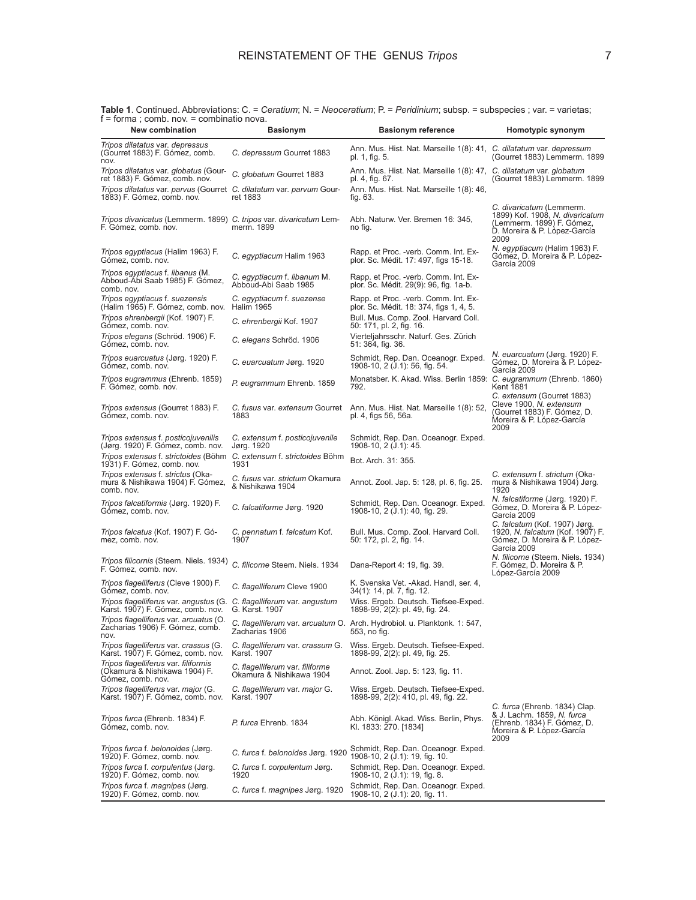| $T = 101111a$ , comp. Nov. $=$ complitation lova.<br>New combination                                                      | <b>Basionym</b>                                             | <b>Basionym reference</b>                                                                | Homotypic synonym                                                                                                                |
|---------------------------------------------------------------------------------------------------------------------------|-------------------------------------------------------------|------------------------------------------------------------------------------------------|----------------------------------------------------------------------------------------------------------------------------------|
| Tripos dilatatus var. depressus<br>(Gourret 1883) F. Gómez, comb.<br>nov.                                                 | C. depressum Gourret 1883                                   | Ann. Mus. Hist. Nat. Marseille 1(8): 41, C. dilatatum var. depressum<br>pl. 1, fig. 5.   | (Gourret 1883) Lemmerm. 1899                                                                                                     |
| Tripos dilatatus var. globatus (Gour-<br>ret 1883) F. Gómez, comb. nov.                                                   | C. globatum Gourret 1883                                    | Ann. Mus. Hist. Nat. Marseille 1(8): 47, C. dilatatum var. globatum<br>pl. 4, fig. 67.   | (Gourret 1883) Lemmerm. 1899                                                                                                     |
| Tripos dilatatus var. parvus (Gourret C. dilatatum var. parvum Gour-<br>1883) F. Gómez, comb. nov.                        | ret 1883                                                    | Ann. Mus. Hist. Nat. Marseille 1(8): 46,<br>fig. 63.                                     |                                                                                                                                  |
| Tripos divaricatus (Lemmerm. 1899) C. tripos var. divaricatum Lem-<br>F. Gómez, comb. nov.                                | merm. 1899                                                  | Abh. Naturw. Ver. Bremen 16: 345,<br>no fig.                                             | C. divaricatum (Lemmerm.<br>1899) Kof. 1908, N. divaricatum<br>(Lemmerm. 1899) F. Gómez,<br>D. Moreira & P. López-García<br>2009 |
| Tripos egyptiacus (Halim 1963) F.<br>Gómez, comb. nov.                                                                    | C. egyptiacum Halim 1963                                    | Rapp. et Proc. -verb. Comm. Int. Ex-<br>plor. Sc. Médit. 17: 497, figs 15-18.            | N. egyptiacum (Halim 1963) F.<br>Gómez, D. Moreira & P. López-<br>García 2009                                                    |
| Tripos egyptiacus f. libanus (M.<br>Abboud-Abi Saab 1985) F. Gómez,<br>comb. nov.                                         | C. egyptiacum f. libanum M.<br>Abboud-Abi Saab 1985         | Rapp. et Proc. -verb. Comm. Int. Ex-<br>plor. Sc. Médit. 29(9): 96, fig. 1a-b.           |                                                                                                                                  |
| Tripos egyptiacus f. suezensis<br>(Halim 1965) F. Gómez, comb. nov.                                                       | C. egyptiacum f. suezense<br><b>Halim 1965</b>              | Rapp. et Proc. -verb. Comm. Int. Ex-<br>plor. Sc. Médit. 18: 374, figs 1, 4, 5.          |                                                                                                                                  |
| Tripos ehrenbergii (Kof. 1907) F.<br>Gómez, comb. nov.                                                                    | C. ehrenbergii Kof. 1907                                    | Bull. Mus. Comp. Zool. Harvard Coll.<br>50: 171, pl. 2, fig. 16.                         |                                                                                                                                  |
| Tripos elegans (Schröd. 1906) F.<br>Gómez, comb. nov.                                                                     | C. elegans Schröd. 1906                                     | Vierteljahrsschr. Naturf. Ges. Zürich<br>51: 364, fig. 36.                               |                                                                                                                                  |
| Tripos euarcuatus (Jørg. 1920) F.<br>Gómez, comb. nov.                                                                    | C. euarcuatum Jørg. 1920                                    | Schmidt, Rep. Dan. Oceanogr. Exped.<br>1908-10, 2 (J.1): 56, fig. 54.                    | N. euarcuatum (Jørg. 1920) F.<br>Gómez, D. Moreira & P. López-<br>García 2009                                                    |
| Tripos eugrammus (Ehrenb. 1859)<br>F. Gómez, comb. nov.                                                                   | P. eugrammum Ehrenb. 1859                                   | Monatsber. K. Akad. Wiss. Berlin 1859: C. eugrammum (Ehrenb. 1860)<br>792.               | Kent 1881<br>C. extensum (Gourret 1883)                                                                                          |
| Tripos extensus (Gourret 1883) F.<br>Gómez, comb. nov.                                                                    | C. fusus var. extensum Gourret<br>1883                      | Ann. Mus. Hist. Nat. Marseille 1(8): 52,<br>pl. 4, figs 56, 56a.                         | Cleve 1900, N. extensum<br>(Gourret 1883) F. Gómez, D.<br>Moreira & P. López-García<br>2009                                      |
| Tripos extensus f. posticojuvenilis<br>(Jørg. 1920) F. Gómez, comb. nov.                                                  | C. extensum f. posticojuvenile<br>Jørg. 1920                | Schmidt, Rep. Dan. Oceanogr. Exped.<br>1908-10, 2 (J.1): 45.                             |                                                                                                                                  |
| Tripos extensus f. strictoides (Böhm C. extensum f. strictoides Böhm<br>1931) F. Gómez, comb. nov.                        | 1931                                                        | Bot. Arch. 31: 355.                                                                      |                                                                                                                                  |
| Tripos extensus f. strictus (Oka-<br>mura & Nishikawa 1904) F. Gómez,<br>comb. nov.                                       | C. fusus var. strictum Okamura<br>& Nishikawa 1904          | Annot. Zool. Jap. 5: 128, pl. 6, fig. 25.                                                | C. extensum f. strictum (Oka-<br>mura & Nishikawa 1904) Jørg.<br>1920                                                            |
| Tripos falcatiformis (Jørg. 1920) F.<br>Gómez, comb. nov.                                                                 | C. falcatiforme Jørg. 1920                                  | Schmidt, Rep. Dan. Oceanogr. Exped.<br>1908-10, 2 (J.1): 40, fig. 29.                    | N. falcatiforme (Jørg. 1920) F.<br>Gómez, D. Moreira & P. López-<br>García 2009                                                  |
| Tripos falcatus (Kof. 1907) F. Gó-<br>mez, comb. nov.                                                                     | C. pennatum f. falcatum Kof.<br>1907                        | Bull. Mus. Comp. Zool. Harvard Coll.<br>50: 172, pl. 2, fig. 14.                         | C. falcatum (Kof. 1907) Jørg.<br>1920, N. falcatum (Kof. 1907) F.<br>Gómez, D. Moreira & P. López-<br>García 2009                |
| Tripos filicornis (Steem. Niels. 1934)<br>F. Gómez, comb. nov.                                                            | C. filicorne Steem. Niels. 1934                             | Dana-Report 4: 19, fig. 39.                                                              | N. filicorne (Steem. Niels. 1934)<br>F. Gómez, D. Moreira & P.<br>López-García 2009                                              |
| Tripos flagelliferus (Cleve 1900) F.<br>Gómez, comb. nov.                                                                 | C. flagelliferum Cleve 1900                                 | K. Svenska Vet. -Akad. Handl, ser. 4,<br>34(1): 14, pl. 7, fig. 12.                      |                                                                                                                                  |
| Tripos flagelliferus var. angustus (G. C. flagelliferum var. angustum<br>Karst. 1907) F. Gómez, comb. nov. G. Karst. 1907 |                                                             | Wiss. Ergeb. Deutsch. Tiefsee-Exped.<br>1898-99, 2(2): pl. 49, fig. 24.                  |                                                                                                                                  |
| Tripos flagelliferus var. arcuatus (O.<br>Zacharias 1906) F. Gómez, comb.<br>nov.                                         | Zacharias 1906                                              | C. flagelliferum var. arcuatum O. Arch. Hydrobiol. u. Planktonk. 1: 547,<br>553, no fig. |                                                                                                                                  |
| <i>Tripos flagelliferus var. crassus (G.</i><br>Karst. 1907) F. Gómez, comb. nov.                                         | C. flagelliferum var. crassum G.<br>Karst. 1907             | Wiss. Ergeb. Deutsch. Tiefsee-Exped.<br>1898-99, 2(2): pl. 49, fig. 25.                  |                                                                                                                                  |
| Tripos flagelliferus var. filiformis<br>(Okamura & Nishikawa 1904) F.<br>Gómez, comb. nov.                                | C. flagelliferum var. filiforme<br>Okamura & Nishikawa 1904 | Annot. Zool. Jap. 5: 123, fig. 11.                                                       |                                                                                                                                  |
| Tripos flagelliferus var. major (G.<br>Karst. 1907) F. Gómez, comb. nov.                                                  | C. flagelliferum var. major G.<br>Karst. 1907               | Wiss. Ergeb. Deutsch. Tiefsee-Exped.<br>1898-99, 2(2): 410, pl. 49, fig. 22.             |                                                                                                                                  |
| Tripos furca (Ehrenb. 1834) F.<br>Gómez, comb. nov.                                                                       | P. furca Ehrenb, 1834                                       | Abh. Königl. Akad. Wiss. Berlin, Phys.<br>Kl. 1833: 270. [1834]                          | C. furca (Ehrenb. 1834) Clap.<br>& J. Lachm. 1859, N. furca<br>(Ehrenb. 1834) F. Gómez, D.<br>Moreira & P. López-García<br>2009  |
| Tripos furca f. belonoides (Jørg.<br>1920) F. Gómez, comb. nov.                                                           | C. furca f. belonoides Jørg. 1920                           | Schmidt, Rep. Dan. Oceanogr. Exped.<br>1908-10, 2 (J.1): 19, fig. 10.                    |                                                                                                                                  |
| Tripos furca f. corpulentus (Jørg.<br>1920) F. Gómez, comb. nov.                                                          | C. furca f. corpulentum Jørg.<br>1920                       | Schmidt, Rep. Dan. Oceanogr. Exped.<br>1908-10, 2 (J.1): 19, fig. 8.                     |                                                                                                                                  |
| Tripos furca f. magnipes (Jørg.<br>1920) F. Gómez, comb. nov.                                                             | C. furca f. magnipes Jørg. 1920                             | Schmidt, Rep. Dan. Oceanogr. Exped.<br>1908-10, 2 (J.1): 20, fig. 11.                    |                                                                                                                                  |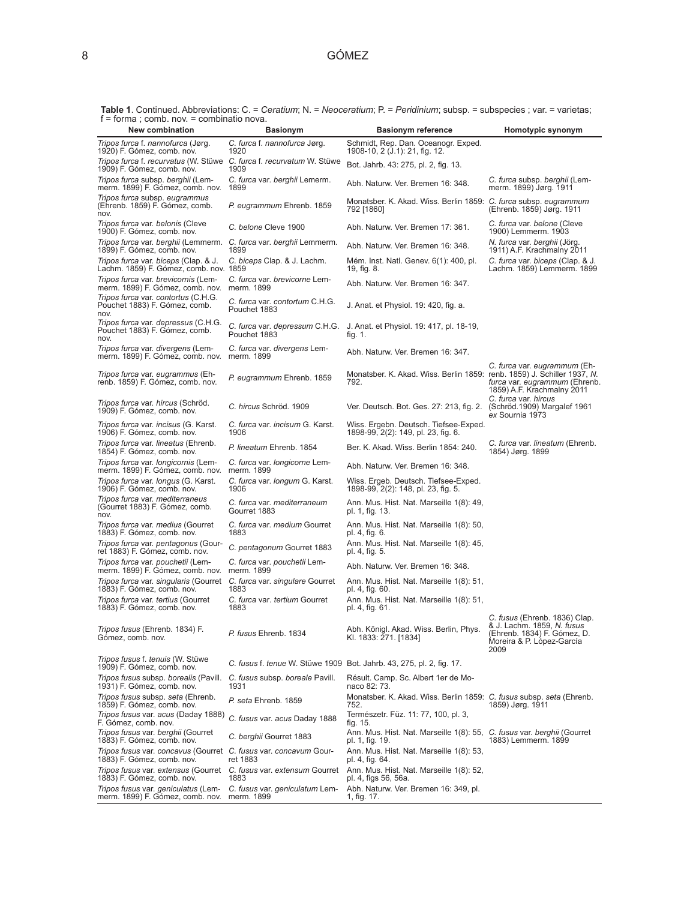| T – forma, comp. nov. – compilatio nova.                                                            |                                                |                                                                                            |                                                                                                                                 |
|-----------------------------------------------------------------------------------------------------|------------------------------------------------|--------------------------------------------------------------------------------------------|---------------------------------------------------------------------------------------------------------------------------------|
| <b>New combination</b>                                                                              | <b>Basionym</b>                                | <b>Basionym reference</b>                                                                  | Homotypic synonym                                                                                                               |
| Tripos furca f. nannofurca (Jørg.<br>1920) F. Gómez, comb. nov.                                     | C. furca f. nannofurca Jørg.<br>1920           | Schmidt, Rep. Dan. Oceanogr. Exped.<br>1908-10, 2 (J.1): 21, fig. 12.                      |                                                                                                                                 |
| Tripos furca f. recurvatus (W. Stüwe C. furca f. recurvatum W. Stüwe<br>1909) F. Gómez, comb. nov.  | 1909                                           | Bot. Jahrb. 43: 275, pl. 2, fig. 13.                                                       |                                                                                                                                 |
| Tripos furca subsp. berghii (Lem-<br>merm. 1899) F. Gómez, comb. nov.                               | C. furca var. berghii Lemerm.<br>1899          | Abh. Naturw. Ver. Bremen 16: 348.                                                          | C. furca subsp. berghii (Lem-<br>merm. 1899) Jørg. 1911                                                                         |
| Tripos furca subsp. eugrammus<br>(Ehrenb. 1859) F. Gómez, comb.<br>nov.                             | P. eugrammum Ehrenb. 1859                      | Monatsber. K. Akad. Wiss. Berlin 1859: C. furca subsp. eugrammum<br>792 [1860]             | (Ehrenb. 1859) Jørg. 1911                                                                                                       |
| <i>Tripos furca var. belonis (Cleve</i><br>1900) F. Gómez, comb. nov.                               | C. belone Cleve 1900                           | Abh. Naturw. Ver. Bremen 17: 361.                                                          | C. furca var. belone (Cleve<br>1900) Lemmerm. 1903                                                                              |
| Tripos furca var. berghii (Lemmerm. C. furca var. berghii Lemmerm.<br>1899) F. Gómez, comb. nov.    | 1899                                           | Abh. Naturw. Ver. Bremen 16: 348.                                                          | N. furca var. berghii (Jörg.<br>1911) A.F. Krachmalny 2011                                                                      |
| Tripos furca var. biceps (Clap. & J.<br>Lachm. 1859) F. Gómez, comb. nov. 1859                      | C. biceps Clap. & J. Lachm.                    | Mém. Inst. Natl. Genev. 6(1): 400, pl.<br>19, fig. 8.                                      | C. furca var. biceps (Clap. & J.<br>Lachm. 1859) Lemmerm. 1899                                                                  |
| Tripos furca var. brevicornis (Lem-<br>merm. 1899) F. Gómez, comb. nov.                             | C. furca var. brevicorne Lem-<br>merm. 1899    | Abh. Naturw. Ver. Bremen 16: 347.                                                          |                                                                                                                                 |
| Tripos furca var. contortus (C.H.G.<br>Pouchet 1883) F. Gómez, comb.<br>nov.                        | C. furca var. contortum C.H.G.<br>Pouchet 1883 | J. Anat. et Physiol. 19: 420, fig. a.                                                      |                                                                                                                                 |
| Tripos furca var. depressus (C.H.G.<br>Pouchet 1883) F. Gómez, comb.<br>nov.                        | C. furca var. depressum C.H.G.<br>Pouchet 1883 | J. Anat. et Physiol. 19: 417, pl. 18-19,<br>tig. 1.                                        |                                                                                                                                 |
| Tripos furca var. divergens (Lem-<br>merm. 1899) F. Gómez, comb. nov.                               | C. furca var. divergens Lem-<br>merm. 1899     | Abh. Naturw. Ver. Bremen 16: 347.                                                          |                                                                                                                                 |
| Tripos furca var. eugrammus (Eh-<br>renb. 1859) F. Gómez, comb. nov.                                | P. eugrammum Ehrenb. 1859                      | Monatsber. K. Akad. Wiss. Berlin 1859: renb. 1859) J. Schiller 1937, N.<br>792.            | C. furca var. eugrammum (Eh-<br><i>furca var. eugrammum</i> (Ehrenb.<br>1859) A.F. Krachmalny 2011                              |
| Tripos furca var. hircus (Schröd.<br>1909) F. Gómez, comb. nov.                                     | C. hircus Schröd. 1909                         | Ver. Deutsch. Bot. Ges. 27: 213, fig. 2. (Schröd. 1909) Margalef 1961                      | C. furca var. hircus<br>ex Sournia 1973                                                                                         |
| Tripos furca var. incisus (G. Karst.<br>1906) F. Gómez, comb. nov.                                  | C. furca var. incisum G. Karst.<br>1906        | Wiss. Ergebn. Deutsch. Tiefsee-Exped.<br>1898-99, 2(2): 149, pl. 23, fig. 6.               |                                                                                                                                 |
| Tripos furca var. lineatus (Ehrenb.<br>1854) F. Gómez, comb. nov.                                   | P. lineatum Ehrenb, 1854                       | Ber. K. Akad. Wiss. Berlin 1854: 240.                                                      | C. furca var. lineatum (Ehrenb.<br>1854) Jørg. 1899                                                                             |
| Tripos furca var. longicornis (Lem-<br>merm. 1899) F. Gómez, comb. nov.                             | C. furca var. longicorne Lem-<br>merm. 1899    | Abh. Naturw. Ver. Bremen 16: 348.                                                          |                                                                                                                                 |
| Tripos furca var. longus (G. Karst.<br>1906) F. Gómez, comb. nov.                                   | C. furca var. longum G. Karst.<br>1906         | Wiss. Ergeb. Deutsch. Tiefsee-Exped.<br>1898-99, 2(2): 148, pl. 23, fig. 5.                |                                                                                                                                 |
| Tripos furca var. mediterraneus<br>(Gourret 1883) F. Gómez, comb.<br>nov.                           | C. furca var. mediterraneum<br>Gourret 1883    | Ann. Mus. Hist. Nat. Marseille 1(8): 49,<br>pl. 1, fig. 13.                                |                                                                                                                                 |
| <i>Tripos furca var. medius (Gourret</i><br>1883) F. Gómez, comb. nov.                              | C. furca var. medium Gourret<br>1883           | Ann. Mus. Hist. Nat. Marseille 1(8): 50,<br>pl. 4, fig. 6.                                 |                                                                                                                                 |
| Tripos furca var. pentagonus (Gour-<br>ret 1883) F. Gómez, comb. nov.                               | C. pentagonum Gourret 1883                     | Ann. Mus. Hist. Nat. Marseille 1(8): 45,<br>pl. 4, fig. 5.                                 |                                                                                                                                 |
| Tripos furca var. pouchetii (Lem-<br>merm. 1899) F. Gómez, comb. nov.                               | C. furca var. pouchetii Lem-<br>merm. 1899     | Abh. Naturw. Ver. Bremen 16: 348.                                                          |                                                                                                                                 |
| Tripos furca var. singularis (Gourret C. furca var. singulare Gourret<br>1883) F. Gómez, comb. nov. | 1883                                           | Ann. Mus. Hist. Nat. Marseille 1(8): 51,<br>pl. 4, fig. 60.                                |                                                                                                                                 |
| Tripos furca var. tertius (Gourret<br>1883) F. Gómez, comb. nov.                                    | C. furca var. tertium Gourret<br>1883          | Ann. Mus. Hist. Nat. Marseille 1(8): 51,<br>pl. 4, fig. 61.                                |                                                                                                                                 |
| Tripos fusus (Ehrenb. 1834) F.<br>Gómez, comb. nov.                                                 | P. fusus Ehrenb. 1834                          | Abh. Königl. Akad. Wiss. Berlin, Phys.<br>Kl. 1833: 271. [1834]                            | C. fusus (Ehrenb. 1836) Clap.<br>& J. Lachm. 1859, N. fusus<br>(Ehrenb. 1834) F. Gómez, D.<br>Moreira & P. López-García<br>2009 |
| Tripos fusus f. tenuis (W. Stüwe<br>1909) F. Gómez, comb. nov.                                      |                                                | C. fusus f. tenue W. Stüwe 1909 Bot. Jahrb. 43, 275, pl. 2, fig. 17.                       |                                                                                                                                 |
| Tripos fusus subsp. borealis (Pavill.<br>1931) F. Gómez, comb. nov.                                 | C. fusus subsp. boreale Pavill.<br>1931        | Résult. Camp. Sc. Albert 1er de Mo-<br>naco 82: 73.                                        |                                                                                                                                 |
| Tripos fusus subsp. seta (Ehrenb.<br>1859) F. Gómez, comb. nov.                                     | P. seta Ehrenb. 1859                           | Monatsber. K. Akad. Wiss. Berlin 1859: C. fusus subsp. seta (Ehrenb.<br>752.               | 1859) Jørg. 1911                                                                                                                |
| Tripos fusus var. acus (Daday 1888)<br>F. Gómez, comb. nov.                                         | C. fusus var. acus Daday 1888                  | Természetr. Füz. 11: 77, 100, pl. 3,<br>fig. 15.                                           |                                                                                                                                 |
| Tripos fusus var. berghii (Gourret<br>1883) F. Gómez, comb. nov.                                    | C. berghii Gourret 1883                        | Ann. Mus. Hist. Nat. Marseille 1(8): 55, C. fusus var. berghii (Gourret<br>pl. 1, fig. 19. | 1883) Lemmerm. 1899                                                                                                             |
| Tripos fusus var. concavus (Gourret C. fusus var. concavum Gour-<br>1883) F. Gómez, comb. nov.      | ret 1883                                       | Ann. Mus. Hist. Nat. Marseille 1(8): 53,<br>pl. 4, fig. 64.                                |                                                                                                                                 |
| Tripos fusus var. extensus (Gourret C. fusus var. extensum Gourret<br>1883) F. Gómez, comb. nov.    | 1883                                           | Ann. Mus. Hist. Nat. Marseille 1(8): 52,<br>pl. 4, figs 56, 56a.                           |                                                                                                                                 |
| Tripos fusus var. geniculatus (Lem-<br>merm. 1899) F. Gómez, comb. nov.                             | C. fusus var. geniculatum Lem-<br>merm. 1899   | Abh. Naturw. Ver. Bremen 16: 349, pl.<br>1, fig. 17.                                       |                                                                                                                                 |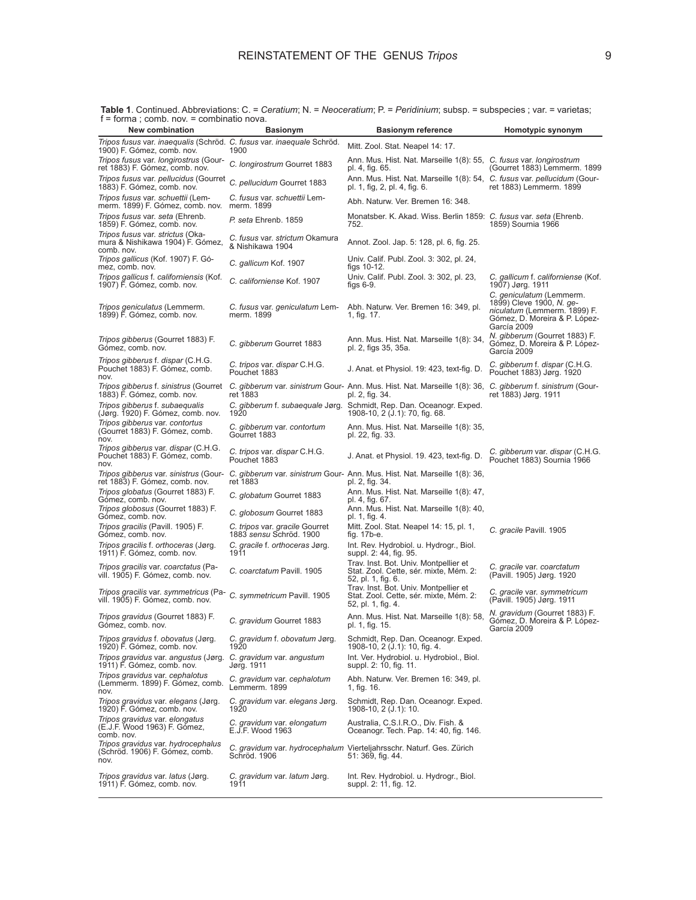| <b>New combination</b>                                                                              | <b>Basionym</b>                                           | <b>Basionym reference</b>                                                                                                    | Homotypic synonym                                                                                                                    |
|-----------------------------------------------------------------------------------------------------|-----------------------------------------------------------|------------------------------------------------------------------------------------------------------------------------------|--------------------------------------------------------------------------------------------------------------------------------------|
| Tripos fusus var. inaequalis (Schröd. C. fusus var. inaequale Schröd.<br>1900) F. Gómez, comb. nov. | 1900                                                      | Mitt. Zool. Stat. Neapel 14: 17.                                                                                             |                                                                                                                                      |
| Tripos fusus var. longirostrus (Gour-<br>ret 1883) F. Gómez, comb. nov.                             | C. longirostrum Gourret 1883                              | Ann. Mus. Hist. Nat. Marseille 1(8): 55, C. fusus var. longirostrum<br>pl. 4, fig. 65.                                       | (Gourret 1883) Lemmerm. 1899                                                                                                         |
| Tripos fusus var. pellucidus (Gourret<br>1883) F. Gómez, comb. nov.                                 | C. pellucidum Gourret 1883                                | Ann. Mus. Hist. Nat. Marseille 1(8): 54, C. fusus var. pellucidum (Gour-<br>pl. 1, fig, 2, pl. 4, fig. 6.                    | ret 1883) Lemmerm. 1899                                                                                                              |
| Tripos fusus var. schuettii (Lem-<br>merm. 1899) F. Gómez, comb. nov.                               | C. fusus var. schuettii Lem-<br>merm. 1899                | Abh. Naturw. Ver. Bremen 16: 348.                                                                                            |                                                                                                                                      |
| Tripos fusus var. seta (Ehrenb.<br>1859) F. Gómez, comb. nov.                                       | P. seta Ehrenb. 1859                                      | Monatsber. K. Akad. Wiss. Berlin 1859: C. fusus var. seta (Ehrenb.<br>752.                                                   | 1859) Sournia 1966                                                                                                                   |
| Tripos fusus var. strictus (Oka-<br>mura & Nishikawa 1904) F. Gómez,<br>comb. nov.                  | C. fusus var. strictum Okamura<br>& Nishikawa 1904        | Annot. Zool. Jap. 5: 128, pl. 6, fig. 25.                                                                                    |                                                                                                                                      |
| Tripos gallicus (Kof. 1907) F. Gó-<br>mez, comb. nov.                                               | C. gallicum Kof. 1907                                     | Univ. Calif. Publ. Zool. 3: 302, pl. 24,<br>figs 10-12.                                                                      |                                                                                                                                      |
| Tripos gallicus f. californiensis (Kof.<br>1907) F. Gómez, comb. nov.                               | C. californiense Kof. 1907                                | Univ. Calif. Publ. Zool. 3: 302, pl. 23,<br>figs $6-9$ .                                                                     | C. gallicum f. californiense (Kof.<br>1907) Jørg. 1911                                                                               |
| <i>Tripos geniculatus</i> (Lemmerm.<br>1899) F. Gómez, comb. nov.                                   | C. fusus var. geniculatum Lem-<br>merm. 1899              | Abh. Naturw. Ver. Bremen 16: 349, pl.<br>1, fig. 17.                                                                         | C. geniculatum (Lemmerm.<br>1899) Cleve 1900, N. ge-<br>niculatum (Lemmerm. 1899) F.<br>Gómez, D. Moreira & P. López-<br>García 2009 |
| Tripos gibberus (Gourret 1883) F.<br>Gómez, comb. nov.                                              | C. gibberum Gourret 1883                                  | Ann. Mus. Hist. Nat. Marseille 1(8): 34,<br>pl. 2, figs 35, 35a.                                                             | N. gibberum (Gourret 1883) F.<br>Gómez, D. Moreira & P. López-<br>García 2009                                                        |
| Tripos gibberus f. dispar (C.H.G.<br>Pouchet 1883) F. Gómez, comb.<br>nov.                          | C. tripos var. dispar C.H.G.<br>Pouchet 1883              | J. Anat. et Physiol. 19: 423, text-fig. D.                                                                                   | C. gibberum f. dispar (C.H.G.<br>Pouchet 1883) Jørg. 1920                                                                            |
| Tripos gibberus f. sinistrus (Gourret<br>1883) F. Gómez, comb. nov.                                 | ret 1883                                                  | C. gibberum var. sinistrum Gour- Ann. Mus. Hist. Nat. Marseille 1(8): 36, C. gibberum f. sinistrum (Gour-<br>pl. 2, fig. 34. | ret 1883) Jørg. 1911                                                                                                                 |
| Tripos gibberus f. subaequalis<br>(Jørg. 1920) F. Gómez, comb. nov.                                 | 1920                                                      | C. gibberum f. subaequale Jørg. Schmidt, Rep. Dan. Oceanogr. Exped.<br>1908-10, 2 (J.1): 70, fig. 68.                        |                                                                                                                                      |
| Tripos gibberus var. contortus<br>(Gourret 1883) F. Gómez, comb.<br>nov.                            | C. gibberum var. contortum<br>Gourret 1883                | Ann. Mus. Hist. Nat. Marseille 1(8): 35,<br>pl. 22, fig. 33.                                                                 |                                                                                                                                      |
| Tripos gibberus var. dispar (C.H.G.<br>Pouchet 1883) F. Gómez, comb.<br>nov.                        | C. tripos var. dispar C.H.G.<br>Pouchet 1883              | J. Anat. et Physiol. 19. 423, text-fig. D.                                                                                   | C. gibberum var. dispar (C.H.G.<br>Pouchet 1883) Sournia 1966                                                                        |
| Tripos gibberus var. sinistrus (Gour-<br>ret 1883) F. Gómez, comb. nov.                             | ret 1883                                                  | C. gibberum var. sinistrum Gour- Ann. Mus. Hist. Nat. Marseille 1(8): 36,<br>pl. 2, fig. 34.                                 |                                                                                                                                      |
| Tripos globatus (Gourret 1883) F.<br>Gómez, comb. nov.                                              | C. globatum Gourret 1883                                  | Ann. Mus. Hist. Nat. Marseille 1(8): 47,<br>pl. 4, fig. 67.                                                                  |                                                                                                                                      |
| Tripos globosus (Gourret 1883) F.<br>Gómez, comb. nov.                                              | C. globosum Gourret 1883                                  | Ann. Mus. Hist. Nat. Marseille 1(8): 40,<br>pl. 1, fig. 4.                                                                   |                                                                                                                                      |
| Tripos gracilis (Pavill. 1905) F.<br>Gómez, comb. nov.                                              | C. tripos var. gracile Gourret<br>1883 sensu Schröd. 1900 | Mitt. Zool. Stat. Neapel 14: 15, pl. 1,<br>fig. 17b-e.                                                                       | C. gracile Pavill. 1905                                                                                                              |
| Tripos gracilis f. orthoceras (Jørg.<br>1911) F. Gómez, comb. nov.                                  | C. gracile f. orthoceras Jørg.<br>1911                    | Int. Rev. Hydrobiol. u. Hydrogr., Biol.<br>suppl. 2: 44, fig. 95.                                                            |                                                                                                                                      |
| Tripos gracilis var. coarctatus (Pa-<br>vill. 1905) F. Gómez, comb. nov.                            | C. coarctatum Pavill. 1905                                | Trav. Inst. Bot. Univ. Montpellier et<br>Stat. Zool. Cette, sér. mixte, Mém. 2:<br>52, pl. 1, fig. 6.                        | C. gracile var. coarctatum<br>(Pavill. 1905) Jørg. 1920                                                                              |
| Tripos gracilis var. symmetricus (Pa-<br>vill. 1905) F. Gómez, comb. nov.                           | C. symmetricum Pavill. 1905                               | Trav. Inst. Bot. Univ. Montpellier et<br>Stat. Zool. Cette, sér. mixte, Mém. 2:<br>52, pl. 1, fig. 4.                        | C. gracile var. symmetricum<br>(Pavill. 1905) Jørg. 1911                                                                             |
| Tripos gravidus (Gourret 1883) F.<br>Gómez, comb. nov.                                              | C. gravidum Gourret 1883                                  | Ann. Mus. Hist. Nat. Marseille 1(8): 58,<br>pl. 1, fig. 15.                                                                  | N. gravidum (Gourret 1883) F.<br>Gómez, D. Moreira & P. López-<br>García 2009                                                        |
| Tripos gravidus f. obovatus (Jørg.<br>1920) F. Gómez, comb. nov.                                    | C. gravidum f. obovatum Jørg.<br>1920                     | Schmidt, Rep. Dan. Oceanogr. Exped.<br>1908-10, 2 (J.1): 10, fig. 4.                                                         |                                                                                                                                      |
| Tripos gravidus var. angustus (Jørg.<br>1911) F. Gómez, comb. nov.                                  | C. gravidum var. angustum<br>Jørg. 1911                   | Int. Ver. Hydrobiol. u. Hydrobiol., Biol.<br>suppl. 2: 10, fig. 11.                                                          |                                                                                                                                      |
| Tripos gravidus var. cephalotus<br>(Lemmerm. 1899) F. Gómez, comb.<br>nov.                          | C. gravidum var. cephalotum<br>Lemmerm. 1899              | Abh. Naturw. Ver. Bremen 16: 349, pl.<br>1, fig. 16.                                                                         |                                                                                                                                      |
| Tripos gravidus var. elegans (Jørg.<br>1920) F. Gómez, comb. nov.                                   | C. gravidum var. elegans Jørg.<br>1920                    | Schmidt, Rep. Dan. Oceanogr. Exped.<br>1908-10, 2 (J.1): 10.                                                                 |                                                                                                                                      |
| Tripos gravidus var. elongatus<br>(E.J.F. Wood 1963) F. Gómez,<br>comb. nov.                        | C. gravidum var. elongatum<br>E.J.F. Wood 1963            | Australia, C.S.I.R.O., Div. Fish. &<br>Oceanogr. Tech. Pap. 14: 40, fig. 146.                                                |                                                                                                                                      |
| Tripos gravidus var. hydrocephalus<br>(Schröd. 1906) F. Gómez, comb.<br>nov.                        | Schröd. 1906                                              | C. gravidum var. hydrocephalum Vierteljahrsschr. Naturf. Ges. Zürich<br>51: 369, fig. 44.                                    |                                                                                                                                      |
| Tripos gravidus var. latus (Jørg.<br>1911) F. Gómez, comb. nov.                                     | C. gravidum var. latum Jørg.<br>1911                      | Int. Rev. Hydrobiol. u. Hydrogr., Biol.<br>suppl. 2: 11, fig. 12.                                                            |                                                                                                                                      |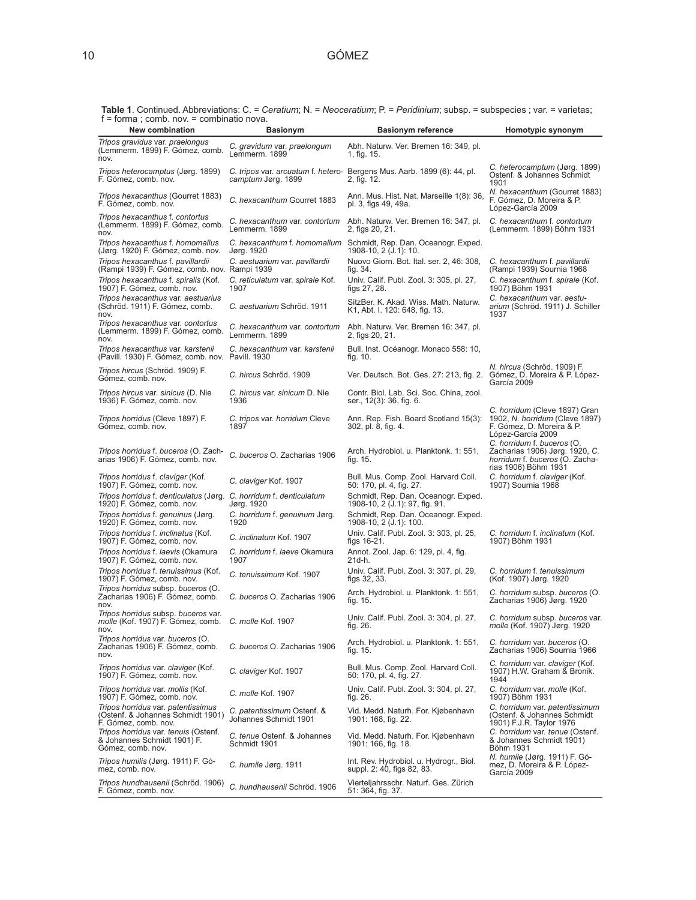**Table 1**. Continued. Abbreviations: C. = *Ceratium*; N. = *Neoceratium*; P. = *Peridinium*; subsp. = subspecies ; var. = varietas; f = forma ; comb. nov. = combinatio nova.

| $t =$ forma; comp. nov. $=$ compinatio nova.<br>New combination                                 | <b>Basionym</b>                                     | <b>Basionym reference</b>                                                                 | Homotypic synonym                                                                                                      |
|-------------------------------------------------------------------------------------------------|-----------------------------------------------------|-------------------------------------------------------------------------------------------|------------------------------------------------------------------------------------------------------------------------|
| Tripos gravidus var. praelongus<br>(Lemmerm. 1899) F. Gómez, comb.<br>nov.                      | C. gravidum var. praelongum<br>Lemmerm. 1899        | Abh. Naturw. Ver. Bremen 16: 349, pl.<br>1, fig. 15.                                      |                                                                                                                        |
| <i>Tripos heterocamptus (Jørg. 1899)</i><br>F. Gómez, comb. nov.                                | camptum Jørg. 1899                                  | C. tripos var. arcuatum f. hetero- Bergens Mus. Aarb. 1899 (6): 44, pl.<br>2, fig. 12.    | C. heterocamptum (Jørg. 1899)<br>Ostenf. & Johannes Schmidt<br>1901                                                    |
| Tripos hexacanthus (Gourret 1883)<br>F. Gómez, comb. nov.                                       | C. hexacanthum Gourret 1883                         | Ann. Mus. Hist. Nat. Marseille 1(8): 36,<br>pl. 3, figs 49, 49a.                          | N. hexacanthum (Gourret 1883)<br>F. Gómez, D. Moreira & P.<br>López-García 2009                                        |
| Tripos hexacanthus f. contortus<br>(Lemmerm. 1899) F. Gómez, comb.<br>nov.                      | C. hexacanthum var. contortum<br>Lemmerm. 1899      | Abh. Naturw. Ver. Bremen 16: 347, pl.<br>2, figs 20, 21.                                  | C. hexacanthum f. contortum<br>(Lemmerm. 1899) Böhm 1931                                                               |
| Tripos hexacanthus f. homomallus<br>(Jørg. 1920) F. Gómez, comb. nov.                           | Jørg. 1920                                          | C. hexacanthum f. homomallum Schmidt, Rep. Dan. Oceanogr. Exped.<br>1908-10, 2 (J.1): 10. |                                                                                                                        |
| Tripos hexacanthus f. pavillardii<br>(Rampi 1939) F. Gómez, comb. nov. Rampi 1939               | C. aestuarium var. pavillardii                      | Nuovo Giorn. Bot. Ital. ser. 2, 46: 308,<br>fig. 34.                                      | C. hexacanthum f. pavillardii<br>(Rampi 1939) Sournia 1968                                                             |
| Tripos hexacanthus f. spiralis (Kof.<br>1907) F. Gómez, comb. nov.                              | C. reticulatum var. spirale Kof.<br>1907            | Univ. Calif. Publ. Zool. 3: 305, pl. 27,<br>figs 27, 28.                                  | C. hexacanthum f. spirale (Kof.<br>1907) Böhm 1931                                                                     |
| Tripos hexacanthus var. aestuarius<br>(Schröd. 1911) F. Gómez, comb.<br>nov.                    | C. aestuarium Schröd. 1911                          | SitzBer. K. Akad. Wiss. Math. Naturw.<br>K1, Abt. I. 120: 648, fig. 13.                   | C. hexacanthum var. aestu-<br>arium (Schröd. 1911) J. Schiller<br>1937                                                 |
| Tripos hexacanthus var. contortus<br>(Lemmerm. 1899) F. Gómez, comb.<br>nov.                    | C. hexacanthum var. contortum<br>Lemmerm. 1899      | Abh. Naturw. Ver. Bremen 16: 347, pl.<br>2, figs 20, 21.                                  |                                                                                                                        |
| Tripos hexacanthus var. karstenii<br>(Pavill. 1930) F. Gómez, comb. nov. Pavill. 1930           | C. hexacanthum var. karstenii                       | Bull. Inst. Océanogr. Monaco 558: 10,<br>tig. 10.                                         |                                                                                                                        |
| Tripos hircus (Schröd. 1909) F.<br>Gómez, comb. nov.                                            | C. hircus Schröd. 1909                              | Ver. Deutsch. Bot. Ges. 27: 213, fig. 2. Gómez, D. Moreira & P. López-                    | N. hircus (Schröd. 1909) F.<br>García 2009                                                                             |
| Tripos hircus var. sinicus (D. Nie<br>1936) F. Gómez, comb. nov.                                | C. hircus var. sinicum D. Nie<br>1936               | Contr. Biol. Lab. Sci. Soc. China, zool.<br>ser., 12(3): 36, fig. 6.                      |                                                                                                                        |
| Tripos horridus (Cleve 1897) F.<br>Gómez, comb. nov.                                            | C. tripos var. horridum Cleve<br>1897               | Ann. Rep. Fish. Board Scotland 15(3):<br>302, pl. 8, fig. 4.                              | C. horridum (Cleve 1897) Gran<br>1902, N. horridum (Cleve 1897)<br>F. Gómez, D. Moreira & P.<br>López-García 2009      |
| Tripos horridus f. buceros (O. Zach-<br>arias 1906) F. Gómez, comb. nov.                        | C. buceros O. Zacharias 1906                        | Arch. Hydrobiol. u. Planktonk. 1: 551,<br>fig. $15.$                                      | C. horridum f. buceros (O.<br>Zacharias 1906) Jørg. 1920, C.<br>horridum f. buceros (O. Zacha-<br>rias 1906) Böhm 1931 |
| Tripos horridus f. claviger (Kof.<br>1907) F. Gómez, comb. nov.                                 | C. claviger Kof. 1907                               | Bull. Mus. Comp. Zool. Harvard Coll.<br>50: 170, pl. 4, fig. 27.                          | C. horridum f. claviger (Kof.<br>1907) Sournia 1968                                                                    |
| Tripos horridus f. denticulatus (Jørg.<br>1920) F. Gómez, comb. nov.                            | C. horridum f. denticulatum<br>Jørg. 1920           | Schmidt, Rep. Dan. Oceanogr. Exped.<br>1908-10, 2 (J.1): 97, fig. 91.                     |                                                                                                                        |
| Tripos horridus f. genuinus (Jørg.<br>1920) F. Gómez, comb. nov.                                | C. horridum f. genuinum Jørg.<br>1920               | Schmidt, Rep. Dan. Oceanogr. Exped.<br>1908-10, 2 (J.1): 100.                             |                                                                                                                        |
| Tripos horridus f. inclinatus (Kof.<br>1907) F. Gómez, comb. nov.                               | C. inclinatum Kof. 1907                             | Univ. Calif. Publ. Zool. 3: 303, pl. 25,<br>figs 16-21.                                   | C. horridum f. inclinatum (Kof.<br>1907) Böhm 1931                                                                     |
| Tripos horridus f. laevis (Okamura<br>1907) F. Gómez, comb. nov.                                | C. horridum f. laeve Okamura<br>1907                | Annot. Zool. Jap. 6: 129, pl. 4, fig.<br>21d-h.                                           |                                                                                                                        |
| Tripos horridus f. tenuissimus (Kof.<br>1907) F. Gómez, comb. nov.                              | C. tenuissimum Kof. 1907                            | Univ. Calif. Publ. Zool. 3: 307, pl. 29,<br>figs 32, 33.                                  | C. horridum f. tenuissimum<br>(Kof. 1907) Jørg. 1920                                                                   |
| Tripos horridus subsp. buceros (O.<br>Zacharias 1906) F. Gómez, comb.<br>nov.                   | C. buceros O. Zacharias 1906                        | Arch. Hydrobiol. u. Planktonk. 1: 551,<br>tig. 15.                                        | C. horridum subsp. buceros (O.<br>Zacharias 1906) Jørg. 1920                                                           |
| Tripos horridus subsp. buceros var.<br>molle (Kof. 1907) F. Gómez, comb.<br>nov.                | C. molle Kof. 1907                                  | Univ. Calif. Publ. Zool. 3: 304, pl. 27,<br>fig. 26.                                      | C. horridum subsp. buceros var.<br>molle (Kof. 1907) Jørg. 1920                                                        |
| Tripos horridus var. buceros (O.<br>Zacharias 1906) F. Gómez, comb.<br>nov.                     | C. buceros O. Zacharias 1906                        | Arch. Hydrobiol. u. Planktonk. 1: 551,<br>fig. 15.                                        | C. horridum var. buceros (O.<br>Zacharias 1906) Sournia 1966                                                           |
| Tripos horridus var. claviger (Kof.<br>1907) F. Gómez, comb. nov.                               | C. claviger Kof. 1907                               | Bull. Mus. Comp. Zool. Harvard Coll.<br>50: 170, pl. 4, fig. 27.                          | C. horridum var. claviger (Kof.<br>1907) H.W. Graham & Bronik.<br>1944                                                 |
| Tripos horridus var. mollis (Kof.<br>1907) F. Gómez, comb. nov.                                 | C. molle Kof. 1907                                  | Univ. Calif. Publ. Zool. 3: 304, pl. 27,<br>fig. 26.                                      | C. horridum var. molle (Kof.<br>1907) Böhm 1931                                                                        |
| Tripos horridus var. patentissimus<br>(Ostenf. & Johannes Schmidt 1901)<br>F. Gómez, comb. nov. | C. patentissimum Ostenf. &<br>Johannes Schmidt 1901 | Vid. Medd. Naturh. For. Kjøbenhavn<br>1901: 168, fig. 22.                                 | C. horridum var. patentissimum<br>(Ostenf. & Johannes Schmidt<br>1901) F.J.R. Taylor 1976                              |
| Tripos horridus var. tenuis (Ostenf.<br>& Johannes Schmidt 1901) F.<br>Gómez, comb. nov.        | C. tenue Ostenf. & Johannes<br>Schmidt 1901         | Vid. Medd. Naturh. For. Kjøbenhavn<br>1901: 166, fig. 18.                                 | C. horridum var. tenue (Ostenf.<br>& Johannes Schmidt 1901)<br>Böhm 1931                                               |
| Tripos humilis (Jørg. 1911) F. Gó-<br>mez, comb. nov.                                           | C. humile Jørg. 1911                                | Int. Rev. Hydrobiol. u. Hydrogr., Biol.<br>suppl. 2: 40, figs 82, 83.                     | N. humile (Jørg. 1911) F. Gó-<br>mez, D. Moreira & P. López-<br>García 2009                                            |
| Tripos hundhausenii (Schröd. 1906)<br>F. Gómez, comb. nov.                                      | C. hundhausenii Schröd. 1906                        | Vierteljahrsschr. Naturf. Ges. Zürich<br>51: 364, fig. 37.                                |                                                                                                                        |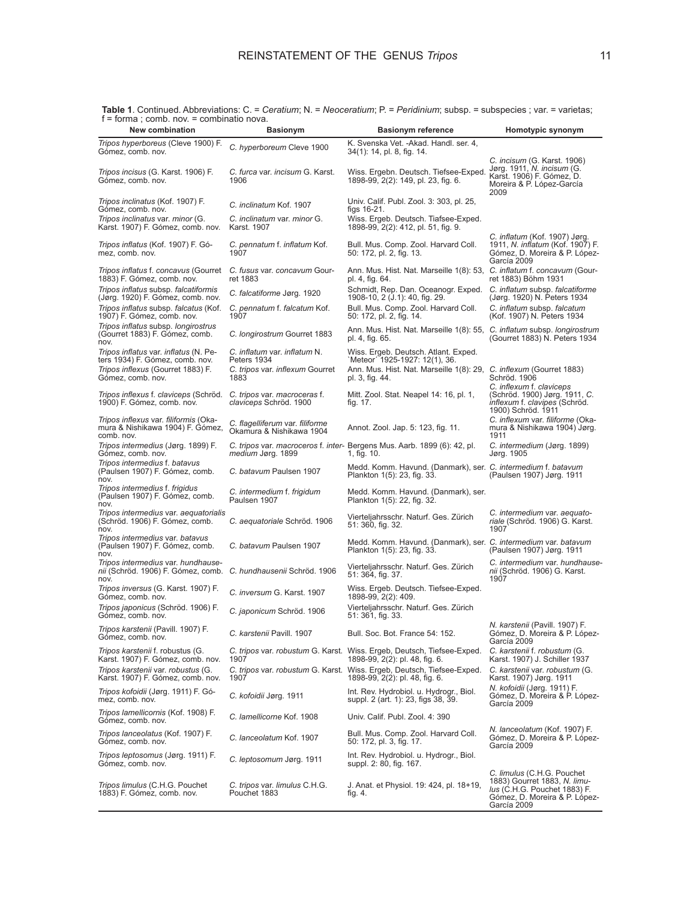*Tripos hyperboreus* (Cleve 1900) F. Gómez, comb. nov. *C. hyperboreum* Cleve 1900 K. Svenska Vet. -Akad. Handl. ser. 4, 34(1): 14, pl. 8, fig. 14. *Tripos incisus* (G. Karst. 1906) F. Gómez, comb. nov. *C. furca* var. *incisum* G. Karst. 1906 Wiss. Ergebn. Deutsch. Tiefsee-Exped. 1898-99, 2(2): 149, pl. 23, fig. 6. *C. incisum* (G. Karst. 1906) Jørg. 1911, *N. incisum* (G. Karst. 1906) F. Gómez, D. Moreira & P. López-García 2009 *Tripos inclinatus* (Kof. 1907) F. Gómez, comb. nov. *C. inclinatum* Kof. 1907 Univ. Calif. Publ. Zool. 3: 303, pl. 25, figs 16-21. *Tripos inclinatus* var. *minor* (G. Karst. 1907) F. Gómez, comb. nov. *C. inclinatum* var. *minor* G. Karst. 1907 Wiss. Ergeb. Deutsch. Tiafsee-Exped. 1898-99, 2(2): 412, pl. 51, fig. 9. *Tripos inflatus* (Kof. 1907) F. Gómez, comb. nov. *C. pennatum* f. *inflatum* Kof. 1907 Bull. Mus. Comp. Zool. Harvard Coll. 50: 172, pl. 2, fig. 13. *C. inflatum* (Kof. 1907) Jørg. 1911, *N. inflatum* (Kof. 1907) F. Gómez, D. Moreira & P. López-García 2009 *Tripos inflatus* f. *concavus* (Gourret 1883) F. Gómez, comb. nov. *C. fusus* var. *concavum* Gourret 1883 Ann. Mus. Hist. Nat. Marseille 1(8): 53, pl. 4, fig. 64. *C. inflatum* f. *concavum* (Gourret 1883) Böhm 1931 *Tripos inflatus* subsp. *falcatiformis* (Jørg. 1920) F. Gómez, comb. nov. *C. falcatiforme* Jørg. 1920 Schmidt, Rep. Dan. Oceanogr. Exped. 1908-10, 2 (J.1): 40, fig. 29. *C. inflatum* subsp. *falcatiforme*  (Jørg. 1920) N. Peters 1934 *Tripos inflatus* subsp. *falcatus* (Kof. 1907) F. Gómez, comb. nov. *C. pennatum* f. *falcatum* Kof. 1907 Bull. Mus. Comp. Zool. Harvard Coll. 50: 172, pl. 2, fig. 14. *C. inflatum* subsp. *falcatum* (Kof. 1907) N. Peters 1934 *Tripos inflatus* subsp. *longirostrus* (Gourret 1883) F. Gómez, comb. nov. *C. longirostrum* Gourret 1883 Ann. Mus. Hist. Nat. Marseille 1(8): 55, pl. 4, fig. 65. *C. inflatum* subsp. *longirostrum* (Gourret 1883) N. Peters 1934 *Tripos inflatus* var. *inflatus* (N. Peters 1934) F. Gómez, comb. nov. *C. inflatum* var. *inflatum* N. Peters 1934 Wiss. Ergeb. Deutsch. Atlant. Exped. `Meteor´ 1925-1927: 12(1), 36. *Tripos inflexus* (Gourret 1883) F. Gómez, comb. nov. *C. tripos* var. *inflexum* Gourret 1883 Ann. Mus. Hist. Nat. Marseille 1(8): 29, *C. inflexum* (Gourret 1883) Schröd. 1906 pl. 3, fig. 44. *Tripos inflexus* f. *claviceps* (Schröd. 1900) F. Gómez, comb. nov. *C. tripos* var. *macroceras* f. *claviceps* Schröd. 1900 Mitt. Zool. Stat. Neapel 14: 16, pl. 1, fig. 17. *C. inflexum* f. *claviceps* (Schröd. 1900) Jørg. 1911, *C. inflexum* f. *clavipes* (Schröd. 1900) Schröd. 1911 *Tripos inflexus* var. *filiformis* (Okamura & Nishikawa 1904) F. Gómez, comb. nov. *C. flagelliferum* var. *filiforme* C. *nagemierum val. milomne*<br>Okamura & Nishikawa 1904 Annot. Zool. Jap. 5: 123, fig. 11. *C. inflexum* var. *filiforme* (Okamura & Nishikawa 1904) Jørg. 1911 *Tripos intermedius* (Jørg. 1899) F. Gómez, comb. nov. *C. tripos var. macroceros f. inter-* Bergens Mus. Aarb. 1899 (6): 42, pl.<br>*medium Jø*rg. 1899 1, fig. 10. *C. intermedium* (Jørg. 1899) Jørg. 1905 *Tripos intermedius* f. *batavus* (Paulsen 1907) F. Gómez, comb. nov. *C. batavum* Paulsen 1907 Medd. Komm. Havund. (Danmark), ser. Plankton 1(5): 23, fig. 33. *C. intermedium* f. *batavum* (Paulsen 1907) Jørg. 1911 *Tripos intermedius* f. *frigidus* (Paulsen 1907) F. Gómez, comb. nov. *C. intermedium* f. *frigidum* Paulsen 1907 Medd. Komm. Havund. (Danmark), ser. Plankton 1(5): 22, fig. 32. *Tripos intermedius* var. *aequatorialis* (Schröd. 1906) F. Gómez, comb. nov. *C. aequatoriale* Schröd. 1906 Vierteljahrsschr. Naturf. Ges. Zürich 51: 360, fig. 32. *C. intermedium* var. *aequatoriale* (Schröd. 1906) G. Karst. 1907 *Tripos intermedius* var. *batavus*  (Paulsen 1907) F. Gómez, comb. nov. *C. batavum* Paulsen 1907 Medd. Komm. Havund. (Danmark), ser. Plankton 1(5): 23, fig. 33. *C. intermedium* var. *batavum*  (Paulsen 1907) Jørg. 1911 *Tripos intermedius* var. *hundhause-nii* (Schröd. 1906) F. Gómez, comb. nov. *C. hundhausenii* Schröd. 1906 Vierteljahrsschr. Naturf. Ges. Zürich 51: 364, fig. 37. *C. intermedium* var. *hundhause-nii* (Schröd. 1906) G. Karst. 1907 *Tripos inversus* (G. Karst. 1907) F. Gómez, comb. nov. *C. inversum* G. Karst. 1907 Wiss. Ergeb. Deutsch. Tiefsee-Exped. 1898-99, 2(2): 409. *Tripos japonicus* (Schröd. 1906) F. C. japonicum Schröd. 1906 Vierteljahrsschr. Naturf. Ges. Zürich 51: 361, fig. 33. *Tripos karstenii* (Pavill. 1907) F. C. karstenii Pavill. 1907 Bull. Soc. Bot. France 54: 152. *N. karstenii* (Pavill. 1907) F. Gómez, D. Moreira & P. López-García 2009 *Tripos karstenii* f. robustus (G. Karst. 1907) F. Gómez, comb. nov. *C. tripos* var. *robustum* G. Karst. Wiss. Ergeb, Deutsch, Tiefsee-Exped. 1907 1898-99, 2(2): pl. 48, fig. 6. *C. karstenii* f. *robustum* (G. Karst. 1907) J. Schiller 1937 *Tripos karstenii* var. *robustus* (G. Karst. 1907) F. Gómez, comb. nov. *C. tripos* var. *robustum* G. Karst. 1907 Wiss. Ergeb, Deutsch, Tiefsee-Exped. 1898-99, 2(2): pl. 48, fig. 6. *C. karstenii* var. *robustum* (G. Karst. 1907) Jørg. 1911 *Tripos kofoidii* (Jørg. 1911) F. Gómez, comb. nov. *C. kofoidii* Jørg. 1911 Int. Rev. Hydrobiol. u. Hydrogr., Biol. suppl. 2 (art. 1): 23, figs 38, 39. *N. kofoidii* (Jørg. 1911) F. Gómez, D. Moreira & P. López-García 2009 *Tripos lamellicornis* (Kof. 1908) F. C. lamellicorne Kof. 1908 Univ. Calif. Publ. Zool. 4: 390 *Tripos lanceolatus* (Kof. 1907) F. Gómez, comb. nov. *C. lanceolatum* Kof. 1907 Bull. Mus. Comp. Zool. Harvard Coll. 50: 172, pl. 3, fig. 17. *N. lanceolatum* (Kof. 1907) F. Gómez, D. Moreira & P. López-García 2009 *Tripos leptosomus* (Jørg. 1911) F. Gómez, comb. nov. *C. leptosomum* Jørg. 1911 Int. Rev. Hydrobiol. u. Hydrogr., Biol. suppl. 2: 80, fig. 167. *Tripos limulus* (C.H.G. Pouchet *C. tripos* var. *limulus* C.H.G. Pouchet 1883 J. Anat. et Physiol. 19: 424, pl. 18+19, *C. limulus* (C.H.G. Pouchet 1883) Gourret 1883, *N. limu- lus* (C.H.G. Pouchet 1883) F.

fig. 4.

Gómez, D. Moreira & P. López-

García 2009

1883) F. Gómez, comb. nov.

**Table 1**. Continued. Abbreviations: C. = *Ceratium*; N. = *Neoceratium*; P. = *Peridinium*; subsp. = subspecies ; var. = varietas; f = forma ; comb. nov. = combinatio nova.

**New combination Basionym Basionym reference Homotypic synonym**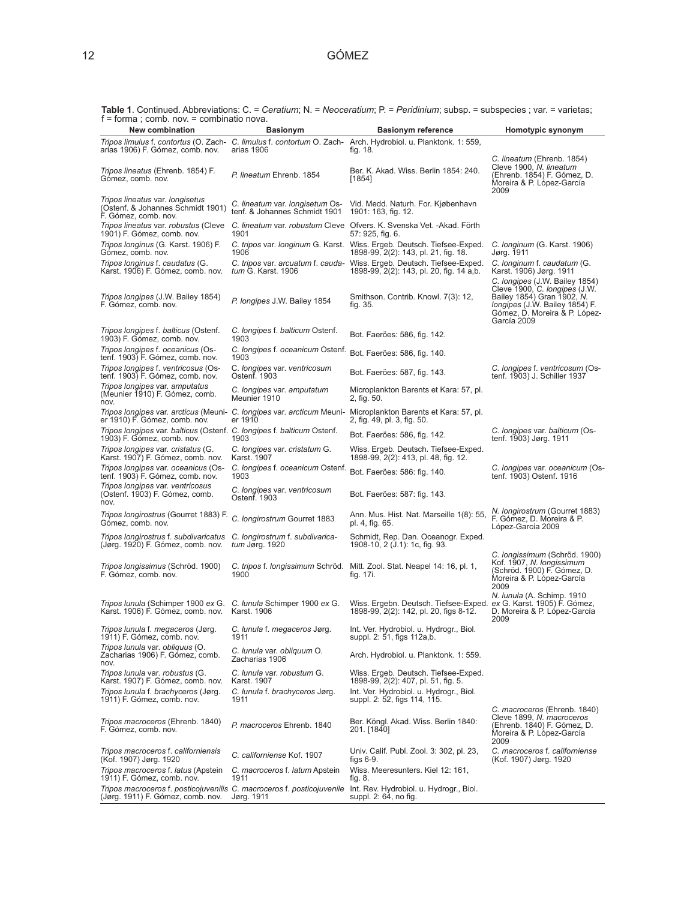**Table 1**. Continued. Abbreviations: C. = *Ceratium*; N. = *Neoceratium*; P. = *Peridinium*; subsp. = subspecies ; var. = varietas; f = forma ; comb. nov. = combinatio nova.

| $T = 101111d$ , COTTID. TIOV. $=$ COTTIDITIATIO TIOVA.<br>New combination                                      | <b>Basionym</b>                              | <b>Basionym reference</b>                                                                                                                    | Homotypic synonym                                                                                                                             |
|----------------------------------------------------------------------------------------------------------------|----------------------------------------------|----------------------------------------------------------------------------------------------------------------------------------------------|-----------------------------------------------------------------------------------------------------------------------------------------------|
|                                                                                                                |                                              | Tripos limulus f. contortus (O. Zach-C. limulus f. contortum O. Zach-Arch. Hydrobiol. u. Planktonk. 1: 559,                                  |                                                                                                                                               |
| arias 1906) F. Gómez, comb. nov.                                                                               | arias 1906                                   | fig. 18.                                                                                                                                     |                                                                                                                                               |
| <i>Tripos lineatus</i> (Ehrenb. 1854) F.<br>Gómez, comb. nov.                                                  | P. lineatum Ehrenb. 1854                     | Ber. K. Akad. Wiss. Berlin 1854: 240.<br>[1854]                                                                                              | C. lineatum (Ehrenb. 1854)<br>Cleve 1900, N. lineatum<br>(Ehrenb. 1854) F. Gómez, D.<br>Moreira & P. López-García<br>2009                     |
| Tripos lineatus var. longisetus<br>(Ostenf. & Johannes Schmidt 1901)<br>F. Gómez, comb. nov.                   | tenf. & Johannes Schmidt 1901                | C. lineatum var. longisetum Os- Vid. Medd. Naturh. For. Kjøbenhavn<br>1901: 163, fig. 12.                                                    |                                                                                                                                               |
| Tripos lineatus var. robustus (Cleve<br>1901) F. Gómez, comb. nov.                                             | 1901                                         | C. lineatum var. robustum Cleve Ofvers. K. Svenska Vet. -Akad. Förth<br>57: 925, fig. 6.                                                     |                                                                                                                                               |
| Tripos longinus (G. Karst. 1906) F.<br>Gómez, comb. nov.                                                       | 1906                                         | C. tripos var. longinum G. Karst. Wiss. Ergeb. Deutsch. Tiefsee-Exped.<br>1898-99, 2(2): 143, pl. 21, fig. 18.                               | C. longinum (G. Karst. 1906)<br>Jørg. 1911                                                                                                    |
| Tripos longinus f. caudatus (G.<br>Karst. 1906) F. Gómez, comb. nov.                                           | tum G. Karst. 1906                           | C. tripos var. arcuatum f. cauda- Wiss. Ergeb. Deutsch. Tiefsee-Exped.<br>1898-99, 2(2): 143, pl. 20, fig. 14 a,b.                           | C. longinum f. caudatum (G.<br>Karst. 1906) Jørg. 1911<br>C. longipes (J.W. Bailey 1854)                                                      |
| Tripos longipes (J.W. Bailey 1854)<br>F. Gómez, comb. nov.                                                     | P. longipes J.W. Bailey 1854                 | Smithson. Contrib. Knowl. 7(3): 12,<br>fig. 35.                                                                                              | Cleve 1900, C. longipes (J.W.<br>Bailey 1854) Gran 1902, N.<br>longipes (J.W. Bailey 1854) F.<br>Gómez, D. Moreira & P. López-<br>García 2009 |
| <i>Tripos longipes f. balticus (Ostenf.</i><br>1903) F. Gómez, comb. nov.                                      | C. longipes f. balticum Ostenf.<br>1903      | Bot. Faeröes: 586, fig. 142.                                                                                                                 |                                                                                                                                               |
| Tripos longipes f. oceanicus (Os-<br>tenf. 1903) F. Gómez, comb. nov.                                          | C. longipes f. oceanicum Ostenf.<br>1903     | Bot. Faeröes: 586, fig. 140.                                                                                                                 |                                                                                                                                               |
| Tripos longipes f. ventricosus (Os-<br>tenf. 1903) F. Gómez, comb. nov.                                        | C. longipes var. ventricosum<br>Ostenf. 1903 | Bot. Faeröes: 587, fig. 143.                                                                                                                 | C. longipes f. ventricosum (Os-<br>tenf. 1903) J. Schiller 1937                                                                               |
| Tripos longipes var. amputatus<br>(Meunier 1910) F. Gómez, comb.<br>nov.                                       | C. longipes var. amputatum<br>Meunier 1910   | Microplankton Barents et Kara: 57, pl.<br>2, fig. 50.                                                                                        |                                                                                                                                               |
| er 1910) F. Gómez, comb. nov.                                                                                  | er 1910                                      | Tripos longipes var. arcticus (Meuni- C. longipes var. arcticum Meuni- Microplankton Barents et Kara: 57, pl.<br>2, fig. 49, pl. 3, fig. 50. |                                                                                                                                               |
| Tripos longipes var. balticus (Ostenf. C. longipes f. balticum Ostenf.<br>1903) F. Gómez, comb. nov.           | 1903                                         | Bot. Faeröes: 586, fig. 142.                                                                                                                 | C. longipes var. balticum (Os-<br>tenf. 1903) Jørg. 1911                                                                                      |
| Tripos longipes var. cristatus (G.<br>Karst. 1907) F. Gómez, comb. nov.                                        | C. longipes var. cristatum G.<br>Karst. 1907 | Wiss. Ergeb. Deutsch. Tiefsee-Exped.<br>1898-99, 2(2): 413, pl. 48, fig. 12.                                                                 |                                                                                                                                               |
| Tripos longipes var. oceanicus (Os-<br>tenf. 1903) F. Gómez, comb. nov.                                        | C. longipes f. oceanicum Ostenf.<br>1903     | Bot. Faeröes: 586: fig. 140.                                                                                                                 | C. longipes var. oceanicum (Os-<br>tenf. 1903) Ostenf. 1916                                                                                   |
| Tripos longipes var. ventricosus<br>(Ostenf. 1903) F. Gómez, comb.<br>nov.                                     | C. longipes var. ventricosum<br>Ostenf. 1903 | Bot. Faeröes: 587: fig. 143.                                                                                                                 |                                                                                                                                               |
| Tripos longirostrus (Gourret 1883) F.<br>Gómez, comb. nov.                                                     | C. longirostrum Gourret 1883                 | Ann. Mus. Hist. Nat. Marseille 1(8): 55,<br>pl. 4, fig. 65.                                                                                  | N. longirostrum (Gourret 1883)<br>F. Gómez, D. Moreira & P.<br>López-García 2009                                                              |
| Tripos longirostrus f. subdivaricatus C. longirostrum f. subdivarica-<br>(Jørg. 1920) F. Gómez, comb. nov.     | tum Jørg. 1920                               | Schmidt, Rep. Dan. Oceanogr. Exped.<br>1908-10, 2 (J.1): 1c, fig. 93.                                                                        |                                                                                                                                               |
| Tripos longissimus (Schröd. 1900)<br>F. Gómez, comb. nov.                                                      | 1900                                         | C. tripos f. longissimum Schröd. Mitt. Zool. Stat. Neapel 14: 16, pl. 1,<br>fig. 17i.                                                        | C. longissimum (Schröd. 1900)<br>Kof. 1907, N. longissimum<br>(Schröd. 1900) F. Gómez, D.<br>Moreira & P. López-García<br>2009                |
| Tripos lunula (Schimper 1900 ex G. C. lunula Schimper 1900 ex G. Karst. 1906) F. Gómez, comb. nov. Karst. 1906 |                                              | Wiss. Ergebn. Deutsch. Tiefsee-Exped.<br>1898-99, 2(2): 142, pl. 20, figs 8-12.                                                              | N. lunula (A. Schimp. 1910<br>ex G. Karst. 1905) F. Gómez,<br>D. Moreira & P. López-García<br>2009                                            |
| Tripos lunula f. megaceros (Jørg. C. lunula f. megaceros Jørg.<br>1911) F. Gómez, comb. nov.                   | 1911                                         | Int. Ver. Hydrobiol. u. Hydrogr., Biol.<br>suppl. 2: 51, figs 112a,b.                                                                        |                                                                                                                                               |
| Tripos lunula var. obliquus (O.<br>Zacharias 1906) F. Gómez, comb.<br>nov.                                     | C. lunula var. obliquum O.<br>Zacharias 1906 | Arch. Hydrobiol. u. Planktonk. 1: 559.                                                                                                       |                                                                                                                                               |
| Tripos lunula var. robustus (G.<br>Karst. 1907) F. Gómez, comb. nov.                                           | C. lunula var. robustum G.<br>Karst. 1907    | Wiss. Ergeb. Deutsch. Tiefsee-Exped.<br>1898-99, 2(2): 407, pl. 51, fig. 5.                                                                  |                                                                                                                                               |
| Tripos lunula f. brachyceros (Jørg.<br>1911) F. Gómez, comb. nov.                                              | C. lunula f. brachyceros Jørg.<br>1911       | Int. Ver. Hydrobiol. u. Hydrogr., Biol.<br>suppl. 2: 52, figs 114, 115.                                                                      |                                                                                                                                               |
| Tripos macroceros (Ehrenb. 1840)<br>F. Gómez, comb. nov.                                                       | P. macroceros Ehrenb. 1840                   | Ber. Köngl. Akad. Wiss. Berlin 1840:<br>201. [1840]                                                                                          | C. macroceros (Ehrenb. 1840)<br>Cleve 1899, N. macroceros<br>(Ehrenb. 1840) F. Gómez, D.<br>Moreira & P. López-García<br>2009                 |
| Tripos macroceros f. californiensis<br>(Kof. 1907) Jørg. 1920                                                  | C. californiense Kof. 1907                   | Univ. Calif. Publ. Zool. 3: 302, pl. 23,<br>figs 6-9.                                                                                        | C. macroceros f. californiense<br>(Kof. 1907) Jørg. 1920                                                                                      |
| Tripos macroceros f. latus (Apstein<br>1911) F. Gómez, comb. nov.                                              | C. macroceros f. latum Apstein<br>1911       | Wiss. Meeresunters. Kiel 12: 161,<br>fig. 8.                                                                                                 |                                                                                                                                               |
| (Jørg. 1911) F. Gómez, comb. nov.                                                                              | Jørg. 1911                                   | Tripos macroceros f. posticojuvenilis C. macroceros f. posticojuvenile Int. Rev. Hydrobiol. u. Hydrogr., Biol.<br>suppl. 2: 64, no fig.      |                                                                                                                                               |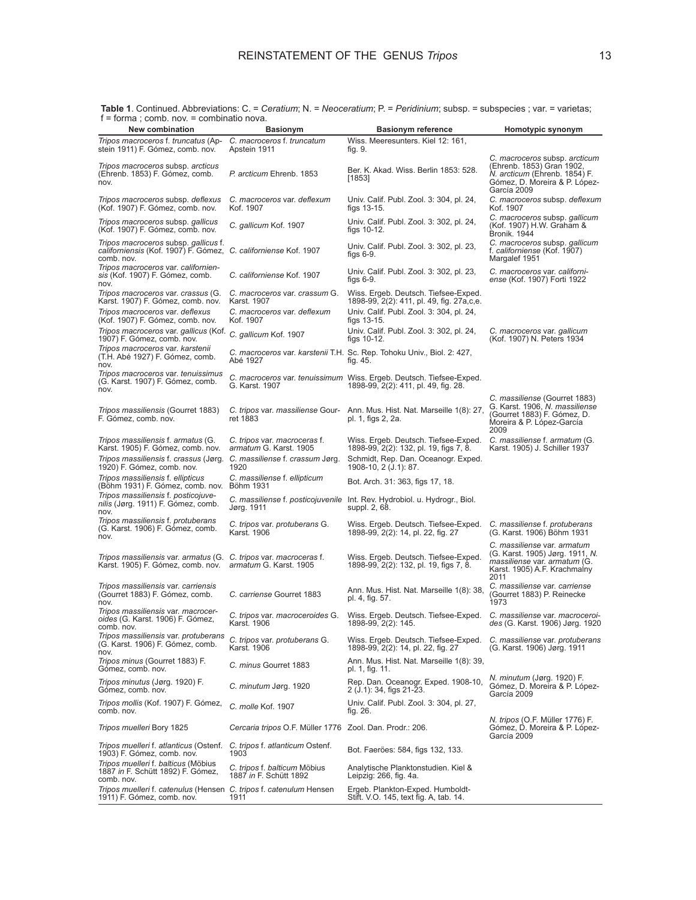| $I = I$ of that, corrid. Tiov. $=$ corridination flova.<br><b>New combination</b>                                                                                              |                                                                |                                                                                                                                                |                                                                                                                                               |
|--------------------------------------------------------------------------------------------------------------------------------------------------------------------------------|----------------------------------------------------------------|------------------------------------------------------------------------------------------------------------------------------------------------|-----------------------------------------------------------------------------------------------------------------------------------------------|
|                                                                                                                                                                                | <b>Basionym</b>                                                | <b>Basionym reference</b>                                                                                                                      | Homotypic synonym                                                                                                                             |
| Tripos macroceros f. truncatus (Ap-<br>stein 1911) F. Gómez, comb. nov.                                                                                                        | C. macroceros f. truncatum<br>Apstein 1911                     | Wiss. Meeresunters. Kiel 12: 161,<br>fig. 9.                                                                                                   |                                                                                                                                               |
| Tripos macroceros subsp. arcticus<br>(Ehrenb. 1853) F. Gómez, comb.<br>nov.                                                                                                    | P. arcticum Ehrenb. 1853                                       | Ber. K. Akad. Wiss. Berlin 1853: 528.<br>[1853]                                                                                                | C. macroceros subsp. arcticum<br>(Ehrenb. 1853) Gran 1902,<br>N. arcticum (Ehrenb. 1854) F.<br>Gómez, D. Moreira & P. López-<br>García 2009   |
| Tripos macroceros subsp. deflexus<br>(Kof. 1907) F. Gómez, comb. nov.                                                                                                          | C. macroceros var. deflexum<br>Kof. 1907                       | Univ. Calif. Publ. Zool. 3: 304, pl. 24,<br>figs $13-15$ .                                                                                     | C. macroceros subsp. deflexum<br>Kof. 1907                                                                                                    |
| Tripos macroceros subsp. gallicus<br>(Kof. 1907) F. Gómez, comb. nov.                                                                                                          | C. gallicum Kof. 1907                                          | Univ. Calif. Publ. Zool. 3: 302, pl. 24,<br>figs $10-12$ .                                                                                     | C. macroceros subsp. gallicum<br>(Kof. 1907) H.W. Graham &<br>Bronik. 1944                                                                    |
| Tripos macroceros subsp. gallicus f.<br>californiensis (Kof. 1907) F. Gómez, C. californiense Kof. 1907<br>comb. nov.                                                          |                                                                | Univ. Calif. Publ. Zool. 3: 302, pl. 23,<br>figs $6-9$ .                                                                                       | C. macroceros subsp. gallicum<br>f. californiense (Kof. 1907)<br>Margalef 1951                                                                |
| Tripos macroceros var. californien-<br>sis (Kof. 1907) F. Gómez, comb.<br>nov.                                                                                                 | C. californiense Kof. 1907                                     | Univ. Calif. Publ. Zool. 3: 302, pl. 23,<br>figs $6-9$ .                                                                                       | C. macroceros var. californi-<br><i>ense</i> (Kof. 1907) Forti 1922                                                                           |
| Tripos macroceros var. crassus (G.<br>Karst. 1907) F. Gómez, comb. nov.                                                                                                        | C. macroceros var. crassum G.<br>Karst. 1907                   | Wiss. Ergeb. Deutsch. Tiefsee-Exped.<br>1898-99, 2(2): 411, pl. 49, fig. 27a,c,e.                                                              |                                                                                                                                               |
| Tripos macroceros var. deflexus<br>(Kof. 1907) F. Gómez, comb. nov.                                                                                                            | C. macroceros var. deflexum<br>Kof. 1907                       | Univ. Calif. Publ. Zool. 3: 304, pl. 24,<br>figs $13-15$ .                                                                                     |                                                                                                                                               |
| Tripos macroceros var. gallicus (Kof.<br>1907) F. Gómez, comb. nov.                                                                                                            | C. gallicum Kof. 1907                                          | Univ. Calif. Publ. Zool. 3: 302, pl. 24,<br>figs $10-12$ .                                                                                     | C. macroceros var. gallicum<br>(Kof. 1907) N. Peters 1934                                                                                     |
| Tripos macroceros var. karstenii<br>(T.H. Abé 1927) F. Gómez, comb.<br>nov.                                                                                                    | Abé 1927                                                       | C. macroceros var. karstenii T.H. Sc. Rep. Tohoku Univ., Biol. 2: 427,<br>fig. 45.                                                             |                                                                                                                                               |
| Tripos macroceros var. tenuissimus<br>(G. Karst. 1907) F. Gómez, comb.<br>nov.                                                                                                 | G. Karst. 1907                                                 | C. macroceros var. tenuissimum Wiss. Ergeb. Deutsch. Tiefsee-Exped.<br>1898-99, 2(2): 411, pl. 49, fig. 28.                                    |                                                                                                                                               |
| <i>Tripos massiliensis</i> (Gourret 1883)<br>F. Gómez, comb. nov.                                                                                                              | C. tripos var. massiliense Gour-<br>ret 1883                   | Ann. Mus. Hist. Nat. Marseille 1(8): 27,<br>pl. 1, figs 2, 2a.                                                                                 | C. massiliense (Gourret 1883)<br>G. Karst. 1906, N. massiliense<br>(Gourret 1883) F. Gómez, D.<br>Moreira & P. López-García<br>2009           |
| Tripos massiliensis f. armatus (G.<br>Karst. 1905) F. Gómez, comb. nov.<br>Tripos massiliensis f. crassus (Jørg. C. massiliense f. crassum Jørg.<br>1920) F. Gómez, comb. nov. | C. tripos var. macroceras f.<br>armatum G. Karst. 1905<br>1920 | Wiss. Ergeb. Deutsch. Tiefsee-Exped.<br>1898-99, 2(2): 132, pl. 19, figs 7, 8.<br>Schmidt, Rep. Dan. Oceanogr. Exped.<br>1908-10, 2 (J.1): 87. | C. massiliense f. armatum (G.<br>Karst. 1905) J. Schiller 1937                                                                                |
| Tripos massiliensis f. ellipticus<br>(Böhm 1931) F. Gómez, comb. nov.                                                                                                          | C. massiliense f. ellipticum<br>Böhm 1931                      | Bot. Arch. 31: 363, figs 17, 18.                                                                                                               |                                                                                                                                               |
| Tripos massiliensis f. posticojuve-<br>nilis (Jørg. 1911) F. Gómez, comb.<br>nov.                                                                                              | C. massiliense f. posticojuvenile<br>Jørg. 1911                | Int. Rev. Hydrobiol. u. Hydrogr., Biol.<br>suppl. 2, 68.                                                                                       |                                                                                                                                               |
| Tripos massiliensis f. protuberans<br>(G. Karst. 1906) F. Gómez, comb.<br>nov.                                                                                                 | C. tripos var. protuberans G.<br>Karst. 1906                   | Wiss. Ergeb. Deutsch. Tiefsee-Exped.<br>1898-99, 2(2): 14, pl. 22, fig. 27                                                                     | C. massiliense f. protuberans<br>(G. Karst. 1906) Böhm 1931                                                                                   |
| Tripos massiliensis var. armatus (G. C. tripos var. macroceras f.<br>Karst. 1905) F. Gómez, comb. nov. armatum G. Karst. 1905                                                  |                                                                | Wiss. Ergeb. Deutsch. Tiefsee-Exped.<br>1898-99, 2(2): 132, pl. 19, figs 7, 8.                                                                 | C. massiliense var. armatum<br>(G. Karst. 1905) Jørg. 1911, N.<br><i>massiliense var. armatum</i> (G.<br>Karst. 1905) A.F. Krachmalny<br>2011 |
| Tripos massiliensis var. carriensis<br>(Gourret 1883) F. Gómez, comb.<br>nov.                                                                                                  | C. carriense Gourret 1883                                      | Ann. Mus. Hist. Nat. Marseille 1(8): 38,<br>pl. 4, fig. 57.                                                                                    | C. massiliense var. carriense<br>(Gourret 1883) P. Reinecke<br>1973                                                                           |
| Tripos massiliensis var. macrocer-<br>oides (G. Karst. 1906) F. Gómez,<br>comb, nov.                                                                                           | C. tripos var. macroceroides G.<br>Karst, 1906                 | Wiss. Ergeb. Deutsch. Tiefsee-Exped.<br>1898-99, 2(2): 145.                                                                                    | C. massiliense var. macroceroi-<br>des (G. Karst. 1906) Jørg. 1920                                                                            |
| Tripos massiliensis var. protuberans<br>(G. Karst. 1906) F. Gómez, comb.<br>nov.                                                                                               | C. tripos var. protuberans G.<br>Karst. 1906                   | Wiss. Ergeb. Deutsch. Tiefsee-Exped.<br>1898-99, 2(2): 14, pl. 22, fig. 27                                                                     | C. massiliense var. protuberans<br>(G. Karst. 1906) Jørg. 1911                                                                                |
| Tripos minus (Gourret 1883) F.<br>Gómez, comb. nov.                                                                                                                            | C. minus Gourret 1883                                          | Ann. Mus. Hist. Nat. Marseille 1(8): 39,<br>pl. 1, fig. 11.                                                                                    |                                                                                                                                               |
| Tripos minutus (Jørg. 1920) F.<br>Gómez, comb. nov.                                                                                                                            | C. minutum Jørg. 1920                                          | Rep. Dan. Oceanogr. Exped. 1908-10,<br>2 (J.1): 34, figs 21-23.                                                                                | N. minutum (Jørg. 1920) F.<br>Gómez, D. Moreira & P. López-<br>García 2009                                                                    |
| Tripos mollis (Kof. 1907) F. Gómez,<br>comb. nov.                                                                                                                              | C. molle Kof. 1907                                             | Univ. Calif. Publ. Zool. 3: 304, pl. 27,<br>fig. 26.                                                                                           |                                                                                                                                               |
| Tripos muelleri Bory 1825                                                                                                                                                      | Cercaria tripos O.F. Müller 1776 Zool. Dan. Prodr.: 206.       |                                                                                                                                                | <i>N. tripos</i> (O.F. Müller 1776) F.<br>Gómez, D. Moreira & P. López-<br>García 2009                                                        |
| Tripos muelleri f. atlanticus (Ostenf.<br>1903) F. Gómez, comb. nov.                                                                                                           | C. tripos f. atlanticum Ostenf.<br>1903                        | Bot. Faeröes: 584, figs 132, 133.                                                                                                              |                                                                                                                                               |
| Tripos muelleri f. balticus (Möbius<br>1887 in F. Schütt 1892) F. Gómez,<br>comb. nov.                                                                                         | C. tripos f. balticum Möbius<br>1887 in F. Schütt 1892         | Analytische Planktonstudien. Kiel &<br>Leipzig: 266, fig. 4a.                                                                                  |                                                                                                                                               |
| Tripos muelleri f. catenulus (Hensen C. tripos f. catenulum Hensen<br>1911) F. Gómez, comb. nov.                                                                               | 1911                                                           | Ergeb. Plankton-Exped. Humboldt-<br>Stift. V.O. 145, text fig. A, tab. 14.                                                                     |                                                                                                                                               |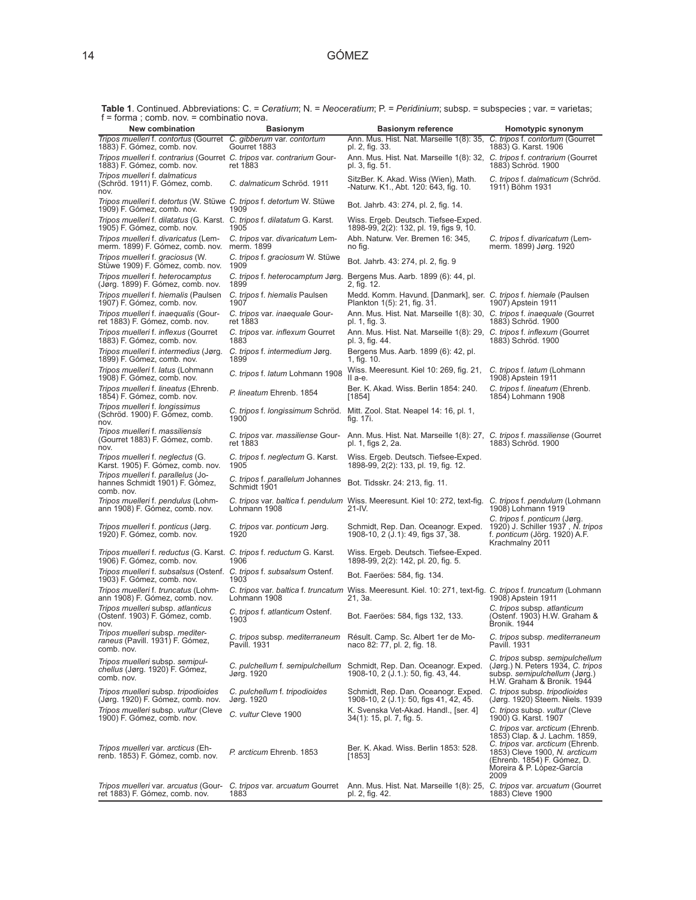**Table 1**. Continued. Abbreviations: C. = *Ceratium*; N. = *Neoceratium*; P. = *Peridinium*; subsp. = subspecies ; var. = varietas; f = forma ; comb. nov. = combinatio nova.

| 1011110, 001110. 110.<br><b>New combination</b>                                                        | <b>Basionym</b>                                  | <b>Basionym reference</b>                                                                                                | Homotypic synonym                                                                                                                                                                                          |
|--------------------------------------------------------------------------------------------------------|--------------------------------------------------|--------------------------------------------------------------------------------------------------------------------------|------------------------------------------------------------------------------------------------------------------------------------------------------------------------------------------------------------|
| Tripos muelleri f. contortus (Gourret C. gibberum var. contortum<br>1883) F. Gómez, comb. nov.         | Gourret 1883                                     | Ann. Mus. Hist. Nat. Marseille 1(8): 35.<br>pl. 2, fig. 33.                                                              | C. tripos f. contortum (Gourret<br>1883) G. Karst. 1906                                                                                                                                                    |
| Tripos muelleri f. contrarius (Gourret C. tripos var. contrarium Gour-<br>1883) F. Gómez, comb. nov.   | ret 1883                                         | Ann. Mus. Hist. Nat. Marseille 1(8): 32, C. tripos f. contrarium (Gourret<br>pl. 3, fig. 51.                             | 1883) Schröd. 1900                                                                                                                                                                                         |
| Tripos muelleri f. dalmaticus<br>(Schröd. 1911) F. Gómez, comb.<br>nov.                                | C. dalmaticum Schröd. 1911                       | SitzBer. K. Akad. Wiss (Wien), Math.<br>-Naturw. K1., Abt. 120: 643, fig. 10.                                            | C. tripos f. dalmaticum (Schröd.<br>1911) Böhm 1931                                                                                                                                                        |
| Tripos muelleri f. detortus (W. Stüwe C. tripos f. detortum W. Stüwe<br>1909) F. Gómez, comb. nov.     | 1909                                             | Bot. Jahrb. 43: 274, pl. 2, fig. 14.                                                                                     |                                                                                                                                                                                                            |
| Tripos muelleri f. dilatatus (G. Karst. C. tripos f. dilatatum G. Karst.<br>1905) F. Gómez, comb. nov. | 1905                                             | Wiss. Ergeb. Deutsch. Tiefsee-Exped.<br>1898-99, 2(2): 132, pl. 19, figs 9, 10.                                          |                                                                                                                                                                                                            |
| Tripos muelleri f. divaricatus (Lem-<br>merm. 1899) F. Gómez, comb. nov.                               | C. tripos var. divaricatum Lem-<br>merm. 1899    | Abh. Naturw. Ver. Bremen 16: 345,<br>no fig.                                                                             | C. tripos f. divaricatum (Lem-<br>merm. 1899) Jørg. 1920                                                                                                                                                   |
| Tripos muelleri f. graciosus (W.<br>Stüwe 1909) F. Gómez, comb. nov.                                   | C. tripos f. graciosum W. Stüwe<br>1909          | Bot. Jahrb. 43: 274, pl. 2, fig. 9                                                                                       |                                                                                                                                                                                                            |
| Tripos muelleri f. heterocamptus<br>(Jørg. 1899) F. Gómez, comb. nov.                                  | C. tripos f. heterocamptum Jørg.<br>1899         | Bergens Mus. Aarb. 1899 (6): 44, pl.<br>2, fig. 12.                                                                      |                                                                                                                                                                                                            |
| Tripos muelleri f. hiemalis (Paulsen<br>1907) F. Gómez, comb. nov.                                     | C. tripos f. hiemalis Paulsen<br>1907            | Medd. Komm. Havund. [Danmark], ser. C. tripos f. hiemale (Paulsen<br>Plankton 1(5): 21, fig. 31.                         | 1907) Apstein 1911                                                                                                                                                                                         |
| Tripos muelleri f. inaequalis (Gour-<br>ret 1883) F. Gómez, comb. nov.                                 | C. tripos var. inaequale Gour-<br>ret 1883       | Ann. Mus. Hist. Nat. Marseille 1(8): 30, C. tripos f. inaequale (Gourret<br>pl. 1, fig. 3.                               | 1883) Schröd. 1900                                                                                                                                                                                         |
| Tripos muelleri f. inflexus (Gourret<br>1883) F. Gómez, comb. nov.                                     | C. tripos var. inflexum Gourret<br>1883          | Ann. Mus. Hist. Nat. Marseille 1(8): 29, C. tripos f. inflexum (Gourret<br>pl. 3, fig. 44.                               | 1883) Schröd. 1900                                                                                                                                                                                         |
| Tripos muelleri f. intermedius (Jørg.<br>1899) F. Gómez, comb. nov.                                    | C. tripos f. intermedium Jørg.<br>1899           | Bergens Mus. Aarb. 1899 (6): 42, pl.<br>1, fig. 10.                                                                      |                                                                                                                                                                                                            |
| Tripos muelleri f. latus (Lohmann<br>1908) F. Gómez, comb. nov.                                        | C. tripos f. latum Lohmann 1908                  | Wiss. Meeresunt. Kiel 10: 269, fig. 21,<br>II a-e.                                                                       | C. tripos f. latum (Lohmann<br>1908) Apstein 1911                                                                                                                                                          |
| Tripos muelleri f. lineatus (Ehrenb.<br>1854) F. Gómez, comb. nov.                                     | P. lineatum Ehrenb. 1854                         | Ber. K. Akad. Wiss. Berlin 1854: 240.<br>[1854]                                                                          | C. tripos f. lineatum (Ehrenb.<br>1854) Lohmann 1908                                                                                                                                                       |
| Tripos muelleri f. longissimus<br>(Schröd. 1900) F. Gómez, comb.<br>nov.                               | 1900                                             | C. tripos f. longissimum Schröd. Mitt. Zool. Stat. Neapel 14: 16, pl. 1,<br>fig. 17i.                                    |                                                                                                                                                                                                            |
| Tripos muelleri f. massiliensis<br>(Gourret 1883) F. Gómez, comb.<br>nov.                              | C. tripos var. massiliense Gour-<br>ret 1883     | Ann. Mus. Hist. Nat. Marseille 1(8): 27, C. tripos f. massiliense (Gourret<br>pl. 1, figs 2, 2a.                         | 1883) Schröd. 1900                                                                                                                                                                                         |
| Tripos muelleri f. neglectus (G.<br>Karst. 1905) F. Gómez, comb. nov.                                  | C. tripos f. neglectum G. Karst.<br>1905         | Wiss. Ergeb. Deutsch. Tiefsee-Exped.<br>1898-99, 2(2): 133, pl. 19, fig. 12.                                             |                                                                                                                                                                                                            |
| Tripos muelleri f. parallelus (Jo-<br>hannes Schmidt 1901) F. Gómez,<br>comb. nov.                     | C. tripos f. parallelum Johannes<br>Schmidt 1901 | Bot. Tidsskr. 24: 213, fig. 11.                                                                                          |                                                                                                                                                                                                            |
| Tripos muelleri f. pendulus (Lohm-<br>ann 1908) F. Gómez, comb. nov.                                   | Lohmann 1908                                     | C. tripos var. baltica f. pendulum Wiss. Meeresunt. Kiel 10: 272, text-fig. C. tripos f. pendulum (Lohmann<br>21-IV.     | 1908) Lohmann 1919                                                                                                                                                                                         |
| Tripos muelleri f. ponticus (Jørg.<br>1920) F. Gómez, comb. nov.                                       | C. tripos var. ponticum Jørg.<br>1920            | Schmidt, Rep. Dan. Oceanogr. Exped.<br>1908-10, 2 (J.1): 49, figs 37, 38.                                                | C. tripos f. ponticum (Jørg.<br>1920) J. Schiller 1937, N. tripos<br>f. ponticum (Jörg. 1920) A.F.<br>Krachmalny 2011                                                                                      |
| Tripos muelleri f. reductus (G. Karst. C. tripos f. reductum G. Karst.<br>1906) F. Gómez, comb. nov.   | 1906                                             | Wiss. Ergeb. Deutsch. Tiefsee-Exped.<br>1898-99, 2(2): 142, pl. 20, fig. 5.                                              |                                                                                                                                                                                                            |
| Tripos muelleri f. subsalsus (Ostenf. C. tripos f. subsalsum Ostenf.<br>1903) F. Gómez, comb. nov.     | 1903                                             | Bot. Faeröes: 584, fig. 134.                                                                                             |                                                                                                                                                                                                            |
| Tripos muelleri f. truncatus (Lohm-<br>ann 1908) F. Gómez, comb. nov.                                  | Lohmann 1908                                     | C. tripos var. baltica f. truncatum Wiss. Meeresunt. Kiel. 10: 271, text-fig. C. tripos f. truncatum (Lohmann<br>21, 3a. | 1908) Apstein 1911                                                                                                                                                                                         |
| Tripos muelleri subsp. atlanticus<br>(Ostenf. 1903) F. Gómez, comb.<br>nov.                            | C. tripos f. atlanticum Ostenf.<br>1903          | Bot. Faeröes: 584, figs 132, 133.                                                                                        | C. tripos subsp. atlanticum<br>(Ostenf. 1903) H.W. Graham &<br>Bronik. 1944                                                                                                                                |
| Tripos muelleri subsp. mediter-<br>raneus (Pavill. 1931) F. Gómez,<br>comb. nov.                       | C. tripos subsp. mediterraneum<br>Pavill. 1931   | Résult. Camp. Sc. Albert 1er de Mo-<br>naco 82: 77, pl. 2, fig. 18.                                                      | C. tripos subsp. mediterraneum<br>Pavill. 1931                                                                                                                                                             |
| Tripos muelleri subsp. semipul-<br><i>chellus</i> (Jørg. 1920) F. Gómez,<br>comb. nov.                 | C. pulchellum f. semipulchellum<br>Jørg. 1920    | Schmidt, Rep. Dan. Oceanogr. Exped.<br>1908-10, 2 (J.1.): 50, fig. 43, 44.                                               | C. tripos subsp. semipulchellum<br>(Jørg.) N. Peters 1934, C. tripos<br>subsp. semipulchellum (Jørg.)<br>H.W. Graham & Bronik. 1944                                                                        |
| Tripos muelleri subsp. tripodioides<br>(Jørg. 1920) F. Gómez, comb. nov.                               | C. pulchellum f. tripodioides<br>Jørg. 1920      | Schmidt, Rep. Dan. Oceanogr. Exped.<br>1908-10, 2 (J.1): 50, figs 41, 42, 45.                                            | C. tripos subsp. tripodioides<br>(Jørg. 1920) Steem. Niels. 1939                                                                                                                                           |
| Tripos muelleri subsp. vultur (Cleve<br>1900) F. Gómez, comb. nov.                                     | C. vultur Cleve 1900                             | K. Svenska Vet-Akad. Handl., [ser. 4]<br>34(1): 15, pl. 7, fig. 5.                                                       | C. tripos subsp. vultur (Cleve<br>1900) G. Karst. 1907                                                                                                                                                     |
| Tripos muelleri var. arcticus (Eh-<br>renb. 1853) F. Gómez, comb. nov.                                 | P. arcticum Ehrenb. 1853                         | Ber. K. Akad. Wiss. Berlin 1853: 528.<br>[1853]                                                                          | C. tripos var. arcticum (Ehrenb.<br>1853) Clap. & J. Lachm. 1859,<br>C. tripos var. arcticum (Ehrenb.<br>1853) Cleve 1900, N. arcticum<br>(Ehrenb. 1854) F. Gómez, D.<br>Moreira & P. López-García<br>2009 |
| Tripos muelleri var. arcuatus (Gour-<br>ret 1883) F. Gómez, comb. nov.                                 | C. tripos var. arcuatum Gourret<br>1883          | Ann. Mus. Hist. Nat. Marseille 1(8): 25, C. tripos var. arcuatum (Gourret<br>pl. 2, fig. 42.                             | 1883) Cleve 1900                                                                                                                                                                                           |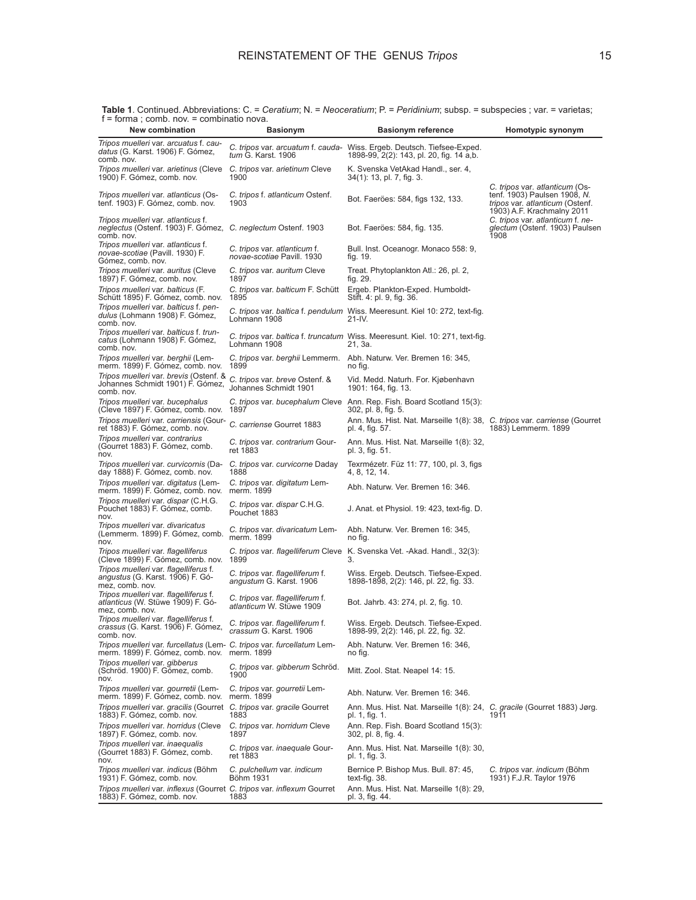| New combination                                                                                                       | <b>Basionym</b>                                             | <b>Basionym reference</b>                                                                                          | Homotypic synonym                                                                                                                      |
|-----------------------------------------------------------------------------------------------------------------------|-------------------------------------------------------------|--------------------------------------------------------------------------------------------------------------------|----------------------------------------------------------------------------------------------------------------------------------------|
| Tripos muelleri var. arcuatus f. cau-<br>datus (G. Karst. 1906) F. Gómez,<br>comb. nov.                               | <i>tum</i> G. Karst. 1906                                   | C. tripos var. arcuatum f. cauda- Wiss. Ergeb. Deutsch. Tiefsee-Exped.<br>1898-99, 2(2): 143, pl. 20, fig. 14 a,b. |                                                                                                                                        |
| <i>Tripos muelleri var. arietinus (Cleve</i><br>1900) F. Gómez, comb. nov.                                            | C. tripos var. arietinum Cleve<br>1900                      | K. Svenska VetAkad Handl., ser. 4,<br>34(1): 13, pl. 7, fig. 3.                                                    |                                                                                                                                        |
| Tripos muelleri var. atlanticus (Os-<br>tenf. 1903) F. Gómez, comb. nov.                                              | C. tripos f. atlanticum Ostenf.<br>1903                     | Bot. Faeröes: 584, figs 132, 133.                                                                                  | C. tripos var. atlanticum (Os-<br>tenf. 1903) Paulsen 1908, N.<br><i>tripos var. atlanticum</i> (Ostenf.<br>1903) A.F. Krachmalny 2011 |
| Tripos muelleri var. atlanticus f.<br>neglectus (Ostenf. 1903) F. Gómez, C. neglectum Ostenf. 1903<br>comb. nov.      |                                                             | Bot. Faeröes: 584, fig. 135.                                                                                       | C. tripos var. atlanticum f. ne-<br>glectum (Ostenf. 1903) Paulsen<br>1908                                                             |
| Tripos muelleri var. atlanticus f.<br>novae-scotiae (Pavill. 1930) F.<br>Gómez, comb. nov.                            | C. tripos var. atlanticum f.<br>novae-scotiae Pavill. 1930  | Bull. Inst. Oceanogr. Monaco 558: 9,<br>fig. 19.                                                                   |                                                                                                                                        |
| Tripos muelleri var. auritus (Cleve<br>1897) F. Gómez, comb. nov.                                                     | C. tripos var. auritum Cleve<br>1897                        | Treat. Phytoplankton Atl.: 26, pl. 2,<br>fig. 29.                                                                  |                                                                                                                                        |
| Tripos muelleri var. balticus (F.<br>Schütt 1895) F. Gómez, comb. nov.                                                | C. tripos var. balticum F. Schütt<br>1895                   | Ergeb. Plankton-Exped. Humboldt-<br>Stift. 4: pl. 9, fig. 36.                                                      |                                                                                                                                        |
| Tripos muelleri var. balticus f. pen-<br>dulus (Lohmann 1908) F. Gómez,<br>comb. nov.                                 | Lohmann 1908                                                | C. tripos var. baltica f. pendulum Wiss. Meeresunt. Kiel 10: 272, text-fig.<br>21-IV.                              |                                                                                                                                        |
| Tripos muelleri var. balticus f. trun-<br>catus (Lohmann 1908) F. Gómez,<br>comb. nov.                                | Lohmann 1908                                                | C. tripos var. baltica f. truncatum Wiss. Meeresunt. Kiel. 10: 271, text-fig.<br>21, 3a.                           |                                                                                                                                        |
| Tripos muelleri var. berghii (Lem-<br>merm. 1899) F. Gómez, comb. nov.                                                | 1899                                                        | C. tripos var. berghii Lemmerm. Abh. Naturw. Ver. Bremen 16: 345,<br>no fig.                                       |                                                                                                                                        |
| Tripos muelleri var. brevis (Ostenf. &<br>Johannes Schmidt 1901) F. Gómez,<br>comb. nov.                              | C. tripos var. breve Ostenf. &<br>Johannes Schmidt 1901     | Vid. Medd. Naturh. For. Kjøbenhavn<br>1901: 164, fig. 13.                                                          |                                                                                                                                        |
| Tripos muelleri var. bucephalus<br>(Cleve 1897) F. Gómez, comb. nov.                                                  | 1897                                                        | C. tripos var. bucephalum Cleve Ann. Rep. Fish. Board Scotland 15(3):<br>302, pl. 8, fig. 5.                       |                                                                                                                                        |
| Tripos muelleri var. carriensis (Gour-<br>ret 1883) F. Gómez, comb. nov.                                              | C. carriense Gourret 1883                                   | Ann. Mus. Hist. Nat. Marseille 1(8): 38, C. tripos var. carriense (Gourret<br>pl. 4, fig. 57.                      | 1883) Lemmerm. 1899                                                                                                                    |
| Tripos muelleri var. contrarius<br>(Gourret 1883) F. Gómez, comb.<br>nov.                                             | C. tripos var. contrarium Gour-<br>ret 1883                 | Ann. Mus. Hist. Nat. Marseille 1(8): 32,<br>pl. 3, fig. 51.                                                        |                                                                                                                                        |
| Tripos muelleri var. curvicornis (Da-<br>day 1888) F. Gómez, comb. nov.                                               | C. tripos var. curvicorne Daday<br>1888                     | Texrmézetr. Füz 11: 77, 100, pl. 3, figs<br>4, 8, 12, 14.                                                          |                                                                                                                                        |
| Tripos muelleri var. digitatus (Lem-<br>merm. 1899) F. Gómez, comb. nov.                                              | C. tripos var. digitatum Lem-<br>merm. 1899                 | Abh. Naturw. Ver. Bremen 16: 346.                                                                                  |                                                                                                                                        |
| <i>Tripos muelleri var. dispar (C.H.G.</i><br>Pouchet 1883) F. Gómez, comb.<br>nov.                                   | C. tripos var. dispar C.H.G.<br>Pouchet 1883                | J. Anat. et Physiol. 19: 423, text-fig. D.                                                                         |                                                                                                                                        |
| Tripos muelleri var. divaricatus<br>(Lemmerm. 1899) F. Gómez, comb.<br>nov.                                           | C. tripos var. divaricatum Lem-<br>merm. 1899               | Abh. Naturw. Ver. Bremen 16: 345,<br>no tig.                                                                       |                                                                                                                                        |
| Tripos muelleri var. flagelliferus<br>(Cleve 1899) F. Gómez, comb. nov.                                               | 1899                                                        | C. tripos var. flagelliferum Cleve K. Svenska Vet. -Akad. Handl., 32(3):<br>З.                                     |                                                                                                                                        |
| Tripos muelleri var. flagelliferus f.<br><i>angustus</i> (G. Karst. 1906) F. Gó-<br>mez, comb. nov.                   | C. tripos var. flagelliferum f.<br>angustum G. Karst. 1906  | Wiss. Ergeb. Deutsch. Tiefsee-Exped.<br>1898-1898, 2(2): 146, pl. 22, fig. 33.                                     |                                                                                                                                        |
| Tripos muelleri var. flagelliferus f.<br>atlanticus (W. Stüwe 1909) F. Gó-<br>mez, comb. nov.                         | C. tripos var. flagelliferum f.<br>atlanticum W. Stüwe 1909 | Bot. Jahrb. 43: 274, pl. 2, fig. 10.                                                                               |                                                                                                                                        |
| Tripos muelleri var. flagelliferus f.<br>crassus (G. Karst. 1906) F. Gómez,<br>comb. nov.                             | C. tripos var. flagelliferum f.<br>crassum G. Karst. 1906   | Wiss. Ergeb. Deutsch. Tiefsee-Exped.<br>1898-99, 2(2): 146, pl. 22, fig. 32.                                       |                                                                                                                                        |
| Tripos muelleri var. furcellatus (Lem- C. tripos var. furcellatum Lem-<br>merm. 1899) F. Gómez, comb. nov. merm. 1899 |                                                             | Abh. Naturw. Ver. Bremen 16: 346,<br>no fig.                                                                       |                                                                                                                                        |
| Tripos muelleri var. gibberus<br>(Schröd. 1900) F. Gómez, comb.<br>nov.                                               | C. tripos var. gibberum Schröd.<br>1900                     | Mitt. Zool. Stat. Neapel 14: 15.                                                                                   |                                                                                                                                        |
| Tripos muelleri var. gourretii (Lem-<br>merm. 1899) F. Gómez, comb. nov.                                              | C. tripos var. gourretii Lem-<br>merm. 1899                 | Abh. Naturw. Ver. Bremen 16: 346.                                                                                  |                                                                                                                                        |
| Tripos muelleri var. gracilis (Gourret C. tripos var. gracile Gourret<br>1883) F. Gómez, comb. nov.                   | 1883                                                        | Ann. Mus. Hist. Nat. Marseille 1(8): 24, C. gracile (Gourret 1883) Jørg.<br>pl. 1, fig. 1.                         | 1911                                                                                                                                   |
| Tripos muelleri var. horridus (Cleve<br>1897) F. Gómez, comb. nov.                                                    | C. tripos var. horridum Cleve<br>1897                       | Ann. Rep. Fish. Board Scotland 15(3):<br>302, pl. 8, fig. 4.                                                       |                                                                                                                                        |
| Tripos muelleri var. inaequalis<br>(Gourret 1883) F. Gómez, comb.<br>nov.                                             | C. tripos var. inaequale Gour-<br>ret 1883                  | Ann. Mus. Hist. Nat. Marseille 1(8): 30,<br>pl. 1, fig. 3.                                                         |                                                                                                                                        |
| Tripos muelleri var. indicus (Böhm<br>1931) F. Gómez, comb. nov.                                                      | C. pulchellum var. indicum<br>Böhm 1931                     | Bernice P. Bishop Mus. Bull. 87: 45,<br>text-fig. 38.                                                              | C. tripos var. indicum (Böhm<br>1931) F.J.R. Taylor 1976                                                                               |
| Tripos muelleri var. inflexus (Gourret C. tripos var. inflexum Gourret<br>1883) F. Gómez, comb. nov.                  | 1883                                                        | Ann. Mus. Hist. Nat. Marseille 1(8): 29,<br>pl. 3, fig. 44.                                                        |                                                                                                                                        |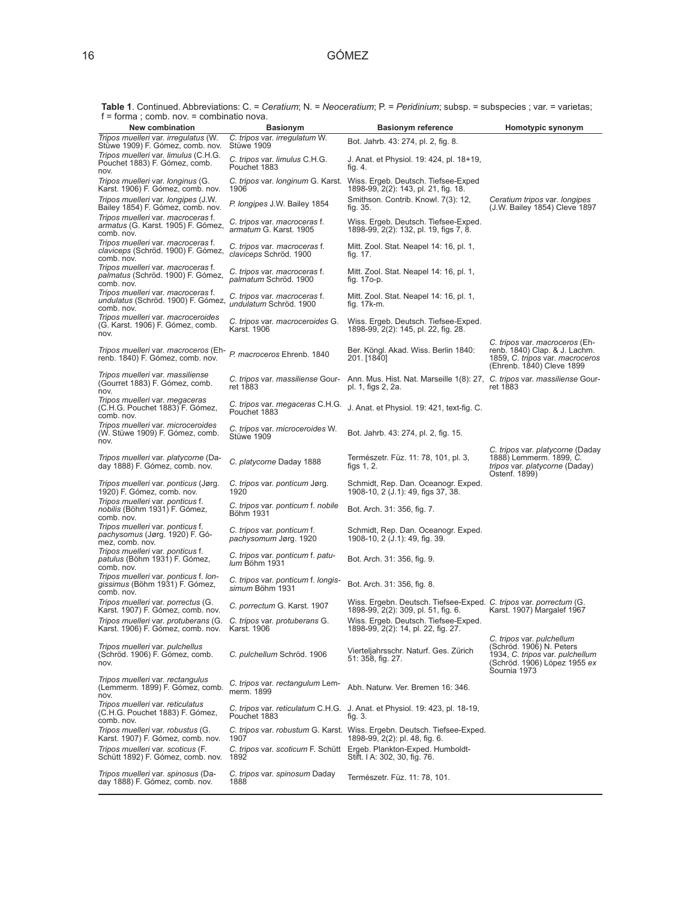**Table 1**. Continued. Abbreviations: C. = *Ceratium*; N. = *Neoceratium*; P. = *Peridinium*; subsp. = subspecies ; var. = varietas; f = forma ; comb. nov. = combinatio nova.

| $1 - 101111a$ , comp. $100x - 00111011a10110a$                                                                      |                                                        |                                                                                                               |                                                                                                                                          |
|---------------------------------------------------------------------------------------------------------------------|--------------------------------------------------------|---------------------------------------------------------------------------------------------------------------|------------------------------------------------------------------------------------------------------------------------------------------|
| New combination<br>Tripos muelleri var. irregulatus (W.                                                             | <b>Basionym</b><br>C. tripos var. irregulatum W.       | <b>Basionym reference</b>                                                                                     | Homotypic synonym                                                                                                                        |
| Stüwe 1909) F. Gómez, comb. nov.                                                                                    | Stüwe 1909                                             | Bot. Jahrb. 43: 274, pl. 2, fig. 8.                                                                           |                                                                                                                                          |
| Tripos muelleri var. limulus (C.H.G.<br>Pouchet 1883) F. Gómez, comb.<br>nov.                                       | C. tripos var. limulus C.H.G.<br>Pouchet 1883          | J. Anat. et Physiol. 19: 424, pl. 18+19,<br>fig. 4.                                                           |                                                                                                                                          |
| Tripos muelleri var. longinus (G.<br>Karst. 1906) F. Gómez, comb. nov.                                              | 1906                                                   | C. tripos var. longinum G. Karst. Wiss. Ergeb. Deutsch. Tiefsee-Exped<br>1898-99, 2(2): 143, pl. 21, fig. 18. |                                                                                                                                          |
| Tripos muelleri var. longipes (J.W.<br>Bailey 1854) F. Gómez, comb. nov.                                            | P. longipes J.W. Bailey 1854                           | Smithson. Contrib. Knowl. 7(3): 12,<br>fig. 35.                                                               | Ceratium tripos var. longipes<br>(J.W. Bailey 1854) Cleve 1897                                                                           |
| Tripos muelleri var. macroceras f.<br>armatus (G. Karst. 1905) F. Gómez,<br>comb. nov.                              | C. tripos var. macroceras f.<br>armatum G. Karst. 1905 | Wiss. Ergeb. Deutsch. Tiefsee-Exped.<br>1898-99, 2(2): 132, pl. 19, figs 7, 8.                                |                                                                                                                                          |
| Tripos muelleri var. macroceras f.<br>claviceps (Schröd. 1900) F. Gómez,<br>comb. nov.                              | C. tripos var. macroceras f.<br>claviceps Schröd. 1900 | Mitt. Zool. Stat. Neapel 14: 16, pl. 1,<br>fig. 17.                                                           |                                                                                                                                          |
| Tripos muelleri var. macroceras f.<br><i>palmatus</i> (Schröd. 1900) F. Gómez,<br>comb. nov.                        | C. tripos var. macroceras f.<br>palmatum Schröd. 1900  | Mitt. Zool. Stat. Neapel 14: 16, pl. 1,<br>fig. 17o-p.                                                        |                                                                                                                                          |
| Tripos muelleri var. macroceras f.<br>undulatus (Schröd. 1900) F. Gómez,<br>comb. nov.                              | C. tripos var. macroceras f.<br>undulatum Schröd. 1900 | Mitt. Zool. Stat. Neapel 14: 16, pl. 1,<br>fig. 17k-m.                                                        |                                                                                                                                          |
| Tripos muelleri var. macroceroides<br>(G. Karst. 1906) F. Gómez, comb.<br>nov.                                      | C. tripos var. macroceroides G.<br>Karst. 1906         | Wiss. Ergeb. Deutsch. Tiefsee-Exped.<br>1898-99, 2(2): 145, pl. 22, fig. 28.                                  |                                                                                                                                          |
| Tripos muelleri var. macroceros (Eh-<br>renb. 1840) F. Gómez, comb. nov.                                            | P. macroceros Ehrenb. 1840                             | Ber. Köngl. Akad. Wiss. Berlin 1840:<br>201. [1840]                                                           | C. tripos var. macroceros (Eh-<br>renb. 1840) Clap. & J. Lachm.<br>1859, C. tripos var. macroceros<br>(Ehrenb. 1840) Cleve 1899          |
| Tripos muelleri var. massiliense<br>(Gourret 1883) F. Gómez, comb.<br>nov.                                          | C. tripos var. massiliense Gour-<br>ret 1883           | Ann. Mus. Hist. Nat. Marseille 1(8): 27, C. tripos var. massiliense Gour-<br>pl. 1, figs 2, 2a.               | ret 1883                                                                                                                                 |
| Tripos muelleri var. megaceras<br>(C.H.G. Pouchet 1883) F. Gómez,<br>comb. nov.                                     | C. tripos var. megaceras C.H.G.<br>Pouchet 1883        | J. Anat. et Physiol. 19: 421, text-fig. C.                                                                    |                                                                                                                                          |
| Tripos muelleri var. microceroides<br>(W. Stüwe 1909) F. Gómez, comb.<br>nov.                                       | C. tripos var. microceroides W.<br>Stüwe 1909          | Bot. Jahrb. 43: 274, pl. 2, fig. 15.                                                                          |                                                                                                                                          |
| Tripos muelleri var. platycorne (Da-<br>day 1888) F. Gómez, comb. nov.                                              | C. platycorne Daday 1888                               | Természetr. Füz. 11: 78, 101, pl. 3,<br>figs $1, 2$ .                                                         | C. tripos var. platycorne (Daday<br>1888) Lemmerm. 1899, C.<br>tripos var. platycorne (Daday)<br>Ostenf. 1899)                           |
| Tripos muelleri var. ponticus (Jørg.<br>1920) F. Gómez, comb. nov.                                                  | C. tripos var. ponticum Jørg.<br>1920                  | Schmidt, Rep. Dan. Oceanogr. Exped.<br>1908-10, 2 (J.1): 49, figs 37, 38.                                     |                                                                                                                                          |
| Tripos muelleri var. ponticus f.<br>nobilis (Böhm 1931) F. Gómez,<br>comb. nov.                                     | C. tripos var. ponticum f. nobile<br>Böhm 1931         | Bot. Arch. 31: 356, fig. 7.                                                                                   |                                                                                                                                          |
| Tripos muelleri var. ponticus f.<br><i>pachysomus (Jørg. 1920) F. Gó-</i><br>mez, comb. nov.                        | C. tripos var. ponticum f.<br>pachysomum Jørg. 1920    | Schmidt, Rep. Dan. Oceanogr. Exped.<br>1908-10, 2 (J.1): 49, fig. 39.                                         |                                                                                                                                          |
| Tripos muelleri var. ponticus f.<br>patulus (Böhm 1931) F. Gómez,<br>comb. nov.                                     | C. tripos var. ponticum f. patu-<br>lum Böhm 1931      | Bot. Arch. 31: 356, fig. 9.                                                                                   |                                                                                                                                          |
| Tripos muelleri var. ponticus f. lon-<br>gissimus (Böhm 1931) F. Gómez,<br>comb. nov.                               | C. tripos var. ponticum f. longis-<br>simum Böhm 1931  | Bot. Arch. 31: 356, fig. 8.                                                                                   |                                                                                                                                          |
| Tripos muelleri var. porrectus (G.<br>Karst. 1907) F. Gómez, comb. nov.                                             | C. porrectum G. Karst. 1907                            | Wiss. Ergebn. Deutsch. Tiefsee-Exped. C. tripos var. porrectum (G.<br>1898-99, 2(2): 309, pl. 51, fig. 6.     | Karst. 1907) Margalef 1967                                                                                                               |
| Tripos muelleri var. protuberans (G. C. tripos var. protuberans G.<br>Karst. 1906) F. Gomez, comp. nov. Karst. 1906 |                                                        | Wiss. Ergeb. Deutsch. Tiefsee-Exped.<br>1898-99, 2(2): 14, pl. 22, fig. 27.                                   |                                                                                                                                          |
| Tripos muelleri var. pulchellus<br>(Schröd. 1906) F. Gómez, comb.<br>nov.                                           | C. pulchellum Schröd. 1906                             | Vierteljahrsschr. Naturf. Ges. Zürich<br>51: 358, fig. 27.                                                    | C. tripos var. pulchellum<br>(Schröd. 1906) N. Peters<br>1934, C. tripos var. pulchellum<br>(Schröd. 1906) López 1955 ex<br>Sournia 1973 |
| Tripos muelleri var. rectangulus<br>(Lemmerm. 1899) F. Gómez, comb.<br>nov.                                         | C. tripos var. rectangulum Lem-<br>merm. 1899          | Abh. Naturw. Ver. Bremen 16: 346.                                                                             |                                                                                                                                          |
| Tripos muelleri var. reticulatus<br>(C.H.G. Pouchet 1883) F. Gómez,<br>comb. nov.                                   | Pouchet 1883                                           | C. tripos var. reticulatum C.H.G. J. Anat. et Physiol. 19: 423, pl. 18-19,<br>tig. 3.                         |                                                                                                                                          |
| Tripos muelleri var. robustus (G.<br>Karst. 1907) F. Gómez, comb. nov.                                              | 1907                                                   | C. tripos var. robustum G. Karst. Wiss. Ergebn. Deutsch. Tiefsee-Exped.<br>1898-99, 2(2): pl. 48, fig. 6.     |                                                                                                                                          |
| Tripos muelleri var. scoticus (F.<br>Schütt 1892) F. Gómez, comb. nov.                                              | 1892                                                   | C. tripos var. scoticum F. Schütt Ergeb. Plankton-Exped. Humboldt-<br>Stift. I A: 302, 30, fig. 76.           |                                                                                                                                          |
| Tripos muelleri var. spinosus (Da-<br>day 1888) F. Gómez, comb. nov.                                                | C. tripos var. spinosum Daday<br>1888                  | Természetr. Füz. 11: 78, 101.                                                                                 |                                                                                                                                          |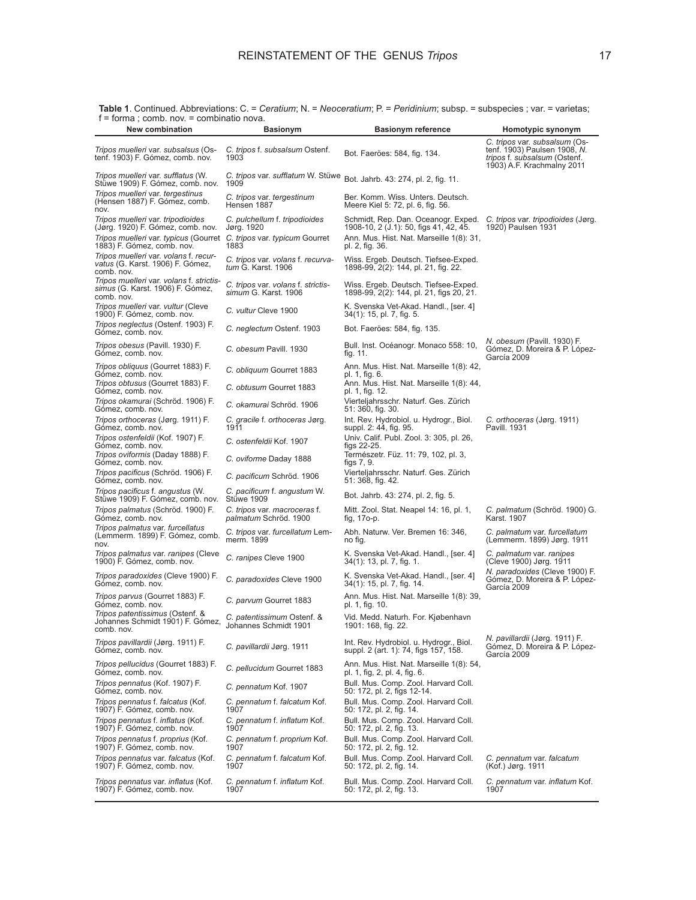**New combination Basionym Basionym reference Homotypic synonym Table 1**. Continued. Abbreviations: C. = *Ceratium*; N. = *Neoceratium*; P. = *Peridinium*; subsp. = subspecies ; var. = varietas; f = forma ; comb. nov. = combinatio nova.

| <b>NEW COMMUNISHI</b>                                                                              | <b>Dasioliyili</b>                                         | Dasionym reference                                                                                               | <b>HOIIIOLYPIC SYNONYMI</b>                                                                                                 |
|----------------------------------------------------------------------------------------------------|------------------------------------------------------------|------------------------------------------------------------------------------------------------------------------|-----------------------------------------------------------------------------------------------------------------------------|
| Tripos muelleri var. subsalsus (Os-<br>tenf. 1903) F. Gómez, comb. nov.                            | C. tripos f. subsalsum Ostenf.<br>1903                     | Bot. Faeröes: 584, fig. 134.                                                                                     | C. tripos var. subsalsum (Os-<br>tenf. 1903) Paulsen 1908, N.<br>tripos f. subsalsum (Ostenf.<br>1903) A.F. Krachmalny 2011 |
| Tripos muelleri var. sufflatus (W.<br>Stüwe 1909) F. Gómez, comb. nov.                             | C. tripos var. sufflatum W. Stüwe<br>1909                  | Bot. Jahrb. 43: 274, pl. 2, fig. 11.                                                                             |                                                                                                                             |
| Tripos muelleri var. tergestinus<br>(Hensen 1887) F. Gómez, comb.<br>nov.                          | C. tripos var. tergestinum<br>Hensen 1887                  | Ber. Komm. Wiss. Unters. Deutsch.<br>Meere Kiel 5: 72, pl. 6, fig. 56.                                           |                                                                                                                             |
| Tripos muelleri var. tripodioides<br>(Jørg. 1920) F. Gómez, comb. nov.                             | C. pulchellum f. tripodioides<br>Jørg. 1920                | Schmidt, Rep. Dan. Oceanogr. Exped. C. tripos var. tripodioides (Jørg.<br>1908-10, 2 (J.1): 50, figs 41, 42, 45. | 1920) Paulsen 1931                                                                                                          |
| Tripos muelleri var. typicus (Gourret C. tripos var. typicum Gourret<br>1883) F. Gómez, comb. nov. | 1883                                                       | Ann. Mus. Hist. Nat. Marseille 1(8): 31,<br>pl. 2, fig. 36.                                                      |                                                                                                                             |
| Tripos muelleri var. volans f. recur-<br>vatus (G. Karst. 1906) F. Gómez,<br>comb. nov.            | C. tripos var. volans f. recurva-<br>tum G. Karst. 1906    | Wiss. Ergeb. Deutsch. Tiefsee-Exped.<br>1898-99, 2(2): 144, pl. 21, fig. 22.                                     |                                                                                                                             |
| Tripos muelleri var. volans f. strictis-<br>simus (G. Karst. 1906) F. Gómez,<br>comb. nov.         | C. tripos var. volans f. strictis-<br>simum G. Karst. 1906 | Wiss. Ergeb. Deutsch. Tiefsee-Exped.<br>1898-99, 2(2): 144, pl. 21, figs 20, 21.                                 |                                                                                                                             |
| Tripos muelleri var. vultur (Cleve<br>1900) F. Gómez, comb. nov.                                   | C. vultur Cleve 1900                                       | K. Svenska Vet-Akad. Handl., [ser. 4]<br>34(1): 15, pl. 7, fig. 5.                                               |                                                                                                                             |
| Tripos neglectus (Ostenf. 1903) F.<br>Gómez, comb. nov.                                            | C. neglectum Ostenf. 1903                                  | Bot. Faeröes: 584, fig. 135.                                                                                     |                                                                                                                             |
| Tripos obesus (Pavill. 1930) F.<br>Gómez, comb, nov.                                               | C. obesum Pavill. 1930                                     | Bull. Inst. Océanogr. Monaco 558: 10,<br>fig. 11.                                                                | N. obesum (Pavill. 1930) F.<br>Gómez, D. Moreira & P. López-<br>García 2009                                                 |
| Tripos obliquus (Gourret 1883) F.<br>Gómez, comb. nov.                                             | C. obliguum Gourret 1883                                   | Ann. Mus. Hist. Nat. Marseille 1(8): 42,<br>pl. 1, fig. 6.                                                       |                                                                                                                             |
| Tripos obtusus (Gourret 1883) F.<br>Gómez, comb. nov.                                              | C. obtusum Gourret 1883                                    | Ann. Mus. Hist. Nat. Marseille 1(8): 44,<br>pl. 1, fig. 12.                                                      |                                                                                                                             |
| Tripos okamurai (Schröd. 1906) F.<br>Gómez, comb. nov.                                             | C. okamurai Schröd. 1906                                   | Vierteljahrsschr. Naturf. Ges. Zürich<br>51: 360, fig. 30.                                                       |                                                                                                                             |
| Tripos orthoceras (Jørg. 1911) F.<br>Gómez, comb. nov.                                             | C. gracile f. orthoceras Jørg.<br>1911                     | Int. Rev. Hydrobiol. u. Hydrogr., Biol.<br>suppl. 2: 44, fig. 95.                                                | C. orthoceras (Jørg. 1911)<br>Pavill. 1931                                                                                  |
| Tripos ostenfeldii (Kof. 1907) F.<br>Gómez, comb. nov.                                             | C. ostenfeldii Kof. 1907                                   | Univ. Calif. Publ. Zool. 3: 305, pl. 26,<br>figs 22-25.                                                          |                                                                                                                             |
| Tripos oviformis (Daday 1888) F.<br>Gómez, comb. nov.                                              | C. oviforme Daday 1888                                     | Természetr. Füz. 11: 79, 102, pl. 3,<br>tigs 7, 9.                                                               |                                                                                                                             |
| Tripos pacificus (Schröd. 1906) F.<br>Gómez, comb. nov.                                            | C. pacificum Schröd. 1906                                  | Vierteljahrsschr. Naturf. Ges. Zürich<br>51: 368, fig. 42.                                                       |                                                                                                                             |
| Tripos pacificus f. angustus (W.<br>Stüwe 1909) F. Gómez, comb. nov.                               | C. pacificum f. angustum W.<br>Stüwe 1909                  | Bot. Jahrb. 43: 274, pl. 2, fig. 5.                                                                              |                                                                                                                             |
| Tripos palmatus (Schröd. 1900) F.<br>Gómez, comb. nov.                                             | C. tripos var. macroceras f.<br>palmatum Schröd. 1900      | Mitt. Zool. Stat. Neapel 14: 16, pl. 1,<br>fig, 170-p.                                                           | C. palmatum (Schröd. 1900) G.<br>Karst. 1907                                                                                |
| Tripos palmatus var. furcellatus<br>(Lemmerm. 1899) F. Gómez, comb.<br>nov.                        | C. tripos var. furcellatum Lem-<br>merm. 1899              | Abh. Naturw. Ver. Bremen 16: 346,<br>no fig.                                                                     | C. palmatum var. furcellatum<br>(Lemmerm. 1899) Jørg. 1911                                                                  |
| Tripos palmatus var. ranipes (Cleve<br>1900) F. Gómez, comb. nov.                                  | C. ranipes Cleve 1900                                      | K. Svenska Vet-Akad. Handl., [ser. 4]<br>34(1): 13, pl. 7, fig. 1.                                               | C. palmatum var. ranipes<br>(Cleve 1900) Jørg. 1911                                                                         |
| Tripos paradoxides (Cleve 1900) F.<br>Gómez, comb. nov.                                            | C. paradoxides Cleve 1900                                  | K. Svenska Vet-Akad. Handl., [ser. 4]<br>34(1): 15, pl. 7, fig. 14.                                              | N. paradoxides (Cleve 1900) F.<br>Gómez, D. Moreira & P. López-<br>García 2009                                              |
| Tripos parvus (Gourret 1883) F.<br>Gómez, comb. nov.                                               | C. parvum Gourret 1883                                     | Ann. Mus. Hist. Nat. Marseille 1(8): 39,<br>pl. 1, fig. 10.                                                      |                                                                                                                             |
| Tripos patentissimus (Ostenf. &<br>Johannes Schmidt 1901) F. Gómez,<br>comb. nov.                  | C. patentissimum Ostenf. &<br>Johannes Schmidt 1901        | Vid. Medd. Naturh. For. Kjøbenhavn<br>1901: 168, fig. 22.                                                        |                                                                                                                             |
| Tripos pavillardii (Jørg. 1911) F.<br>Gómez, comb. nov.                                            | C. pavillardii Jørg. 1911                                  | Int. Rev. Hydrobiol. u. Hydrogr., Biol.<br>suppl. 2 (art. 1): 74, figs 157, 158.                                 | N. pavillardii (Jørg. 1911) F.<br>Gómez, D. Moreira & P. López-<br>García 2009                                              |
| Tripos pellucidus (Gourret 1883) F.<br>Gómez, comb. nov.                                           | C. pellucidum Gourret 1883                                 | Ann. Mus. Hist. Nat. Marseille 1(8): 54,<br>pl. 1, fig, 2, pl. 4, fig. 6.                                        |                                                                                                                             |
| Tripos pennatus (Kof. 1907) F.<br>Gómez, comb. nov.                                                | C. pennatum Kof. 1907                                      | Bull. Mus. Comp. Zool. Harvard Coll.<br>50: 172, pl. 2, figs 12-14.                                              |                                                                                                                             |
| Tripos pennatus f. falcatus (Kof.<br>1907) F. Gómez, comb. nov.                                    | C. pennatum f. falcatum Kof.<br>1907                       | Bull. Mus. Comp. Zool. Harvard Coll.<br>50: 172, pl. 2, fig. 14.                                                 |                                                                                                                             |
| Tripos pennatus f. inflatus (Kof.<br>1907) F. Gómez, comb. nov.                                    | C. pennatum f. inflatum Kof.<br>1907                       | Bull. Mus. Comp. Zool. Harvard Coll.<br>50: 172, pl. 2, fig. 13.                                                 |                                                                                                                             |
| Tripos pennatus f. proprius (Kof.<br>1907) F. Gómez, comb. nov.                                    | C. pennatum f. proprium Kof.<br>1907                       | Bull. Mus. Comp. Zool. Harvard Coll.<br>50: 172, pl. 2, fig. 12.                                                 |                                                                                                                             |
| Tripos pennatus var. falcatus (Kof.<br>1907) F. Gómez, comb. nov.                                  | C. pennatum f. falcatum Kof.<br>1907                       | Bull. Mus. Comp. Zool. Harvard Coll.<br>50: 172, pl. 2, fig. 14.                                                 | C. pennatum var. falcatum<br>(Kof.) Jørg. 1911                                                                              |
| Tripos pennatus var. inflatus (Kof.<br>1907) F. Gómez, comb. nov.                                  | C. pennatum f. inflatum Kof.<br>1907                       | Bull. Mus. Comp. Zool. Harvard Coll.<br>50: 172, pl. 2, fig. 13.                                                 | C. pennatum var. inflatum Kof.<br>1907                                                                                      |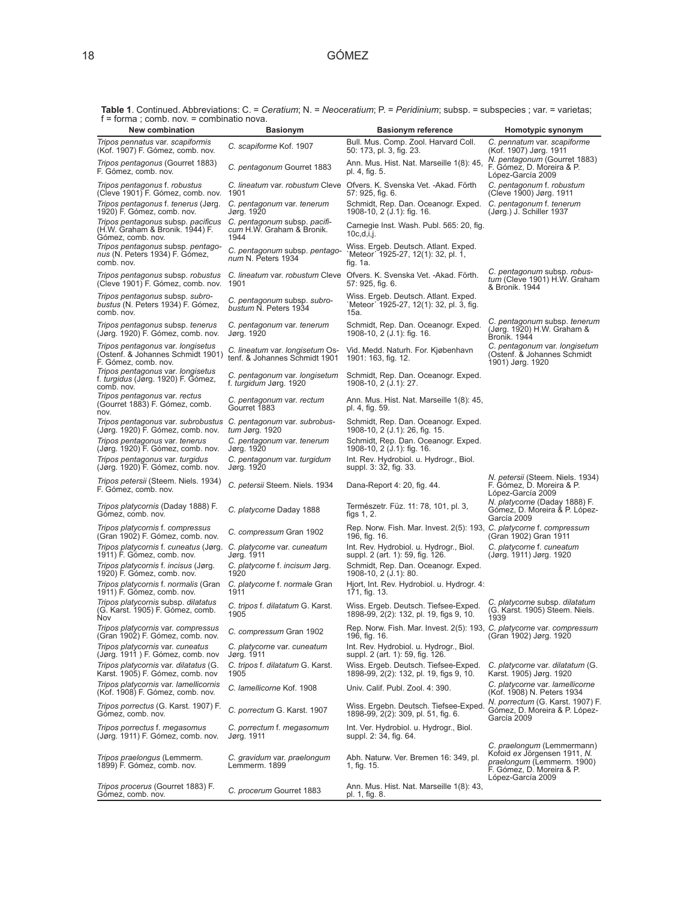| $T = 101111a$ , comp. Nov. $=$ complitation ova.<br><b>New combination</b>                           | <b>Basionym</b>                                                   | <b>Basionym reference</b>                                                                                                   | Homotypic synonym                                                                                                                          |
|------------------------------------------------------------------------------------------------------|-------------------------------------------------------------------|-----------------------------------------------------------------------------------------------------------------------------|--------------------------------------------------------------------------------------------------------------------------------------------|
| Tripos pennatus var. scapiformis<br>(Kof. 1907) F. Gómez, comb. nov.                                 | C. scapiforme Kof. 1907                                           | Bull. Mus. Comp. Zool. Harvard Coll.<br>50: 173, pl. 3, fig. 23.                                                            | C. pennatum var. scapiforme<br>(Kof. 1907) Jørg. 1911                                                                                      |
| <i>Tripos pentagonus</i> (Gourret 1883)<br>F. Gómez, comb. nov.                                      | C. pentagonum Gourret 1883                                        | Ann. Mus. Hist. Nat. Marseille 1(8): 45,<br>pl. 4, fig. 5.                                                                  | N. pentagonum (Gourret 1883)<br>F. Gómez, D. Moreira & P.<br>López-García 2009                                                             |
| Tripos pentagonus f. robustus<br>(Cleve 1901) F. Gómez, comb. nov. 1901                              | C. lineatum var. robustum Cleve                                   | Ofvers. K. Svenska Vet. - Akad. Förth<br>57: 925, fig. 6.                                                                   | C. pentagonum f. robustum<br>(Cleve 1900) Jørg. 1911                                                                                       |
| Tripos pentagonus f. tenerus (Jørg.<br>1920) F. Gómez, comb. nov.                                    | C. pentagonum var. tenerum<br>Jørg. 1920                          | Schmidt, Rep. Dan. Oceanogr. Exped.<br>1908-10, 2 (J.1): fig. 16.                                                           | C. pentagonum f. tenerum<br>(Jørg.) J. Schiller 1937                                                                                       |
| Tripos pentagonus subsp. pacificus<br>(H.W. Graham & Bronik. 1944) F.<br>Gómez, comb. nov.           | C. pentagonum subsp. pacifi-<br>cum H.W. Graham & Bronik.<br>1944 | Carnegie Inst. Wash. Publ. 565: 20, fig.<br>$10c,d,i,i$ .                                                                   |                                                                                                                                            |
| Tripos pentagonus subsp. pentago-<br>nus (N. Peters 1934) F. Gómez,<br>comb. nov.                    | C. pentagonum subsp. pentago-<br>num N. Peters 1934               | Wiss. Ergeb. Deutsch. Atlant. Exped.<br>Meteor' 1925-27, 12(1): 32, pl. 1,<br>tig. $1a$ .                                   |                                                                                                                                            |
| (Cleve 1901) F. Gómez, comb. nov. 1901                                                               |                                                                   | Tripos pentagonus subsp. robustus C. lineatum var. robustum Cleve Ofvers. K. Svenska Vet. -Akad. Förth.<br>57: 925, fig. 6. | C. pentagonum subsp. robus-<br>tum (Cleve 1901) H.W. Graham<br>& Bronik. 1944                                                              |
| Tripos pentagonus subsp. subro-<br>bustus (N. Peters 1934) F. Gómez,<br>comb. nov.                   | C. pentagonum subsp. subro-<br>bustum N. Peters 1934              | Wiss. Ergeb. Deutsch. Atlant. Exped.<br>`Meteor´ 1925-27, 12(1): 32, pl. 3, fig.<br>15a.                                    |                                                                                                                                            |
| Tripos pentagonus subsp. tenerus<br>(Jørg. 1920) F. Gómez, comb. nov.                                | C. pentagonum var. tenerum<br>Jørg. 1920                          | Schmidt, Rep. Dan. Oceanogr. Exped.<br>1908-10, 2 (J.1): fig. 16.                                                           | C. pentagonum subsp. tenerum<br>(Jørg. 1920) H.W. Graham &<br><b>Bronik. 1944</b>                                                          |
| Tripos pentagonus var. longisetus<br>(Ostenf. & Johannes Schmidt 1901)<br>F. Gómez, comb. nov.       | C. lineatum var. longisetum Os-<br>tenf. & Johannes Schmidt 1901  | Vid. Medd. Naturh. For. Kjøbenhavn<br>1901: 163, fig. 12.                                                                   | C. pentagonum var. longisetum<br>(Ostenf. & Johannes Schmidt<br>1901) Jørg. 1920                                                           |
| Tripos pentagonus var. longisetus<br>f. turgidus (Jørg. 1920) F. Gómez,<br>comb. nov.                | C. pentagonum var. longisetum<br>f. turgidum Jørg. 1920           | Schmidt, Rep. Dan. Oceanogr. Exped.<br>1908-10, 2 (J.1): 27.                                                                |                                                                                                                                            |
| Tripos pentagonus var. rectus<br>(Gourret 1883) F. Gómez, comb.<br>nov.                              | C. pentagonum var. rectum<br>Gourret 1883                         | Ann. Mus. Hist. Nat. Marseille 1(8): 45,<br>pl. 4, fig. 59.                                                                 |                                                                                                                                            |
| Tripos pentagonus var. subrobustus C. pentagonum var. subrobus-<br>(Jørg. 1920) F. Gómez, comb. nov. | tum Jørg. 1920                                                    | Schmidt, Rep. Dan. Oceanogr. Exped.<br>1908-10, 2 (J.1): 26, fig. 15.                                                       |                                                                                                                                            |
| Tripos pentagonus var. tenerus<br>(Jørg. 1920) F. Gómez, comb. nov.                                  | C. pentagonum var. tenerum<br>Jørg. 1920                          | Schmidt, Rep. Dan. Oceanogr. Exped.<br>1908-10, 2 (J.1): fig. 16.                                                           |                                                                                                                                            |
| Tripos pentagonus var. turgidus<br>(Jørg. 1920) F. Gómez, comb. nov.                                 | C. pentagonum var. turgidum<br>Jørg. 1920                         | Int. Rev. Hydrobiol. u. Hydrogr., Biol.<br>suppl. 3: 32, fig. 33.                                                           |                                                                                                                                            |
| Tripos petersii (Steem. Niels. 1934)<br>F. Gómez, comb. nov.                                         | C. petersii Steem. Niels. 1934                                    | Dana-Report 4: 20, fig. 44.                                                                                                 | N. petersii (Steem. Niels. 1934)<br>F. Gómez, D. Moreira & P.<br>López-García 2009                                                         |
| <i>Tripos platycornis</i> (Daday 1888) F.<br>Gómez, comb. nov.                                       | C. platycorne Daday 1888                                          | Természetr. Füz. 11: 78, 101, pl. 3,<br>figs $1, 2$ .                                                                       | N. platycorne (Daday 1888) F.<br>Gómez, D. Moreira & P. López-<br>García 2009                                                              |
| Tripos platycornis f. compressus<br>(Gran 1902) F. Gómez, comb. nov.                                 | C. compressum Gran 1902                                           | Rep. Norw. Fish. Mar. Invest. 2(5): 193, C. platycorne f. compressum<br>196, fig. 16.                                       | (Gran 1902) Gran 1911                                                                                                                      |
| Tripos platycornis f. cuneatus (Jørg.<br>1911) F. Gómez, comb. nov.                                  | C. platycorne var. cuneatum<br>Jørg. 1911                         | Int. Rev. Hydrobiol. u. Hydrogr., Biol.<br>suppl. 2 (art. 1): 59, fig. 126.                                                 | C. platycorne f. cuneatum<br>(Jørg. 1911) Jørg. 1920                                                                                       |
| Tripos platycornis f. incisus (Jørg.<br>1920) F. Gómez, comb. nov.                                   | C. platycorne f. incisum Jørg.<br>1920                            | Schmidt, Rep. Dan. Oceanogr. Exped.<br>1908-10, 2 (J.1): 80.                                                                |                                                                                                                                            |
| Tripos platycornis f. normalis (Gran<br>1911) F. Gómez, comb. nov.                                   | C. platycorne f. normale Gran<br>1911                             | Hjort, Int. Rev. Hydrobiol. u. Hydrogr. 4:<br>171, fig. 13.                                                                 |                                                                                                                                            |
| Tripos platycornis subsp. dilatatus<br>(G. Karst. 1905) F. Gómez, comb.<br>Nov                       | C. tripos f. dilatatum G. Karst.<br>1905                          | Wiss. Ergeb. Deutsch. Tiefsee-Exped.<br>1898-99, 2(2): 132, pl. 19, figs 9, 10.                                             | C. platycorne subsp. dilatatum<br>(G. Karst. 1905) Steem. Niels.<br>1939                                                                   |
| Tripos platycornis var. compressus<br>(Gran 1902) F. Gómez, comb. nov.                               | C. compressum Gran 1902                                           | Rep. Norw. Fish. Mar. Invest. 2(5): 193, C. platycorne var. compressum<br>196, fig. 16.                                     | (Gran 1902) Jørg. 1920                                                                                                                     |
| Tripos platycornis var. cuneatus<br>(Jørg. 1911) F. Gómez, comb. nov                                 | C. platycorne var. cuneatum<br>Jørg. 1911                         | Int. Rev. Hydrobiol. u. Hydrogr., Biol.<br>suppl. 2 (art. 1): 59, fig. 126.                                                 |                                                                                                                                            |
| Tripos platycornis var. dilatatus (G.<br>Karst. 1905) F. Gómez, comb. nov                            | C. tripos f. dilatatum G. Karst.<br>1905                          | Wiss. Ergeb. Deutsch. Tiefsee-Exped.<br>1898-99, 2(2): 132, pl. 19, figs 9, 10.                                             | C. platycorne var. dilatatum (G.<br>Karst. 1905) Jørg. 1920                                                                                |
| Tripos platycornis var. lamellicornis<br>(Kof. 1908) F. Gómez, comb. nov.                            | C. lamellicorne Kof. 1908                                         | Univ. Calif. Publ. Zool. 4: 390.                                                                                            | C. platycorne var. lamellicorne<br>(Kof. 1908) N. Peters 1934                                                                              |
| Tripos porrectus (G. Karst. 1907) F.<br>Gómez, comb. nov.                                            | C. porrectum G. Karst. 1907                                       | Wiss. Ergebn. Deutsch. Tiefsee-Exped.<br>1898-99, 2(2): 309, pl. 51, fig. 6.                                                | N. porrectum (G. Karst. 1907) F.<br>Gómez, D. Moreira & P. López-<br>García 2009                                                           |
| Tripos porrectus f. megasomus<br>(Jørg. 1911) F. Gómez, comb. nov.                                   | C. porrectum f. megasomum<br>Jørg. 1911                           | Int. Ver. Hydrobiol. u. Hydrogr., Biol.<br>suppl. 2: 34, fig. 64.                                                           |                                                                                                                                            |
| Tripos praelongus (Lemmerm.<br>1899) F. Gómez, comb. nov.                                            | C. gravidum var. praelongum<br>Lemmerm. 1899                      | Abh. Naturw. Ver. Bremen 16: 349, pl.<br>1, fig. 15.                                                                        | C. praelongum (Lemmermann)<br>Kofoid ex Jörgensen 1911, N.<br>praelongum (Lemmerm. 1900)<br>F. Gómez, D. Moreira & P.<br>López-García 2009 |
| Tripos procerus (Gourret 1883) F.<br>Gómez, comb. nov.                                               | C. procerum Gourret 1883                                          | Ann. Mus. Hist. Nat. Marseille 1(8): 43,<br>pl. 1, fig. 8.                                                                  |                                                                                                                                            |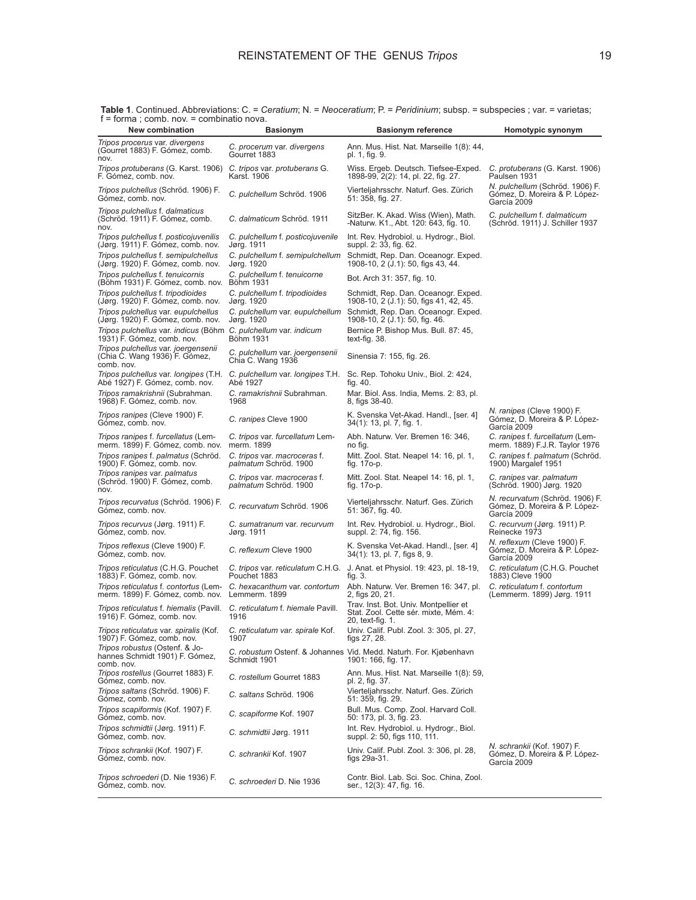| New combination                                                                                                       | <b>Basionym</b>                                              | <b>Basionym reference</b>                                                                          | Homotypic synonym                                                               |
|-----------------------------------------------------------------------------------------------------------------------|--------------------------------------------------------------|----------------------------------------------------------------------------------------------------|---------------------------------------------------------------------------------|
| Tripos procerus var. divergens<br>(Gourret 1883) F. Gómez, comb.<br>nov.                                              | C. procerum var. divergens<br>Gourret 1883                   | Ann. Mus. Hist. Nat. Marseille 1(8): 44,<br>pl. 1, fig. 9.                                         |                                                                                 |
| <i>Tripos protuberans</i> (G. Karst. 1906)<br>F. Gómez, comb. nov.                                                    | C. tripos var. protuberans G.<br>Karst. 1906                 | Wiss. Ergeb. Deutsch. Tiefsee-Exped.<br>1898-99, 2(2): 14, pl. 22, fig. 27.                        | C. protuberans (G. Karst. 1906)<br>Paulsen 1931                                 |
| Tripos pulchellus (Schröd. 1906) F.<br>Gómez, comb. nov.                                                              | C. pulchellum Schröd. 1906                                   | Vierteljahrsschr. Naturf. Ges. Zürich<br>51: 358, fig. 27.                                         | N. pulchellum (Schröd. 1906) F.<br>Gómez, D. Moreira & P. López-<br>García 2009 |
| Tripos pulchellus f. dalmaticus<br>(Schröd. 1911) F. Gómez, comb.<br>nov.                                             | C. dalmaticum Schröd. 1911                                   | SitzBer. K. Akad. Wiss (Wien), Math.<br>-Naturw. K1., Abt. 120: 643, fig. 10.                      | C. pulchellum f. dalmaticum<br>(Schröd. 1911) J. Schiller 1937                  |
| Tripos pulchellus f. posticojuvenilis<br>(Jørg. 1911) F. Gómez, comb. nov.                                            | C. pulchellum f. posticojuvenile<br>Jørg. 1911               | Int. Rev. Hydrobiol. u. Hydrogr., Biol.<br>suppl. 2: 33, fig. 62.                                  |                                                                                 |
| Tripos pulchellus f. semipulchellus<br>(Jørg. 1920) F. Gómez, comb. nov.                                              | C. pulchellum f. semipulchellum<br>Jørg. 1920                | Schmidt, Rep. Dan. Oceanogr. Exped.<br>1908-10, 2 (J.1): 50, figs 43, 44.                          |                                                                                 |
| Tripos pulchellus f. tenuicornis<br>(Böhm 1931) F. Gómez, comb. nov.                                                  | C. pulchellum f. tenuicorne<br>Böhm 1931                     | Bot. Arch 31: 357, fig. 10.                                                                        |                                                                                 |
| Tripos pulchellus f. tripodioides<br>(Jørg. 1920) F. Gómez, comb. nov.                                                | C. pulchellum f. tripodioides<br>Jørg. 1920                  | Schmidt, Rep. Dan. Oceanogr. Exped.<br>1908-10, 2 (J.1): 50, figs 41, 42, 45.                      |                                                                                 |
| Tripos pulchellus var. eupulchellus<br>(Jørg. 1920) F. Gómez, comb. nov.                                              | C. pulchellum var. eupulchellum<br>Jørg. 1920                | Schmidt, Rep. Dan. Oceanogr. Exped.<br>1908-10, 2 (J.1): 50, fig. 46.                              |                                                                                 |
| Tripos pulchellus var. indicus (Böhm C. pulchellum var. indicum<br>1931) F. Gómez, comb. nov.                         | Böhm 1931                                                    | Bernice P. Bishop Mus. Bull. 87: 45,<br>text-fig. 38.                                              |                                                                                 |
| Tripos pulchellus var. joergensenii<br>(Chia C. Wang 1936) F. Gómez,<br>comb. nov.                                    | C. pulchellum var. joergensenii<br>Chia C. Wang 1936         | Sinensia 7: 155, fig. 26.                                                                          |                                                                                 |
| Tripos pulchellus var. longipes (T.H.<br>Abé 1927) F. Gómez, comb. nov.                                               | C. pulchellum var. longipes T.H.<br>Abé 1927                 | Sc. Rep. Tohoku Univ., Biol. 2: 424,<br>fig. 40.                                                   |                                                                                 |
| Tripos ramakrishnii (Subrahman.<br>1968) F. Gómez, comb. nov.                                                         | C. ramakrishnii Subrahman.<br>1968                           | Mar. Biol. Ass. India, Mems. 2: 83, pl.<br>8, figs 38-40.                                          |                                                                                 |
| Tripos ranipes (Cleve 1900) F.<br>Gómez, comb. nov.                                                                   | C. ranipes Cleve 1900                                        | K. Svenska Vet-Akad. Handl., [ser. 4]<br>34(1): 13, pl. 7, fig. 1.                                 | N. ranipes (Cleve 1900) F.<br>Gómez, D. Moreira & P. López-<br>García 2009      |
| Tripos ranipes f. furcellatus (Lem-<br>merm. 1899) F. Gómez, comb. nov.                                               | C. tripos var. furcellatum Lem-<br>merm. 1899                | Abh. Naturw. Ver. Bremen 16: 346,<br>no fig.                                                       | C. ranipes f. furcellatum (Lem-<br>merm. 1889) F.J.R. Taylor 1976               |
| <i>Tripos ranipes f. palmatus (Schröd.</i><br>1900) F. Gómez, comb. nov.                                              | C. tripos var. macroceras f.<br><i>palmatum</i> Schröd. 1900 | Mitt. Zool. Stat. Neapel 14: 16, pl. 1,<br>fig. 17o-p.                                             | C. ranipes f. palmatum (Schröd.<br>1900) Margalef 1951                          |
| Tripos ranipes var. palmatus<br>(Schröd. 1900) F. Gómez, comb.<br>nov.                                                | C. tripos var. macroceras f.<br><i>palmatum</i> Schröd. 1900 | Mitt. Zool. Stat. Neapel 14: 16, pl. 1,<br>fig. 170-p.                                             | C. ranipes var. palmatum<br>(Schröd. 1900) Jørg. 1920                           |
| <i>Tripos recurvatus</i> (Schröd. 1906) F.<br>Gómez, comb. nov.                                                       | C. recurvatum Schröd. 1906                                   | Vierteljahrsschr. Naturf. Ges. Zürich<br>51: 367, fig. 40.                                         | N. recurvatum (Schröd. 1906) F.<br>Gómez, D. Moreira & P. López-<br>García 2009 |
| Tripos recurvus (Jørg. 1911) F.<br>Gómez, comb. nov.                                                                  | C. sumatranum var. recurvum<br>Jørg. 1911                    | Int. Rev. Hydrobiol. u. Hydrogr., Biol.<br>suppl. 2: 74, fig. 156.                                 | C. recurvum (Jørg. 1911) P.<br>Reinecke 1973                                    |
| Tripos reflexus (Cleve 1900) F.<br>Gómez, comb. nov.                                                                  | C. reflexum Cleve 1900                                       | K. Svenska Vet-Akad. Handl., [ser. 4]<br>34(1): 13, pl. 7, figs 8, 9.                              | N. reflexum (Cleve 1900) F.<br>Gómez, D. Moreira & P. López-<br>García 2009     |
| Tripos reticulatus (C.H.G. Pouchet<br>1883) F. Gómez, comb. nov.                                                      | Pouchet 1883                                                 | C. tripos var. reticulatum C.H.G. J. Anat. et Physiol. 19: 423, pl. 18-19,<br>fig. 3.              | C. reticulatum (C.H.G. Pouchet<br>1883) Cleve 1900                              |
| Tripos reticulatus f. contortus (Lem- C. hexacanthum var. contortum<br>merm. 1899) F. Gómez, comb. nov. Lemmerm. 1899 |                                                              | Abh. Naturw. Ver. Bremen 16: 347, pl.<br>2, figs 20, 21.                                           | C. reticulatum f. contortum<br>(Lemmerm. 1899) Jørg. 1911                       |
| Tripos reticulatus f. hiemalis (Pavill. C. reticulatum f. hiemale Pavill.<br>1916) F. Gómez, comb. nov.               | 1916                                                         | Trav. Inst. Bot. Univ. Montpellier et<br>Stat. Zool. Cette sér. mixte, Mém. 4:<br>20, text-fig. 1. |                                                                                 |
| Tripos reticulatus var. spiralis (Kof. C. reticulatum var. spirale Kof.<br>1907) F. Gómez, comb. nov.                 | 1907                                                         | Univ. Calif. Publ. Zool. 3: 305, pl. 27,<br>figs 27, 28.                                           |                                                                                 |
| Tripos robustus (Ostenf. & Jo-<br>hannes Schmidt 1901) F. Gómez,<br>comb. nov.                                        | Schmidt 1901                                                 | C. robustum Ostenf. & Johannes Vid. Medd. Naturh. For. Kiøbenhavn<br>1901: 166, fig. 17.           |                                                                                 |
| Tripos rostellus (Gourret 1883) F.<br>Gómez, comb. nov.                                                               | C. rostellum Gourret 1883                                    | Ann. Mus. Hist. Nat. Marseille 1(8): 59,<br>pl. 2, fig. 37.                                        |                                                                                 |
| Tripos saltans (Schröd. 1906) F.<br>Gómez, comb. nov.                                                                 | C. saltans Schröd. 1906                                      | Vierteljahrsschr. Naturf. Ges. Zürich<br>51: 359, fig. 29.                                         |                                                                                 |
| Tripos scapiformis (Kof. 1907) F.<br>Gómez, comb. nov.                                                                | C. scapiforme Kof. 1907                                      | Bull. Mus. Comp. Zool. Harvard Coll.<br>50: 173, pl. 3, fig. 23.                                   |                                                                                 |
| Tripos schmidtii (Jørg. 1911) F.<br>Gómez, comb. nov.                                                                 | C. schmidtii Jørg. 1911                                      | Int. Rev. Hydrobiol. u. Hydrogr., Biol.<br>suppl. 2: 50, figs 110, 111.                            |                                                                                 |
| Tripos schrankii (Kof. 1907) F.<br>Gómez, comb. nov.                                                                  | C. schrankii Kof. 1907                                       | Univ. Calif. Publ. Zool. 3: 306, pl. 28,<br>figs 29a-31.                                           | N. schrankii (Kof. 1907) F.<br>Gómez, D. Moreira & P. López-<br>García 2009     |
| Tripos schroederi (D. Nie 1936) F.<br>Gómez, comb. nov.                                                               | C. schroederi D. Nie 1936                                    | Contr. Biol. Lab. Sci. Soc. China, Zool.<br>ser., 12(3): 47, fig. 16.                              |                                                                                 |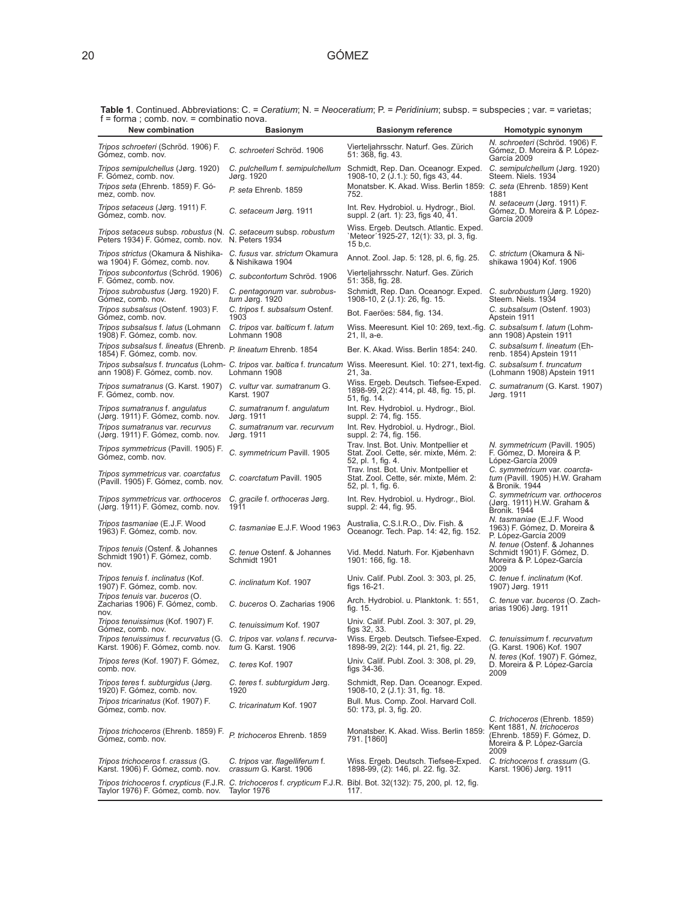**Table 1**. Continued. Abbreviations: C. = *Ceratium*; N. = *Neoceratium*; P. = *Peridinium*; subsp. = subspecies ; var. = varietas; f = forma ; comb. nov. = combinatio nova.

| 1011110, 001110, 110V.<br>New combination                                                                           | <b>Basionym</b>                                           | <b>Basionym reference</b>                                                                                                                               | Homotypic synonym                                                                                                              |
|---------------------------------------------------------------------------------------------------------------------|-----------------------------------------------------------|---------------------------------------------------------------------------------------------------------------------------------------------------------|--------------------------------------------------------------------------------------------------------------------------------|
| Tripos schroeteri (Schröd. 1906) F.<br>Gómez, comb. nov.                                                            | C. schroeteri Schröd. 1906                                | Vierteljahrsschr. Naturf. Ges. Zürich<br>51: 368, fig. 43.                                                                                              | N. schroeteri (Schröd. 1906) F.<br>Gómez, D. Moreira & P. López-<br>García 2009                                                |
| Tripos semipulchellus (Jørg. 1920)<br>F. Gómez, comb. nov.                                                          | C. pulchellum f. semipulchellum<br>Jørg. 1920             | Schmidt, Rep. Dan. Oceanogr. Exped.<br>1908-10, 2 (J.1.): 50, figs 43, 44.                                                                              | C. semipulchellum (Jørg. 1920)<br>Steem. Niels. 1934                                                                           |
| Tripos seta (Ehrenb. 1859) F. Gó-<br>mez, comb. nov.                                                                | P. seta Ehrenb. 1859                                      | Monatsber. K. Akad. Wiss. Berlin 1859: C. seta (Ehrenb. 1859) Kent<br>752.                                                                              | 1881                                                                                                                           |
| Tripos setaceus (Jørg. 1911) F.<br>Gómez, comb. nov.                                                                | C. setaceum Jørg. 1911                                    | Int. Rev. Hydrobiol. u. Hydrogr., Biol.<br>suppl. 2 (art. 1): 23, figs 40, 41.                                                                          | N. setaceum (Jørg. 1911) F.<br>Gómez, D. Moreira & P. López-<br>García 2009                                                    |
| Tripos setaceus subsp. robustus (N. C. setaceum subsp. robustum<br>Peters 1934) F. Gómez, comb. nov. N. Peters 1934 |                                                           | Wiss. Ergeb. Deutsch. Atlantic. Exped.<br>`Meteor´1925-27, 12(1): 33, pl. 3, fig.<br>15 b,c.                                                            |                                                                                                                                |
| Tripos strictus (Okamura & Nishika-<br>wa 1904) F. Gómez, comb. nov.                                                | C. fusus var. strictum Okamura<br>& Nishikawa 1904        | Annot. Zool. Jap. 5: 128, pl. 6, fig. 25.                                                                                                               | C. strictum (Okamura & Ni-<br>shikawa 1904) Kof. 1906                                                                          |
| Tripos subcontortus (Schröd. 1906)<br>F. Gómez, comb. nov.                                                          | C. subcontortum Schröd. 1906                              | Vierteljahrsschr. Naturf. Ges. Zürich<br>51: 358, fig. 28.                                                                                              |                                                                                                                                |
| Tripos subrobustus (Jørg. 1920) F.<br>Gómez, comb. nov.                                                             | C. pentagonum var. subrobus-<br>tum Jørg. 1920            | Schmidt, Rep. Dan. Oceanogr. Exped.<br>1908-10, 2 (J.1): 26, fig. 15.                                                                                   | C. subrobustum (Jørg. 1920)<br>Steem. Niels. 1934                                                                              |
| Tripos subsalsus (Ostenf. 1903) F.<br>Gómez, comb. nov.                                                             | C. tripos f. subsalsum Ostenf.<br>1903                    | Bot. Faeröes: 584, fig. 134.                                                                                                                            | C. subsalsum (Ostenf. 1903)<br>Apstein 1911                                                                                    |
| Tripos subsalsus f. latus (Lohmann<br>1908) F. Gómez, comb. nov.                                                    | C. tripos var. balticum f. latum<br>Lohmann 1908          | Wiss. Meeresunt. Kiel 10: 269, text.-fig. C. subsalsum f. latum (Lohm-<br>21, II, a-e.                                                                  | ann 1908) Apstein 1911                                                                                                         |
| Tripos subsalsus f. lineatus (Ehrenb. P. lineatum Ehrenb. 1854<br>1854) F. Gómez, comb. nov.                        |                                                           | Ber. K. Akad. Wiss. Berlin 1854: 240.                                                                                                                   | C. subsalsum f. lineatum (Eh-<br>renb. 1854) Apstein 1911                                                                      |
| ann 1908) F. Gómez, comb. nov.                                                                                      | Lohmann 1908                                              | Tripos subsalsus f. truncatus (Lohm- C. tripos var. baltica f. truncatum Wiss. Meeresunt. Kiel. 10: 271, text-fig. C. subsalsum f. truncatum<br>21, 3a. | (Lohmann 1908) Apstein 1911                                                                                                    |
| <i>Tripos sumatranus</i> (G. Karst. 1907)<br>F. Gómez, comb. nov.                                                   | C. vultur var. sumatranum G.<br>Karst. 1907               | Wiss. Ergeb. Deutsch. Tiefsee-Exped.<br>1898-99, 2(2): 414, pl. 48, fig. 15, pl.<br>51, fig. 14.                                                        | C. sumatranum (G. Karst. 1907)<br>Jørg. 1911                                                                                   |
| Tripos sumatranus f. angulatus<br>(Jørg. 1911) F. Gómez, comb. nov.                                                 | C. sumatranum f. angulatum<br>Jørg. 1911                  | Int. Rev. Hydrobiol. u. Hydrogr., Biol.<br>suppl. 2: 74, fig. 155.                                                                                      |                                                                                                                                |
| Tripos sumatranus var. recurvus<br>(Jørg. 1911) F. Gómez, comb. nov.                                                | C. sumatranum var. recurvum<br>Jørg. 1911                 | Int. Rev. Hydrobiol. u. Hydrogr., Biol.<br>suppl. 2: 74, fig. 156.                                                                                      |                                                                                                                                |
| Tripos symmetricus (Pavill. 1905) F.<br>Gómez, comb. nov.                                                           | C. symmetricum Pavill. 1905                               | Trav. Inst. Bot. Univ. Montpellier et<br>Stat. Zool. Cette, sér. mixte, Mém. 2:<br>52, pl. 1, fig. 4.                                                   | N. symmetricum (Pavill. 1905)<br>F. Gómez, D. Moreira & P.<br>López-García 2009                                                |
| Tripos symmetricus var. coarctatus<br>(Pavill. 1905) F. Gómez, comb. nov.                                           | C. coarctatum Pavill. 1905                                | Trav. Inst. Bot. Univ. Montpellier et<br>Stat. Zool. Cette, sér. mixte, Mém. 2:<br>52, pl. 1, fig. 6.                                                   | C. symmetricum var. coarcta-<br>tum (Pavill. 1905) H.W. Graham<br>& Bronik. 1944                                               |
| Tripos symmetricus var. orthoceros<br>(Jørg. 1911) F. Gómez, comb. nov.                                             | C. gracile f. orthoceras Jørg.<br>1911                    | Int. Rev. Hydrobiol. u. Hydrogr., Biol.<br>suppl. 2: 44, fig. 95.                                                                                       | C. symmetricum var. orthoceros<br>(Jørg. 1911) H.W. Graham &<br><b>Bronik. 1944</b>                                            |
| Tripos tasmaniae (E.J.F. Wood<br>1963) F. Gómez, comb. nov.                                                         | C. tasmaniae E.J.F. Wood 1963                             | Australia, C.S.I.R.O., Div. Fish. &<br>Oceanogr. Tech. Pap. 14: 42, fig. 152.                                                                           | N. tasmaniae (E.J.F. Wood<br>1963) F. Gómez, D. Moreira &<br>P. López-García 2009                                              |
| Tripos tenuis (Ostenf. & Johannes<br>Schmidt 1901) F. Gómez, comb.<br>nov.                                          | C. tenue Ostenf. & Johannes<br>Schmidt 1901               | Vid. Medd. Naturh. For. Kjøbenhavn<br>1901: 166, fig. 18.                                                                                               | N. tenue (Ostenf. & Johannes<br>Schmidt 1901) F. Gómez, D.<br>Moreira & P. López-García<br>2009                                |
| Tripos tenuis f. inclinatus (Kof.<br>1907) F. Gómez, comb. nov.                                                     | C. inclinatum Kof. 1907                                   | Univ. Calif. Publ. Zool. 3: 303, pl. 25,<br>figs $16-21$ .                                                                                              | C. tenue f. inclinatum (Kof.<br>1907) Jørg. 1911                                                                               |
| Tripos tenuis var. buceros (O.<br>Zacharias 1906) F. Gómez, comb.<br>nov.                                           | C. buceros O. Zacharias 1906                              | Arch. Hydrobiol. u. Planktonk. 1: 551,<br>fig. 15.                                                                                                      | C. tenue var. buceros (O. Zach-<br>arias 1906) Jørg. 1911                                                                      |
| Tripos tenuissimus (Kof. 1907) F.<br>Gómez, comb. nov.                                                              | C. tenuissimum Kof. 1907                                  | Univ. Calif. Publ. Zool. 3: 307, pl. 29,<br>figs 32, 33.                                                                                                |                                                                                                                                |
| Tripos tenuissimus f. recurvatus (G. C. tripos var. volans f. recurva-<br>Karst. 1906) F. Gómez, comb. nov.         | tum G. Karst. 1906                                        | Wiss. Ergeb. Deutsch. Tiefsee-Exped.<br>1898-99, 2(2): 144, pl. 21, fig. 22.                                                                            | C. tenuissimum f. recurvatum<br>(G. Karst. 1906) Kof. 1907                                                                     |
| Tripos teres (Kof. 1907) F. Gómez,<br>comb. nov.                                                                    | C. teres Kof. 1907                                        | Univ. Calif. Publ. Zool. 3: 308, pl. 29,<br>figs 34-36.                                                                                                 | N. teres (Kof. 1907) F. Gómez,<br>D. Moreira & P. López-García<br>2009                                                         |
| Tripos teres f. subturgidus (Jørg.<br>1920) F. Gómez, comb. nov.                                                    | C. teres f. subturgidum Jørg.<br>1920                     | Schmidt, Rep. Dan. Oceanogr. Exped.<br>1908-10, 2 (J.1): 31, fig. 18.                                                                                   |                                                                                                                                |
| Tripos tricarinatus (Kof. 1907) F.<br>Gómez, comb. nov.                                                             | C. tricarinatum Kof. 1907                                 | Bull. Mus. Comp. Zool. Harvard Coll.<br>50: 173, pl. 3, fig. 20.                                                                                        |                                                                                                                                |
| Tripos trichoceros (Ehrenb. 1859) F.<br>Gómez, comb. nov.                                                           | P. trichoceros Ehrenb. 1859                               | Monatsber. K. Akad. Wiss. Berlin 1859:<br>791. [1860]                                                                                                   | C. trichoceros (Ehrenb. 1859)<br>Kent 1881, N. trichoceros<br>(Ehrenb. 1859) F. Gómez, D.<br>Moreira & P. López-García<br>2009 |
| Tripos trichoceros f. crassus (G.<br>Karst. 1906) F. Gómez, comb. nov.                                              | C. tripos var. flagelliferum f.<br>crassum G. Karst. 1906 | Wiss. Ergeb. Deutsch. Tiefsee-Exped.<br>1898-99, (2): 146, pl. 22. fig. 32.                                                                             | C. trichoceros f. crassum (G.<br>Karst. 1906) Jørg. 1911                                                                       |
| Taylor 1976) F. Gómez, comb. nov. Taylor 1976                                                                       |                                                           | Tripos trichoceros f. crypticus (F.J.R. C. trichoceros f. crypticum F.J.R. Bibl. Bot. 32(132): 75, 200, pl. 12, fig.<br>117.                            |                                                                                                                                |